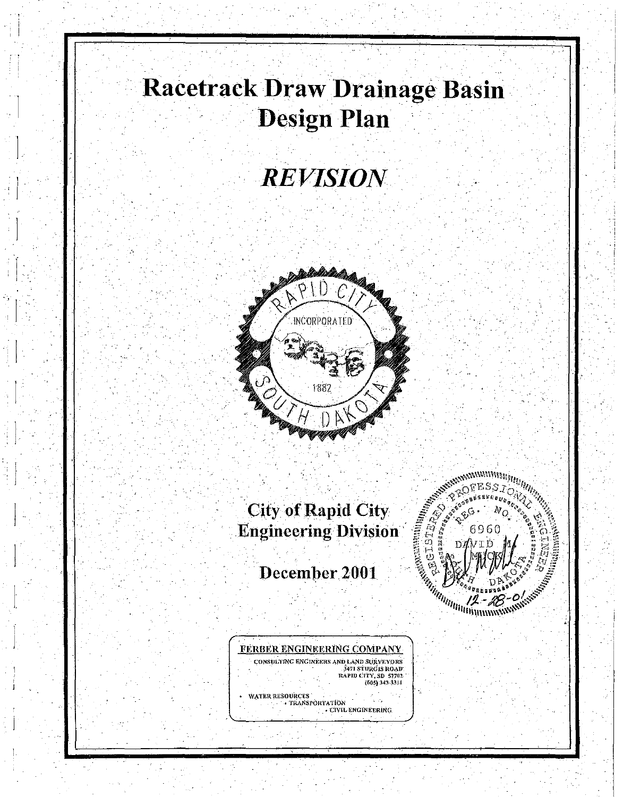# **Racetrack Draw Drainage Basin<br>Design Plan**

# *REVISION*

 $\left| \begin{array}{c} 1 \\ 1 \\ 2 \end{array} \right|$ 

 $\left[\begin{smallmatrix} 1 & 0 \\ 0 & 0 \\ 0 & 0 \end{smallmatrix}\right]$ 

 $\left\lfloor . \right\rfloor$ 

 $\left| \begin{array}{c} 1 \\ 1 \end{array} \right|$ 

 $\begin{bmatrix} \frac{1}{2} \\ \frac{1}{2} \end{bmatrix}$ 

 $\left| \cdot \right|$ 

 $\left| \begin{array}{c} 1 \\ 1 \end{array} \right|$ 

 $\left| \right|$ 



# **Engineering Division**

# December 2001



## FERBER ENGINEERING COMPANY CONSULTING ENGINEERS AND\_LA\_ND suRYEYORS  $3471$  STURGIS ROAD : RAPID CITY, SD-57702<br>- 605) 343-3311

WATER RESOURCES<br>TRANSPORTATION **FATION<br>• CIVIL-ENGINEERING**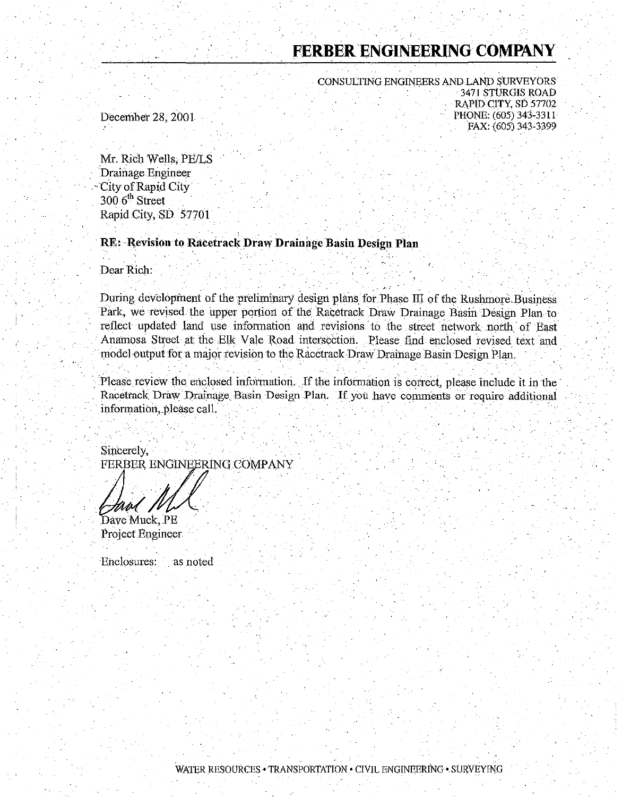# **FERBER ENGINEERING COMPANY**

CONSULTING ENGINEERS AND LAND SURVEYORS . . 3471 srtJRGIS ROAD · RAPlD CITY, SD 57702 PHONE: (605) 343-3311 FAX: (605) 343-3399

December 28, 2001

Mr. Rich Wells, PE/LS Drainage Engineer City of Rapid City  $300$  6<sup>th</sup> Street Rapid City, Sb 57701 . . . . . . . - -

**RE: Revision to Racetrack Draw Drainage Basin Design Plan** 

Dear Rich:

, .

During development of the preliminary design plans for Phase III of the Rushmore Business Park, we revised the upper portion of the Racetrack Draw Drainage Basin Design Plan to reflect updated land use information and revisions to the street network north of East Anamosa Street at the Elk Vale Road intersection. Please find enclosed revised text and model output for a major revision to the Racetrack Draw Drainage Basin Design Plan. . . . - - - . ' - - . -\_ . - - -· -- :· -. . - - - . -- . - ' - - : . . - ·.

, .

Please review the enclosed information. If the information is correct, please include it in the Racetrack Draw Drainage Basin Design Plan. If you have comments or require additional information, please call.

Sincerely, FERBER ENGINEERING COMPANY

·. ·~FE. R·.B·E····.··.R···~.··NG.·lNE RIN. ·. G COMPANY ·. *:* -. - -- . ' - - -  $\mathbb{Z}/\mathbb{Z}/\mathbb{Z}$  $. 1111$  $-$ hwl $\;$  .

Dave Muck, PE Project Engineer.

Enclosures: . as noted

. The second contribution of the second contribution  $\mathcal{L}_\mathcal{A}$  , we can contribute the second contribution of the second contribution of  $\mathcal{L}_\mathcal{A}$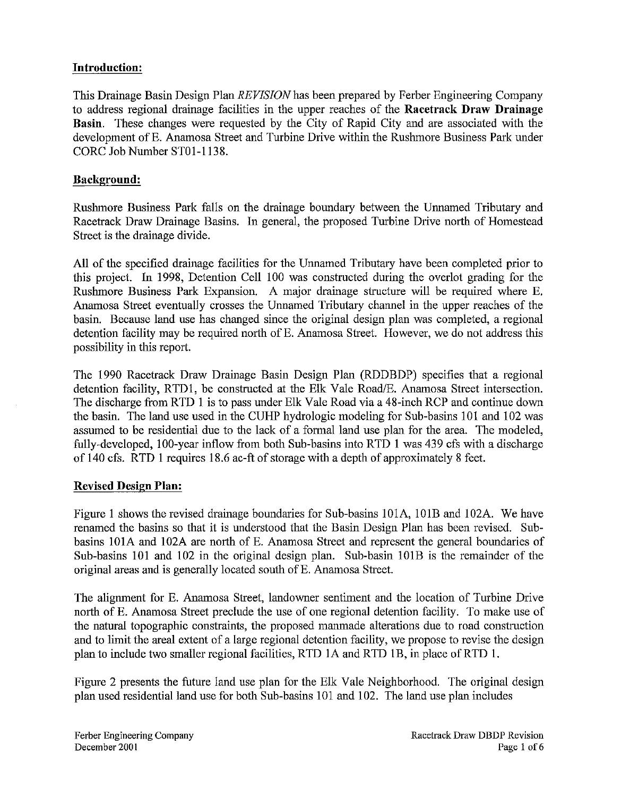# **lntrodnction:**

This Drainage Basin Design Plan *REVISION* has been prepared by Ferber Engineering Company to address regional drainage facilities in the upper reaches of the **Racetrack Draw Drainage Basin.** These changes were requested by the City of Rapid City and are associated with the development of E. Anamosa Street and Turbine Drive within the Rushmore Business Park under CORC Job Number STOl-1138.

# **Background:**

Rushmore Business Park falls on the drainage boundary between the Unnamed Tributary and Racetrack Draw Drainage Basins. In general, the proposed Turbine Drive north of Homestead Street is the drainage divide.

All of the specified drainage facilities for the Unnamed Tributary have been completed prior to this project. In 1998, Detention Cell 100 was constructed during the overlot grading for the Rushmore Business Park Expansion. A major drainage structure will be required where E. Anamosa Street eventually crosses the Unnamed Tributary channel in the upper reaches of the basin. Because land use has changed since the original design plan was completed, a regional detention facility may be required north of E. Anamosa Street. However, we do not address this possibility in this report.

The 1990 Racetrack Draw Drainage Basin Design Plan (RDDBDP) specifies that a regional detention facility, RTDl, be constructed at the Elk Vale Road/E. Anamosa Street intersection. The discharge from RTD I is to pass under Elk Vale Road via a 48-inch RCP and continue down the basin. The land use used in the CUHP hydrologic modeling for Sub-basins 101 and 102 was assumed to be residential due to the lack of a formal land use plan for the area. The modeled, fully-developed, 100-year inflow from both Sub-basins into RTD 1 was 439 cfs with a discharge of 140 cfs. RTD 1 requires 18.6 ac-ft of storage with a depth of approximately 8 feet.

# **Revised Design Plan:**

Figure I shows the revised drainage boundaries for Sub-basins lOlA, 101B and 102A. We have renamed the basins so that it is understood that the Basin Design Plan has been revised. Subbasins lOlA and 102A are north of E. Anamosa Street and represent the general boundaries of Sub-basins 101 and 102 in the original design plan. Sub-basin lOIB is the remainder of the original areas and is generally located south of E. Anamosa Street.

The aligument for E. Anamosa Street, landowner sentiment and the location of Turbine Drive north of E. Anamosa Street preclude the use of one regional detention facility. To make use of the natural topographic constraints, the proposed manmade alterations due to road construction and to limit the areal extent of a large regional detention facility, we propose to revise the design plan to include two smaller regional facilities, RTD 1A and RTD 1B, in place of RTD 1.

Figure 2 presents the future land use plan for the Elk Vale Neighborhood. The original design plan used residential land use for both Sub-basins 101 and 102. The land use plan includes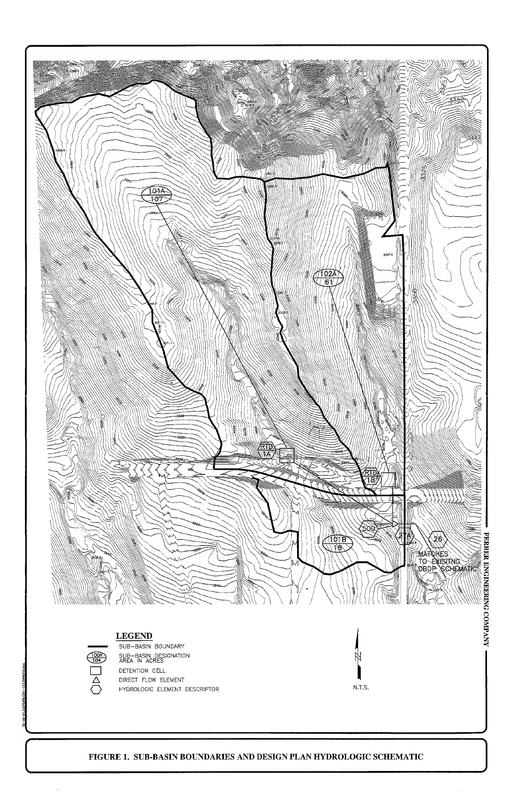

# **FIGURE 1. SUB-BASIN BOUNDARIES AND DESIGN PLAN HYDROLOGIC SCHEMATIC**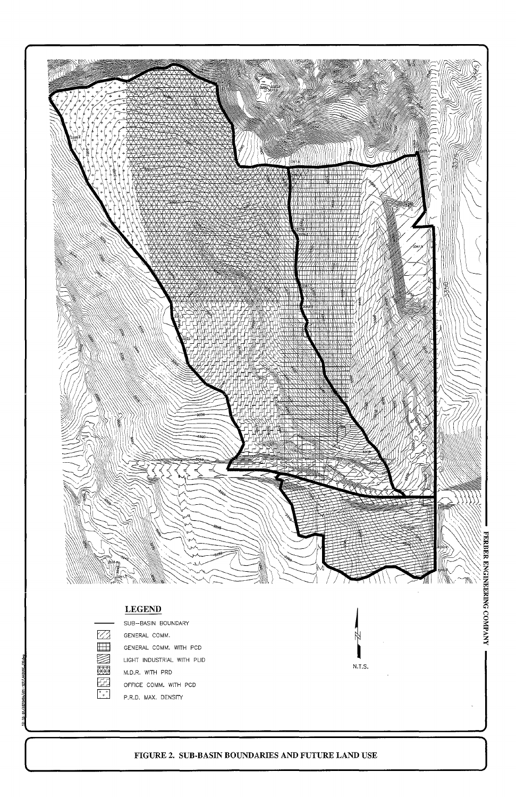

# **FIGURE 2. SUB-BASIN BOUNDARIES AND FUTURE LAND USE**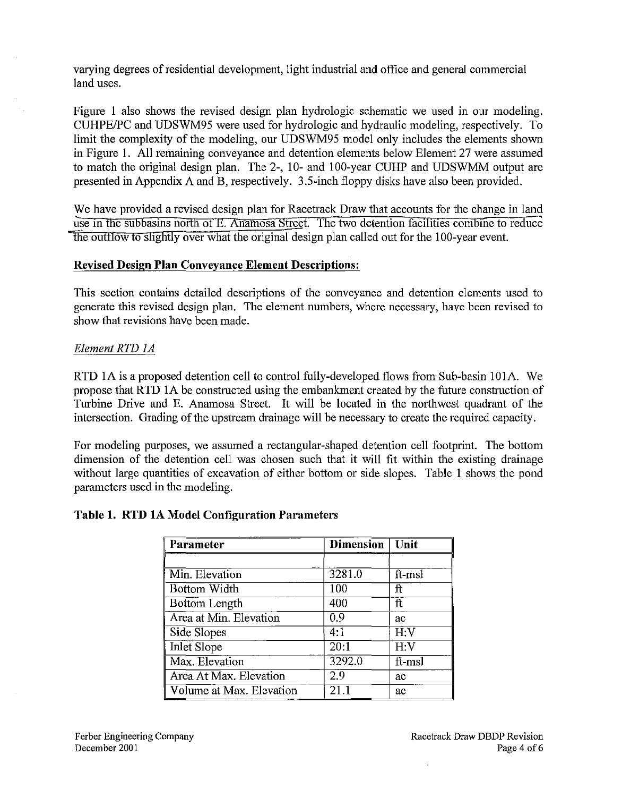varying degrees of residential development, light industrial and office and general commercial land uses.

Figure 1 also shows the revised design plan hydrologic schematic we used in our modeling. CUHPE/PC and UDSWM95 were used for hydrologic and hydraulic modeling, respectively. To limit the complexity of the modeling, our UDSWM95 model only includes the elements shown in Figure 1. All remaining conveyance and detention elements below Element 27 were assumed to match the original design plan. The 2-, 10- and 100-year CUHP and UDSWMM output are presented in Appendix A and B, respectively. 3.5-inch floppy disks have also been provided.

We have provided a revised design plan for Racetrack Draw that accounts for the change in land use in the subbasins north of E. Anamosa Street. The two detention facilities combine to reduce the outflow to slightly over what the original design plan called out for the 100-year event.

# Revised Design **Plan** Conveyance Element Descriptions:

This section contains detailed descriptions of the conveyance and detention elements used to generate this revised design plan. The element numbers, where necessary, have been revised to show that revisions have been made.

# *Element RTD IA*

RTD 1A is a proposed detention cell to control fully-developed flows from Sub-basin 101A. We propose that RTD 1A be constructed using the embankment created by the future construction of Turbine Drive and E. Anamosa Street. It will be located in the northwest quadrant of the intersection. Grading of the upstream drainage will be necessary to create the required capacity.

For modeling purposes, we assumed a rectangular-shaped detention cell footprint. The bottom dimension of the detention cell was chosen such that it will fit within the existing drainage without large quantities of excavation of either bottom or side slopes. Table 1 shows the pond parameters used in the modeling.

# Table **1. RTD** lA Model Configuration Parameters

| Parameter                | <b>Dimension</b> | Unit   |
|--------------------------|------------------|--------|
|                          |                  |        |
| Min. Elevation           | 3281.0           | ft-msl |
| <b>Bottom Width</b>      | 100              | ft     |
| Bottom Length            | 400              | ft     |
| Area at Min. Elevation   | 0.9              | ac     |
| Side Slopes              | 4.1              | H:V    |
| <b>Inlet Slope</b>       | 20:1             | H:V    |
| Max. Elevation           | 3292.0           | ft-msl |
| Area At Max, Elevation   | 2.9              | ac     |
| Volume at Max. Elevation | 21.1             | ac     |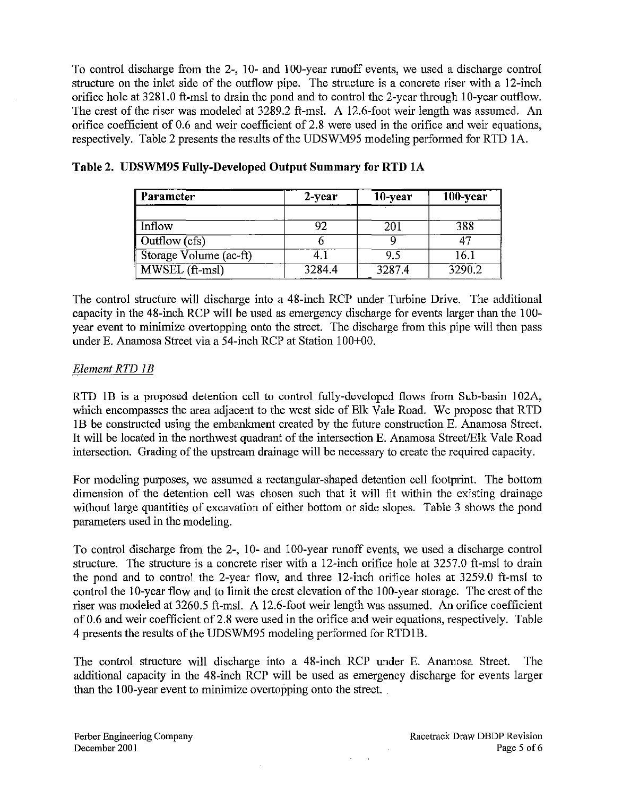To control discharge from the 2-, 10- and 100-year runoff events, we used a discharge control structure on the inlet side of the outflow pipe. The structure is a concrete riser with a 12-inch orifice hole at 3281.0 ft-msl to drain the pond and to control the 2-year through 10-year outflow. The crest of the riser was modeled at 3289.2 ft-msl. A 12.6-foot weir length was assumed. An orifice coefficient of 0.6 and weir coefficient of 2.8 were used in the orifice and weir equations, respectively. Table 2 presents the results of the UDSWM95 modeling performed for RTD IA.

| Parameter                      | 2-year | 10-year | 100-year |
|--------------------------------|--------|---------|----------|
|                                |        |         |          |
| Inflow                         | 92     | 201     | 388      |
| Outflow $(cfs)$                |        |         |          |
| Storage Volume (ac-ft)         |        | 9.5     | 16.1     |
| $\sqrt{\text{MWSEL (ft-msl)}}$ | 3284.4 | 32874   | 3290.2   |

|  |  |  | Table 2. UDSWM95 Fully-Developed Output Summary for RTD 1A |  |
|--|--|--|------------------------------------------------------------|--|
|--|--|--|------------------------------------------------------------|--|

The control structure will discharge into a 48-inch RCP under Turbine Drive. The additional capacity in the 48-inch RCP will be used as emergency discharge for events larger than the 100 year event to minimize overtopping onto the street. The discharge from this pipe will then pass under E. Anamosa Street via a 54-inch RCP at Station 100+00.

# *Element RTD JB*

RTD lB is a proposed detention cell to control fully-developed flows from Sub-basin 102A, which encompasses the area adjacent to the west side of Elk Vale Road. We propose that RTD lB be constructed using the embankment created by the future construction E. Anamosa Street. It will be located in the northwest quadrant of the intersection E. Anamosa Street/Elk Vale Road intersection. Grading of the upstream drainage will be necessary to create the required capacity.

For modeling purposes, we assumed a rectangular-shaped detention cell footprint. The bottom dimension of the detention cell was chosen such that it will fit within the existing drainage without large quantities of excavation of either bottom or side slopes. Table 3 shows the pond parameters used in the modeling.

To control discharge from the 2-, 10- and 100-year runoff events, we used a discharge control structure. The structure is a concrete riser with a 12-inch orifice hole at 3257.0 ft-ms! to drain the pond and to control the 2-year flow, and three 12-inch orifice holes at 3259.0 ft-ms! to control the 10-year flow and to limit the crest elevation of the 100-year storage. The crest of the riser was modeled at 3260.5 ft-msl. A 12.6-foot weir length was assumed. An orifice coefficient of 0.6 and weir coefficient of 2.8 were used in the orifice and weir equations, respectively. Table 4 presents the results of the UDSWM95 modeling performed for RTD1B.

The control structure will discharge into a 48-inch RCP under E. Anamosa Street. The additional capacity in the 48-inch RCP will be used as emergency discharge for events larger than the 100-year event to minimize overtopping onto the street.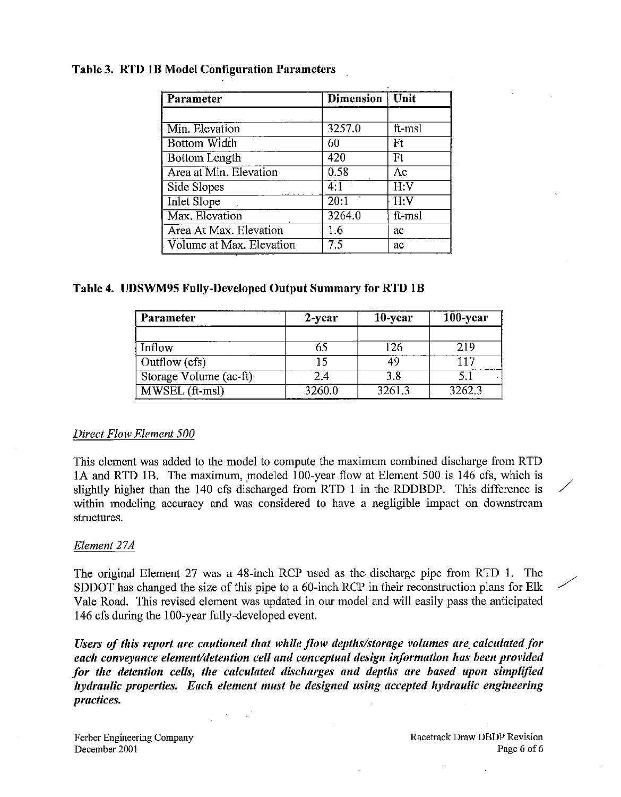| Parameter                | Dimension   Unit |                |
|--------------------------|------------------|----------------|
|                          |                  |                |
| Min. Elevation           | 3257.0           | ft-msl         |
| <b>Bottom Width</b>      | 60               | F <sub>t</sub> |
| Bottom Length            | 420              | <b>Ft</b>      |
| Area at Min. Elevation   | 0.58             | Ac             |
| Side Slopes              | 4.1              | H:V            |
| <b>Inlet Slope</b>       | 20:1             | H:V            |
| Max. Elevation           | 3264.0           | ft-msl         |
| Area At Max. Elevation   | 1.6              | ac             |
| Volume at Max. Elevation | 7.5              | ac             |

# Table 3. RTD lB Model Configuration Parameters

### Table 4. UDSWM95 Fully-Developed Output Summary for RTD lB

| Parameter              | 2-year | 10-year | 100-year |
|------------------------|--------|---------|----------|
|                        |        |         |          |
| Inflow                 | 65     | 126     | 219      |
| $\vert$ Outflow (cfs)  |        | 49      |          |
| Storage Volume (ac-ft) | 2.4    | 3.8     |          |
| MWSEL (ft-msl)         | 3260.0 | 3261.3  | 3262.3   |

### *Direct Flow Element 500*

This element was added to the model to compute the maximum combined discharge from RTD 1A and RTD 1B. The maximum, modeled 100-year flow at Element 500 is 146 cfs, which is slightly higher than the  $140$  cfs discharged from RTD 1 in the RDDBDP. This difference is within modeling accuracy and was considered to have a negligible impact on downstream structures.

# *Element 27A*

The original Element 27 was a 48-inch RCP used as the discharge pipe from RTD 1. The SDDOT has changed the size of this pipe to a 60-inch RCP in their reconstruction plans for Elk Vale Road. This revised element was updated in our model and will easily pass the anticipated 146 cfs during the 100-year fully-developed event.

*Users of this report are cautioned that while flow depths/storage volumes are. calculated for each conveyance element/detention cell and conceptual design information has been provided for the detention cells, the calculated discharges and depths are based upon simplified hydraulic properties. Each element must be designed using accepted hydraulic engineering practices.*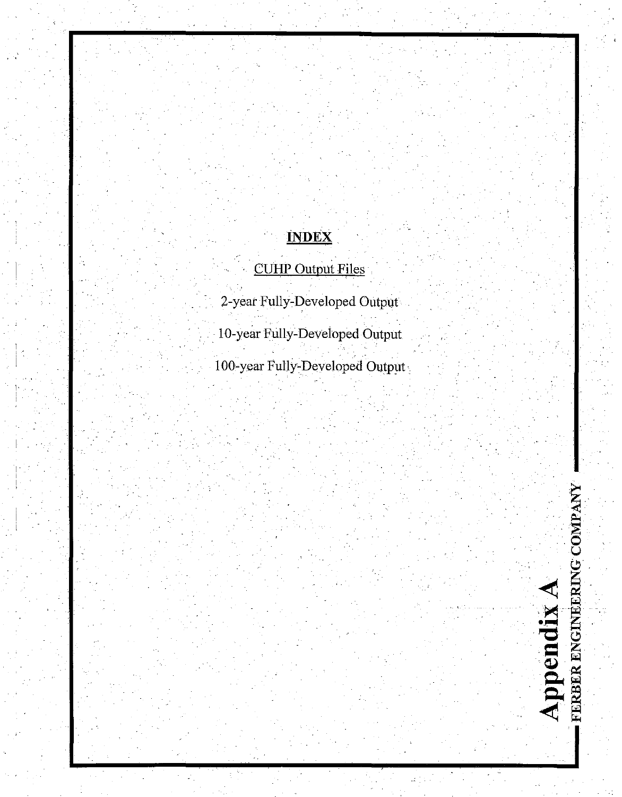# **INDEX**

# CUHP Output Files

I

I I I I

2-yeat Fully~Developed Output

10-year Fully-Developed Output

100-year Fully~Developed Output·

Appendix A<br>FERBER ENGINEERING COMPANY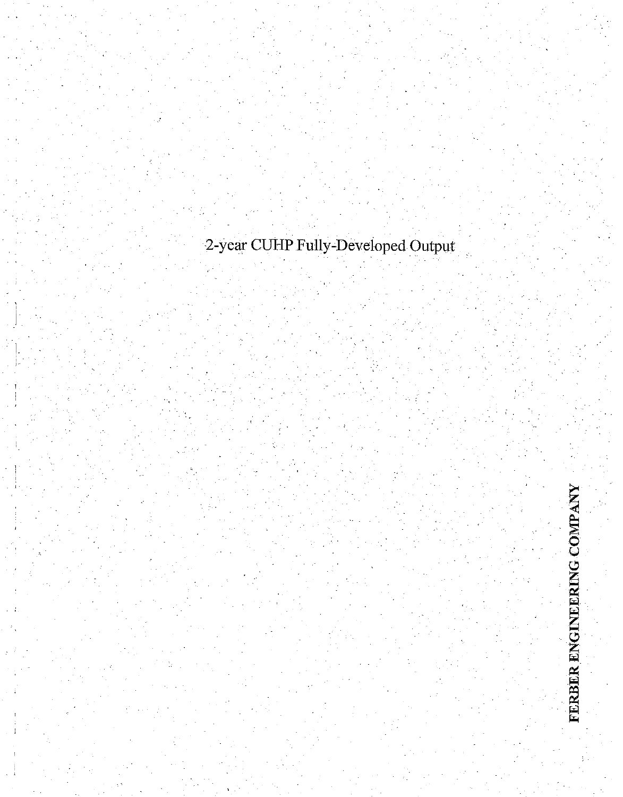2-year CUHP Fully~Developed Output

' ! I

 $\vert$  .

# FERBER ENGINEERING COMPANY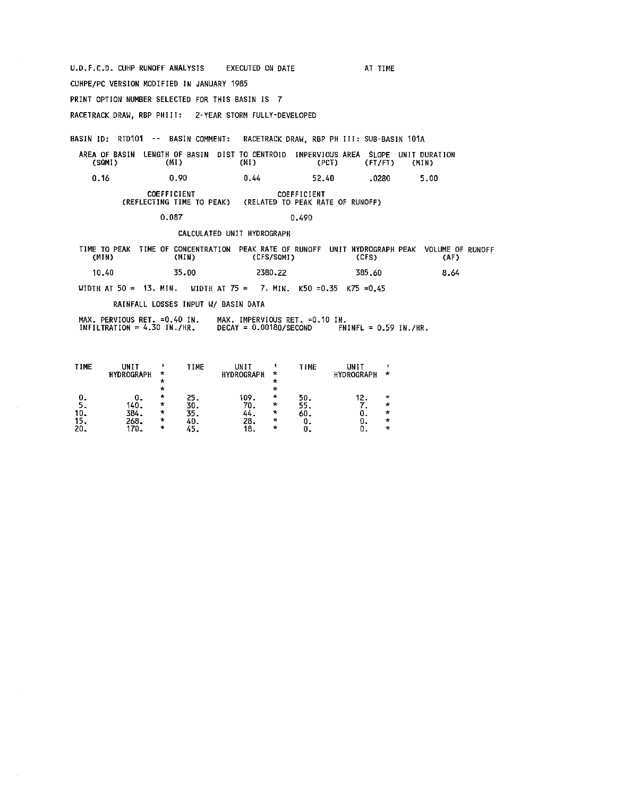U.D.F.C.D. CUHP RUNOFF ANALYSIS EXECUTED ON DATE CUHPE/PC VERSION MODIFIED IN JANUARY 1985 PRINT OPTION NUMBER SELECTED FOR THIS BASIN IS 7 RACETRACK DRAW, RBP PHIII: 2-YEAR STORM FULLY-DEVELOPED AT TIME BASIN ID: RTD101 -- BASIN COMMENT: RACETRACK DRAW, RBP PH Ill: SUB-BASIN 101A AREA OF BASIN LENGTH OF BASIN DIST TO CENTROID IMPERVIOUS AREA SLOPE UNIT DURATION<br>(SQMI) (MI) (MI) (MI) (MI) 0.16 0.90 0.44 52.40 .0280 5.00 COEFFICIENT COEFFICIENT (REFLECTING TIME TO PEAK) (RELATED TO PEAK RATE OF RUNOFF) 0.087 0.490 CALCULATED UNIT HYDROGRAPH TIME TO PEAK TIME OF CONCENTRATION PEAK RATE OF RUNOFF UNIT HYDROGRAPH PEAK VOLUME OF RUNOFF<br>(MIN) (CFS/SQMI) (CFS) (CFS) (CFS) (CFS) (CFS/SQMI) 10.40 35.00 2380.22 385.60 WIDTH AT 50 = 13. MIN. WIDTH AT 75 = 7. MIN. K50 =0.35 K75 =0.45 RAINFALL LOSSES INPUT W/ BASIN DATA MAX. PERVIOUS RET. =0.40 IN. MAX. IMPERVIOUS RET. =0.10 IN. INFILTRATION= 4.30 IN./HR. DECAY = 0.00180/SECOND FNINFL = 0.59 !N./HR. 8.64

| TIME | UNIT              |              | TIME | UNIT              |         | <b>TIME</b> | UNIT              |              |
|------|-------------------|--------------|------|-------------------|---------|-------------|-------------------|--------------|
|      | <b>HYDROGRAPH</b> | $\star$      |      | <b>HYDROGRAPH</b> | $\star$ |             | <b>HYDROGRAPH</b> | ÷            |
|      |                   | ×            |      |                   | ×       |             |                   |              |
|      |                   | $\mathbf{x}$ |      |                   | $\star$ |             |                   |              |
| 0.   | Ω.                | *            | 25.  | 109.              | $\star$ | 50.         | 12.               | $\star$      |
|      | 140.              | ∗            |      | 70.               | ₩       | -55.        |                   | *            |
| 10.  | 384.              | $\star$      | 35.  | 44.               | ۰       | 60.         |                   | $\pmb{\ast}$ |
| 15.  | 268.              | ÷            |      | 28.               | ۰       |             |                   | ÷            |
| 20.  | 170.              | ÷            | 5.   | 18.               | ÷       |             |                   | $\star$      |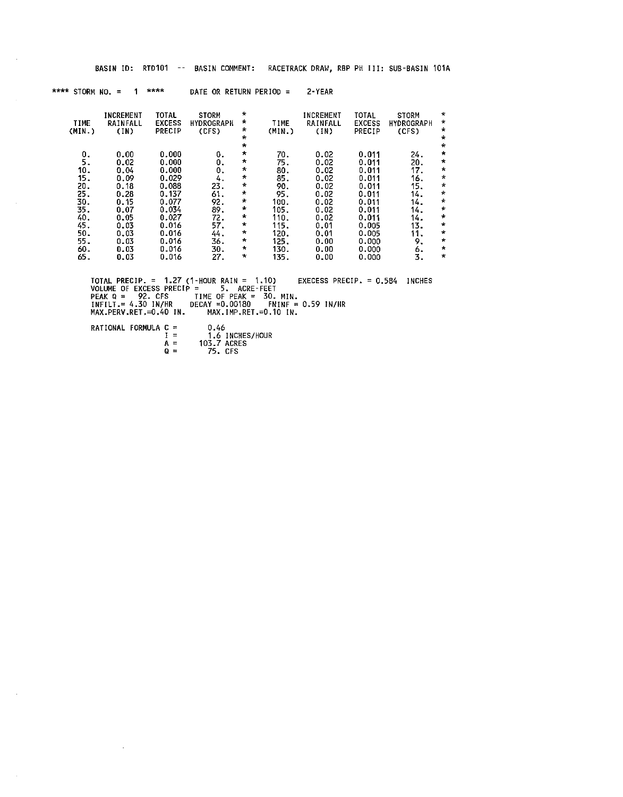|                  |                                                                                              | BASIN ID: |                                                                                                              |             | RTD 101                                                         |                                                                                                                            |                                                                                            |                                                                                                                                            |                                                                                                        |                                                                                                              | -- BASIN COMMENT: RACETRACK DRAW, RBP PH III: SUB-BASIN 101A                                                               |                                                                                             |                                                                                                                                                      |
|------------------|----------------------------------------------------------------------------------------------|-----------|--------------------------------------------------------------------------------------------------------------|-------------|-----------------------------------------------------------------|----------------------------------------------------------------------------------------------------------------------------|--------------------------------------------------------------------------------------------|--------------------------------------------------------------------------------------------------------------------------------------------|--------------------------------------------------------------------------------------------------------|--------------------------------------------------------------------------------------------------------------|----------------------------------------------------------------------------------------------------------------------------|---------------------------------------------------------------------------------------------|------------------------------------------------------------------------------------------------------------------------------------------------------|
| **** STORM NO. = |                                                                                              |           |                                                                                                              | $\mathbf 1$ | ****                                                            |                                                                                                                            |                                                                                            |                                                                                                                                            | DATE OR RETURN PERIOD $=$                                                                              | 2-YEAR                                                                                                       |                                                                                                                            |                                                                                             |                                                                                                                                                      |
|                  | TIME<br>(MIN.)                                                                               |           | INCREMENT<br>RAINFALL<br>(1N)                                                                                |             |                                                                 | <b>TOTAL</b><br><b>EXCESS</b><br>PRECIP                                                                                    | <b>STORM</b><br><b>HYDROGRAPH</b><br>(CFS)                                                 | *<br>$\star$<br>$\star$<br>÷.<br>$\star$                                                                                                   | TIME<br>(MIN.)                                                                                         | INCREMENT<br>RAINFALL<br>(1N)                                                                                | TOTAL<br>EXCESS<br>PRECIP                                                                                                  | <b>STORM</b><br><b>HYDROGRAPH</b><br>(CFS)                                                  | $\star$<br>$\star$<br>$\star$<br>$\star$<br>$\mathcal{H}$                                                                                            |
|                  | 0.<br>5.<br>10.<br>15.<br>20.<br>25.<br>30.<br>35.<br>40.<br>45.<br>50.<br>55.<br>60.<br>65. |           | 0.00<br>0.02<br>0.04<br>0.09<br>0.18<br>0.28<br>0.15<br>0.07<br>0.05<br>0.03<br>0.03<br>0.03<br>0.03<br>0.03 |             |                                                                 | 0.000<br>0.000<br>0.000<br>0.029<br>0.088<br>0.137<br>0.077<br>0.034<br>0.027<br>0.016<br>0.016<br>0.016<br>0.016<br>0.016 | 0.<br>0.<br>0.<br>4.<br>23.<br>61.<br>92.<br>89.<br>72.<br>57.<br>44.<br>36.<br>30.<br>27. | $\star$<br>*<br>$\star$<br>$\star$<br>$\star$<br>*<br>$\star$<br>*<br>$\star$<br>$\star$<br>$\pmb{\times}$<br>$\ast$<br>$\star$<br>$\star$ | 70.<br>75.<br>80.<br>85.<br>90.<br>95.<br>100.<br>105.<br>110.<br>115.<br>120.<br>125.<br>130.<br>135. | 0.02<br>0.02<br>0.02<br>0.02<br>0.02<br>0.02<br>0.02<br>0.02<br>0.02<br>0.01<br>0.01<br>0.00<br>0.00<br>0.00 | 0.011<br>0.011<br>0.011<br>0.011<br>0.011<br>0.011<br>0.011<br>0.011<br>0.011<br>0.005<br>0.005<br>0.000<br>0.000<br>0.000 | 24.<br>20.<br>17.<br>16.<br>15.<br>14.<br>14.<br>14.<br>14.<br>13.<br>11.<br>9.<br>6.<br>3. | $\star$<br>$\star$<br>$\ast$<br>$\star$<br>$\star$<br>$\star$<br>$\star$<br>$\star$<br>$\ast$<br>$\star$<br>$\star$<br>$\star$<br>$\star$<br>$\star$ |
|                  |                                                                                              |           |                                                                                                              |             | $\mathbf{r}$ and $\mathbf{r}$ and $\mathbf{r}$ and $\mathbf{r}$ |                                                                                                                            | VOLUME OF EXCESS PRECIP $=$                                                                | 5. ACRE-FEET                                                                                                                               | $T111T - 2T - 2T1T = 70$                                                                               |                                                                                                              | TOTAL PRECIP. = $1.27$ (1-HOUR RAIN = 1.10) EXECESS PRECIP. = 0.584                                                        | <b>INCHES</b>                                                                               |                                                                                                                                                      |

VOLUME OF EXCESS PRECIP = 5. ACRE-FEET<br>PEAK Q = 92. CFS TIME OF PEAK = 30. MIN.<br>INFILT.= 4.30 IN/HR DECAY =0.00180 FNINF = 0.59 IN/HR<br>MAX.PERV.RET.=0.40 IN. MAX.IMP.RET.=0.10 IN.

RATIONAL FORMULA C =<br>
I =<br>
A =<br>
Q =

 $\mathcal{A}^{\mathcal{A}}$ 

0.46 1 . 6 INCHES/HOUR 103.7 ACRES 75. CFS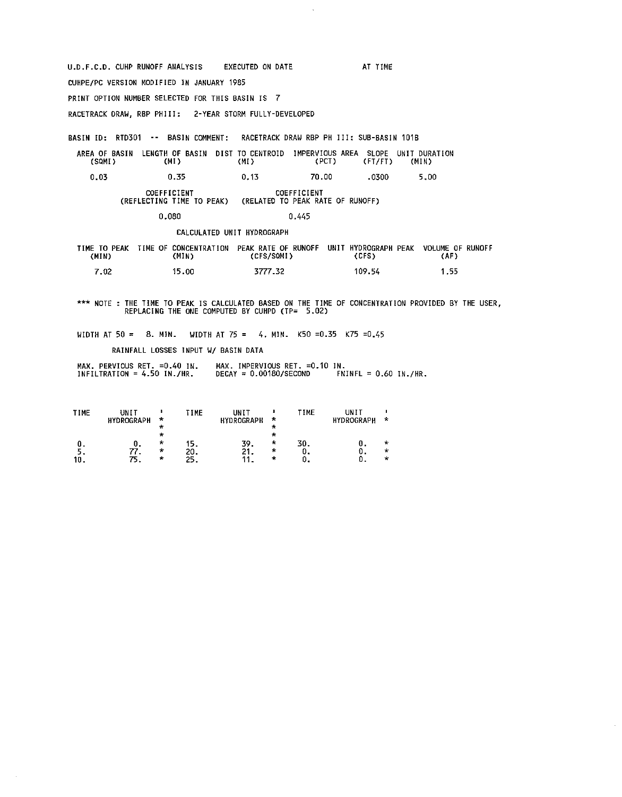U.D.F.C.D. CUHP RUNOFF ANALYSIS EXECUTED ON DATE CUHPE/PC VERSION MODIFIED IN JANUARY 1985 PRINT OPTION NUMBER SELECTED FOR THIS BASIN IS 7 RACETRACK DRAW, RBP PHIII: 2-YEAR STORM FULLY-DEVELOPED AT TIME BASIN ID: RTD3D1 -- BASIN COMMENT: RACETRACK DRAW RBP PH III: SUB-BASIN 1D1B AREA OF BASIN LENGTH OF BASIN DIST TO CENTROID IMPERVIOUS AREA SLOPE UNIT DURATION (SQM!) (Ml) (Ml) (PCT) (FT/FT) (MIN)  $0.03$   $0.35$   $0.13$   $70.00$   $0.030$   $5.00$ COEFFICIENT COEFFICIENT (REFLECTING TIME TO PEAK) (RELATED TO PEAK RATE OF RUNOFF) D.D8D D.445 CALCULATED UNIT HYDROGRAPH TIME TO PEAK TIME OF CONCENTRATION PEAK RATE OF RUNOFF UNIT HYDROGRAPH PEAK VOLUME OF RUNOFF<br>(MIN) (CFS/SQMI) (CFS/SQMI) (CFS) (CFS/SQMI) 7.D2 15.DD 3777.32 1D9.54 1.55 \*\*\* **NOTE THE TIME TO PEAK IS CALCULATED BASED ON THE TIME OF CONCENTRATION PROVIDED BY THE USER,** REPLACING THE ONE COMPUTED BY CUHPD (TP= 5.D2)

 $\ddot{\phantom{a}}$ 

WIDTH AT  $50 = 8$ . MIN. WIDTH AT  $75 = 4$ . MIN. K50 =0.35 K75 =0.45 RAINFALL LOSSES INPUT W/ BASIN DATA

MAX. PERVIOUS RET. =0.40 IN. MAX. IMPERVIOUS RET. =0.10 IN.<br>INFILTRATION = 4.50 IN./HR. DECAY = 0.00180/SECOND FNINFL = 0.60 IN./HR.

| TIME | UNIT<br><b>HYDROGRAPH</b> | ∗<br>×<br>$\star$ | <b>TIME</b>       | UNIT<br><b>HYDROGRAPH</b> | ÷<br>75<br>÷ | TIME | UNIT<br><b>HYDROGRAPH</b> | *                 |
|------|---------------------------|-------------------|-------------------|---------------------------|--------------|------|---------------------------|-------------------|
| 10.  | 0.<br>-77.<br>75.         | $\star$<br>₩<br>÷ | 15.<br>20.<br>25. | 39.<br>21.<br>11.         | ×<br>÷<br>4, | 30.  | U.<br>υ.                  | $\star$<br>*<br>* |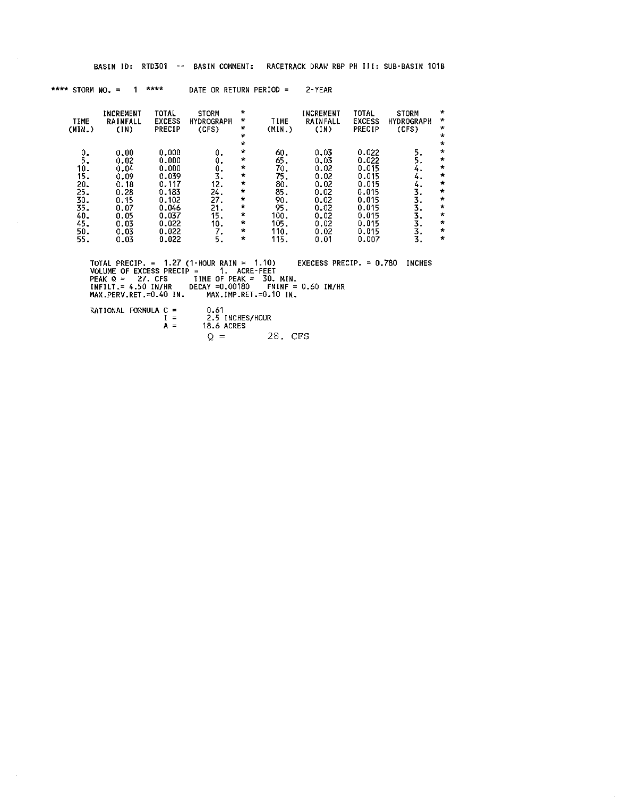|                                                                                | BASIN ID:        |                                                                                              | <b>RTD301</b>                                                                                            | $ -$                                | <b>BASIN COMMENT:</b>                                                                                                                                                                              |                                                                                      |                                                                                              | RACETRACK DRAW RBP PH III: SUB-BASIN 101B                                                                |                                                                                    |                                                                                                                                  |
|--------------------------------------------------------------------------------|------------------|----------------------------------------------------------------------------------------------|----------------------------------------------------------------------------------------------------------|-------------------------------------|----------------------------------------------------------------------------------------------------------------------------------------------------------------------------------------------------|--------------------------------------------------------------------------------------|----------------------------------------------------------------------------------------------|----------------------------------------------------------------------------------------------------------|------------------------------------------------------------------------------------|----------------------------------------------------------------------------------------------------------------------------------|
|                                                                                | **** STORM NO. = |                                                                                              | ****                                                                                                     |                                     |                                                                                                                                                                                                    | DATE OR RETURN PERIOD =                                                              | 2-YEAR                                                                                       |                                                                                                          |                                                                                    |                                                                                                                                  |
| <b>TIME</b><br>(MIN.)                                                          |                  | INCREMENT<br><b>RAINFALL</b><br>(IN)                                                         | <b>TOTAL</b><br><b>EXCESS</b><br>PRECIP                                                                  | STORM<br><b>HYDROGRAPH</b><br>(CFS) | ÷<br>*<br>×<br>$\ast$<br>$\star$                                                                                                                                                                   | TIME<br>(MIN.                                                                        | INCREMENT<br>RAINFALL<br>(1N)                                                                | TOTAL<br><b>EXCESS</b><br>PRECIP                                                                         | STORM<br><b>HYDROGRAPH</b><br>(CFS)                                                | $\star$<br>$\pmb{\ast}$<br>$\star$<br>$\star$<br>$\star$                                                                         |
| 0.<br>5.<br>10.<br>15.<br>20.<br>25.<br>30.<br>35.<br>40.<br>45.<br>50.<br>55. |                  | 0.00<br>0.02<br>0.04<br>0.09<br>0.18<br>0.28<br>0.15<br>0.07<br>0.05<br>0.03<br>0.03<br>0.03 | 0.000<br>0.000<br>0.000<br>0.039<br>0.117<br>0.183<br>0.102<br>0.046<br>0.037<br>0.022<br>0.022<br>0.022 |                                     | $\star$<br>Ο.<br>$\star$<br>О.<br>$\star$<br>О.<br>*<br>3.<br>$\star$<br>12.<br>÷<br>24.<br>$\star$<br>27.<br>$\star$<br>21.<br>$\star$<br>15.<br>$\star$<br>10.<br>$\star$<br>7.<br>$\star$<br>5. | 60.<br>65.<br>70.<br>75.<br>80.<br>85.<br>90.<br>95.<br>100.<br>105.<br>110.<br>115. | 0.03<br>0.03<br>0.02<br>0.02<br>0.02<br>0.02<br>0.02<br>0.02<br>0.02<br>0.02<br>0.02<br>0.01 | 0.022<br>0.022<br>0.015<br>0.015<br>0.015<br>0.015<br>0.015<br>0.015<br>0.015<br>0.015<br>0.015<br>0.007 | 5.<br>5.<br>4.<br>4.<br>4.<br>3.<br>$\frac{3}{3}$ .<br>3.<br>$\frac{3}{3}$ .<br>3. | $\star$<br>$\star$<br>$\star$<br>$\star$<br>$\star$<br>$\star$<br>$\star$<br>$\star$<br>$\star$<br>$\star$<br>$\star$<br>$\star$ |
|                                                                                | TOTAL PRECIP. =  |                                                                                              |                                                                                                          | 1.27 $(1-HOLIR RAIN =$              |                                                                                                                                                                                                    | 1.10                                                                                 |                                                                                              | <b>EXECESS PRECIP. = <math>0.780</math></b>                                                              | <b>INCHES</b>                                                                      |                                                                                                                                  |

TOTAL PRECIP. = 1.27 (1-HOUR RAIN = 1.10) EXECESS PRECIP. = 0.780 INCHES<br>VOLUME OF EXCESS PRECIP = 1. ACRE-FEET<br>PEAK Q = 27. CFS = TIME OF PEAK = 30. MIN.<br>INFILT.= 4.50 IN/HR = DECAY =0.00180 = FNINF = 0.60 IN/HR<br>MAX.PERV. **RATIONAL FORMULA C**  $0.61$ 

| RATIONAL FORMULA C = |       |     | IL 61           |         |  |
|----------------------|-------|-----|-----------------|---------|--|
|                      |       | $=$ | 2.5 INCHES/HOUR |         |  |
|                      | $A =$ |     | 18.6 ACRES      |         |  |
|                      |       |     | $O =$           | 28. CFS |  |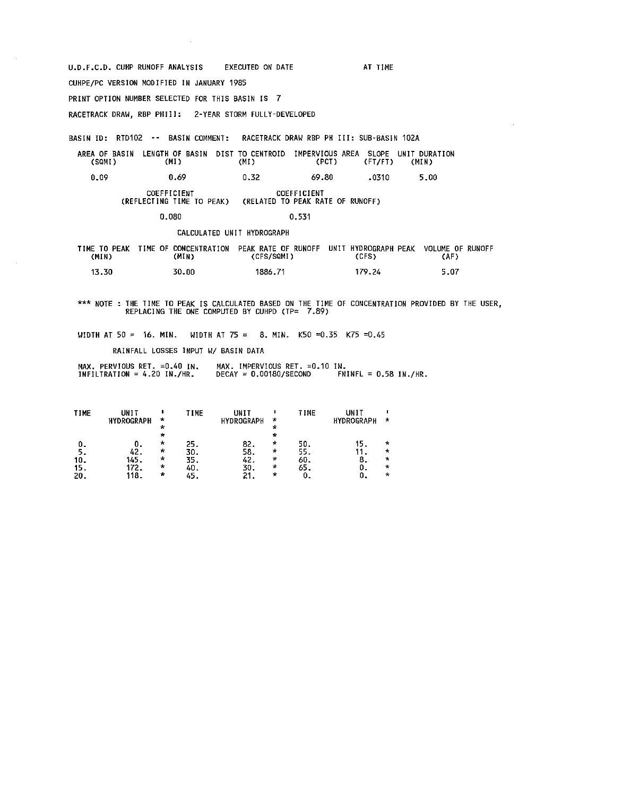U.D.F.C.D. CUHP RUNOFF ANALYSIS EXECUTED ON DATE CUHPE/PC VERSION MODIFIED IN JANUARY 1985 PRINT OPTION NUMBER SELECTED FOR THIS BASIN IS 7 RACETRACK DRAW, RBP PHIII: 2-YEAR STORM FULLY-DEVELOPED AT TIME

 $\mathcal{A}$ 

BASIN ID: RTD102 ·- BASIN COMMENT: RACETRACK DRAW RBP PH III: SUB·BASIN 102A

| (SQMI) | CMI). | AREA OF BASIN LENGTH OF BASIN DIST TO CENTROID IMPERVIOUS AREA SLOPE UNIT DURATION<br>(MI) | (PCT) (FT/FT) |       | (MIN) |
|--------|-------|--------------------------------------------------------------------------------------------|---------------|-------|-------|
| 0.09   | 0.69  | 0.32                                                                                       | 69.80         | -0310 | 5.00  |

COEFFICIENT COEFFICIENT (REFLECTING TIME TO PEAK) (RELATEO TO PEAK RATE OF RUNOFF)

### 0.080 0.531

CALCULATED UNIT HYDROGRAPH

| (MIN) | TIME TO PEAK TIME OF CONCENTRATION PEAK RATE OF RUNOFF<br>(MIN) | (CFS/SQMI) | UNIT HYDROGRAPH PEAK<br>(CFS) | VOLUME OF RUNOFF<br>(AF) |
|-------|-----------------------------------------------------------------|------------|-------------------------------|--------------------------|
| 13.30 | 30.00                                                           | 1886.71    | 179.24                        | 5.07                     |

\*\*\* **NOTE THE TIME TO PEAK IS CALCULATED BASED ON THE TIME OF CONCENTRATION PROVIDED BY THE USER,**  REPLACING THE ONE COMPUTED BY CUHPD (TP= 7.89)

WIDTH AT 50 = 16. MIN. WIDTH AT 75 = 8. MIN. K50 = 0.35 K75 = 0.45

RAINFALL LOSSES INPUT W/ BASIN DATA

MAX. PERVIOUS RET. =0.40 IN. MAX. IMPERVIOUS RET. =0.10 IN.<br>INFILTRATION = 4.20 IN./HR. DECAY = 0.00180/SECOND FNINFL = 0.58 IN./HR.

| <b>TIME</b> | UNIT<br><b>HYDROGRAPH</b> | ÷<br>$\star$<br>$\mathbf{x}$ | TIME | UNIT<br><b>HYDROGRAPH</b> | $\star$<br>÷<br>$\star$ | TIME | UNIT<br><b>HYDROGRAPH</b> | *       |
|-------------|---------------------------|------------------------------|------|---------------------------|-------------------------|------|---------------------------|---------|
|             |                           | $\mathbf{r}$                 | 25.  | 82.                       | $\star$                 | 50.  |                           | $\star$ |
| 5.          | 42.                       | $\star$                      | 30.  | 58.                       | $\star$                 | 55.  |                           | ÷       |
| 10.         | 145.                      | $\star$                      | 35.  | 42.                       | ₩                       | 60.  |                           | ÷       |
| 15.         | 172.                      | $\ast$                       | 40.  | 30.                       | ×                       | 65.  |                           | ÷       |
| 20.         | 118.                      | $\ast$                       | 45.  | 21.                       | ÷                       |      |                           | ÷       |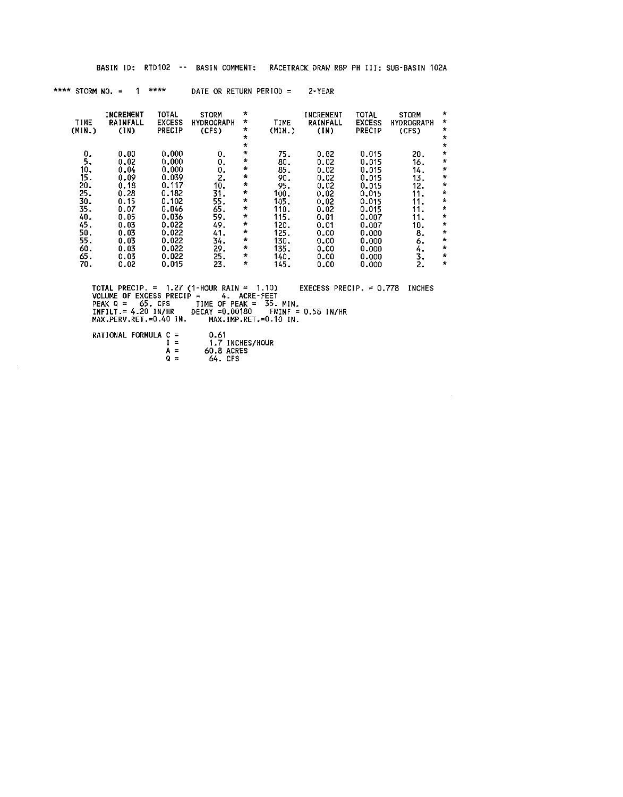|                                                                                                     | <b>BASIN ID:</b>                                                                                                                | RTD 102<br>$- - -$                                                                                                                  |                                                                                                   |                                                                                                                                                           |                                                                                                                 |                                                                                                                      |                                                                                                                                     | BASIN COMMENT: RACETRACK DRAW RBP PH III: SUB-BASIN 102A                                         |                                                                                                                                                             |
|-----------------------------------------------------------------------------------------------------|---------------------------------------------------------------------------------------------------------------------------------|-------------------------------------------------------------------------------------------------------------------------------------|---------------------------------------------------------------------------------------------------|-----------------------------------------------------------------------------------------------------------------------------------------------------------|-----------------------------------------------------------------------------------------------------------------|----------------------------------------------------------------------------------------------------------------------|-------------------------------------------------------------------------------------------------------------------------------------|--------------------------------------------------------------------------------------------------|-------------------------------------------------------------------------------------------------------------------------------------------------------------|
|                                                                                                     | $***$ STORM NO. $=$<br>$1 -$                                                                                                    | ****                                                                                                                                | DATE OR RETURN PERIOD = $2-YEAR$                                                                  |                                                                                                                                                           |                                                                                                                 |                                                                                                                      |                                                                                                                                     |                                                                                                  |                                                                                                                                                             |
| <b>TIME</b><br>(MIN.)                                                                               | INCREMENT<br>RAINFALL<br>(1N)                                                                                                   | TOTAL<br><b>EXCESS</b><br>PRECIP                                                                                                    | <b>STORM</b><br><b>HYDROGRAPH</b><br>(CFS)                                                        | *<br>$\pmb{\times}$<br>*<br>$\star$<br>$\star$                                                                                                            | TIME<br>(MIN.)                                                                                                  | INCREMENT<br>RAINFALL<br>(1N)                                                                                        | TOTAL<br><b>EXCESS</b><br><b>PRECIP</b>                                                                                             | <b>STORM</b><br><b>HYDROGRAPH</b><br>(CFS)                                                       | $\star$<br>$\star$<br>$\star$<br>$\star$<br>$\star$                                                                                                         |
| 0.<br>5.<br>10.<br>15.<br>20.<br>25.<br>30.<br>35.<br>40.<br>45.<br>50.<br>55.<br>60.<br>65.<br>70. | 0.00<br>0.02<br>0.04<br>0.09<br>0.18<br>0.28<br>0.15<br>0.07<br>0.05<br>0.03<br>0.03<br>0.03<br>0.03<br>0.03<br>0.02            | 0.000<br>0.000<br>0.000<br>0.039<br>0.117<br>0.182<br>0.102<br>0.046<br>0.036<br>0.022<br>0.022<br>0.022<br>0.022<br>0.022<br>0.015 | 0.<br>0.<br>0.<br>2.<br>10.<br>31.<br>55.<br>65.<br>59.<br>49.<br>41.<br>34.<br>29.<br>25.<br>23. | $\star$<br>$\star$<br>$\star$<br>$\star$<br>$\star$<br>*<br>$\star$<br>$\ast$<br>$\star$<br>*<br>$\star$<br>$\star$<br>$\star$<br>$\star$<br>$\mathbf{r}$ | 75.<br>80.<br>85.<br>90.<br>95.<br>100.<br>105.<br>110.<br>115.<br>120.<br>125.<br>130.<br>135.<br>140.<br>145. | 0.02<br>0.02<br>0.02<br>0.02<br>0.02<br>0.02<br>0.02<br>0.02<br>0.01<br>0.01<br>0.00<br>0.00<br>0.00<br>0.00<br>0.00 | 0.015<br>0.015<br>0.015<br>0.015<br>0.015<br>0.015<br>0.015<br>0.015<br>0.007<br>0.007<br>0.000<br>0.000<br>0.000<br>0.000<br>0.000 | 20.<br>16.<br>14.<br>13.<br>12.<br>11.<br>11.<br>11.<br>11.<br>10.<br>8.<br>6.<br>4.<br>3.<br>2. | $\star$<br>$\star$<br>$\star$<br>Ý,<br>$\star$<br>$\star$<br>$\star$<br>$\star$<br>$\star$<br>$\star$<br>$\ast$<br>$\star$<br>$\star$<br>$\star$<br>$\star$ |
|                                                                                                     | VOLUME OF EXCESS PRECIP $=$<br>$PEAK$ Q =<br>INFILT = 4.20 IN/HR  DECAY = 0.00180  FNINF = 0.58 IN/HR<br>MAX.PERV.RET.=0.40 IN. |                                                                                                                                     | 65. CFS TIME OF PEAK = $35$ . MIN.                                                                |                                                                                                                                                           | 4. ACRE-FEET<br>MAX.IMP.RET.=0.10 IN.                                                                           |                                                                                                                      |                                                                                                                                     | TOTAL PRECIP. = 1.27 (1-HOUR RAIN = 1.10) EXECESS PRECIP. = 0.778 INCHES                         |                                                                                                                                                             |

 $\mathcal{L}^{\text{max}}_{\text{max}}$  , where  $\mathcal{L}^{\text{max}}_{\text{max}}$ 

RATIONAL FORMULA  $C =$ <br>  $A =$ <br>  $Q =$ I = 1.7 INCHES/HOUR<br>A = 60.8 ACRES<br>Q = 64. CFS

 $\sim 10^{-1}$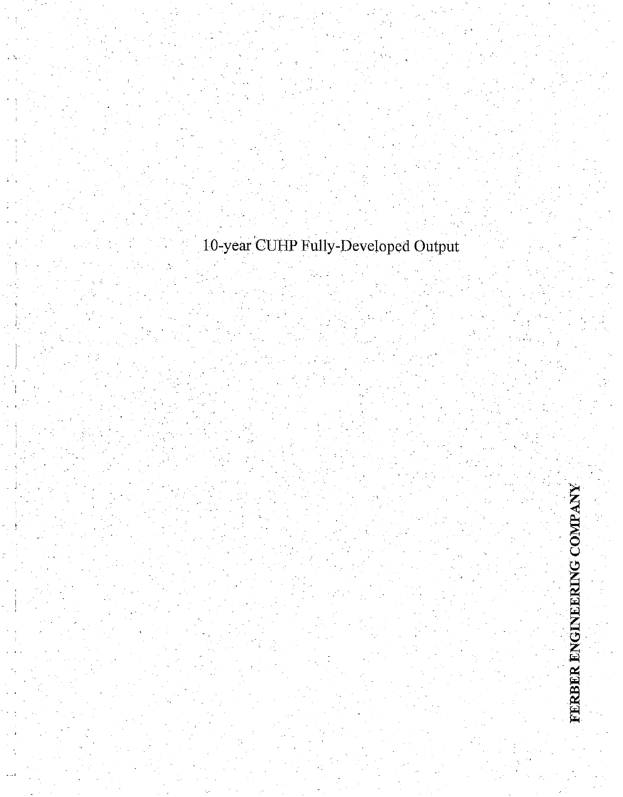# . 10-year:CUHP Fully-Developed Output

FERBER ENGINEERING COMPANY

I

 $\mathbb{R}$ . . I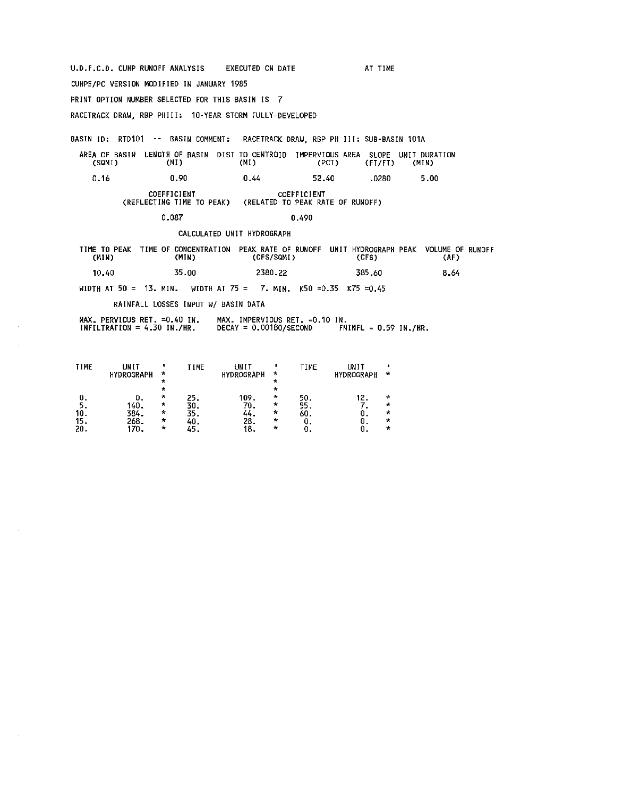U.D.F.C.D. CUHP RUNOFF ANALYSIS EXECUTED ON DATE CUHPE/PC VERSION MODIFIED IN JANUARY 1985 PRINT OPTION NUMBER SELECTED FOR THIS BASIN IS 7 RACETRACK DRAW, RBP PHIII: 10-YEAR STORM FULLY-DEVELOPED AT TIME BASIN ID: RTD101 -- BASIN COMMENT: RACETRACK DRAW, RBP PH Ill: SUB-BASIN 101A AREA OF BASIN LENGTH OF BASIN DIST TO CENTROID IMPERVIOUS AREA SLOPE UNIT DURATION (SQM!) (Ml) (Ml) (PCT) (FT/FT) (MIN) 0.16 0.90 0.44 52.40 .0280 5.00 COEFFICIENT COEFFICIENT (REFLECTING TIME TO PEAK) (RELATED TO PEAK RATE OF RUNOFF) 0.087 0.490 CALCULATED UNIT HYDROGRAPH TIME TO PEAK TIME OF CONCENTRATION PEAK RATE OF RUNOFF UNIT HYOROGRAPH PEAK VOLUME OF RUNOFF (MIN) **(MIN)** (CFS/SQM!) (CFS) (AF) 10.40 35.00 2380.22 385.60 WIDTH AT 50 = 13. MIN. WIDTH AT 75 = 7. MIN. K50 =0.35 K75 =0.45 RAINFALL LOSSES INPUT W/ BASIN DATA MAX. PERVIOUS RET. =0.40 IN. MAX. IMPERVIOUS RET. =0.10 IN.<br>INFILTRATION = 4.30 IN./HR. DECAY = 0.00180/SECOND FNINFL = 0.59 IN./HR. 8.64

| TIME              | UNIT<br><b>HYDROGRAPH</b>    | ж<br>$\star$<br>$\star$           | TIME                            | UNIT<br><b>HYDROGRAPH</b>         | $\star$<br>÷<br>₩                           | TIME              | UNIT<br><b>HYDROGRAPH</b> | $\star$                          |
|-------------------|------------------------------|-----------------------------------|---------------------------------|-----------------------------------|---------------------------------------------|-------------------|---------------------------|----------------------------------|
| 10.<br>15.<br>20. | 140.<br>384.<br>268.<br>170. | $\mathcal{R}$<br>÷<br>₩<br>÷<br>∗ | 25.<br>30.<br>35.<br>40.<br>45. | 109.<br>70.<br>-44.<br>28.<br>18. | $\tau$<br>$\ast$<br>$\star$<br>÷<br>$\star$ | 50.<br>55.<br>60. | 12.<br>0.                 | $\mathbf{x}$<br>∗<br>∗<br>÷<br>* |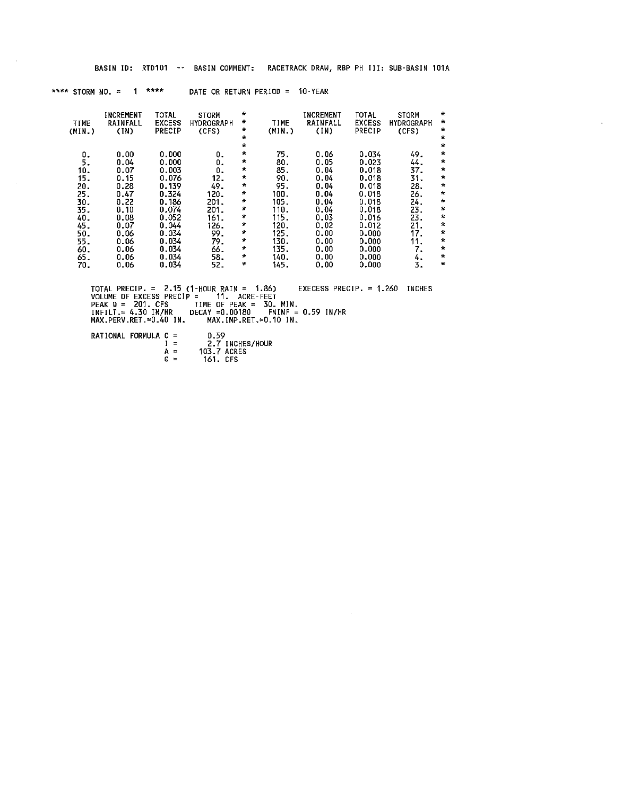|                                      | <b>BASIN ID:</b>                             | <b>RTD101</b><br>$- -$                             | <b>BASIN COMMENT:</b>                      |                                                                     |                                         | RACETRACK DRAW, RBP PH III: SUB-BASIN 101A   |                                                    |                                        |                                                                    |
|--------------------------------------|----------------------------------------------|----------------------------------------------------|--------------------------------------------|---------------------------------------------------------------------|-----------------------------------------|----------------------------------------------|----------------------------------------------------|----------------------------------------|--------------------------------------------------------------------|
|                                      | **** STORM NO. =<br>1                        | ****                                               | DATE OR RETURN PERIOD =                    |                                                                     |                                         | <b>10-YEAR</b>                               |                                                    |                                        |                                                                    |
| TIME<br>(MIN.)                       | INCREMENT<br>RAINFALL<br>(IN)                | <b>TOTAL</b><br><b>EXCESS</b><br><b>PRECIP</b>     | <b>STORM</b><br><b>HYDROGRAPH</b><br>(CFS) | ₩<br>*<br>÷<br>$\pm$<br>$\star$                                     | TIME<br>(MIN.)                          | INCREMENT<br>RAINFALL<br>(IN)                | TOTAL<br><b>EXCESS</b><br>PRECIP                   | STORM<br><b>HYDROGRAPH</b><br>(CFS)    | $\star$<br>×<br>$\star$<br>$\star$<br>$\star$<br>$\pmb{\ast}$      |
| О.<br>5.<br>10.<br>15.<br>20.<br>25. | 0.00<br>0.04<br>0.07<br>0.15<br>0.28<br>0.47 | 0.000<br>0.000<br>0,003<br>0.076<br>0.139<br>0.324 | О.<br>О.<br>0.<br>12.<br>49.<br>120.       | $\star$<br>$\star$<br>$\star$<br>$\star$<br>$\star$<br>$\pmb{\ast}$ | 75.<br>80.<br>85.<br>90.<br>95.<br>100. | 0.06<br>0.05<br>0.04<br>0.04<br>0.04<br>0.04 | 0.034<br>0.023<br>0.018<br>0.018<br>0.018<br>0.018 | 49.<br>44.<br>37.<br>31.<br>28.<br>26. | $\star$<br>$\star$<br>$\mathbf{r}$<br>$\pmb{\pi}$<br>$\pmb{\cdot}$ |
| 30.<br>35.<br>40.<br>45.<br>50.      | 0.22<br>0.10<br>0.08<br>0.07<br>0.06         | 0.186<br>0.074<br>0.052<br>0.044<br>0.034          | 201.<br>201.<br>161.<br>126.<br>99.        | $\star$<br>$\star$<br>*<br>$\star$<br>*                             | 105.<br>110.<br>115.<br>120.<br>125.    | 0.04<br>0.04<br>0.03<br>0.02<br>0.00         | 0.018<br>0.018<br>0.016<br>0.012<br>0.000          | 24.<br>23.<br>23.<br>21.<br>17.        | $\star$<br>$\mathbf{k}$<br>$\star$<br>$\star$<br>$\star$           |
| 55.<br>60.<br>65.<br>70.             | 0.06<br>0.06<br>0.06<br>0.06                 | 0.034<br>0.034<br>0.034<br>0.034                   | 79.<br>66.<br>58.<br>52.                   | $\star$<br>*<br>$\ast$<br>*                                         | 130.<br>135.<br>140.<br>145.            | 0.00<br>0.00<br>0.00<br>0.00                 | 0.000<br>0.000<br>0.000<br>0.000                   | 11.<br>7.<br>4.<br>3.                  | $\star$<br>$\star$<br>$\star$<br>$\star$                           |

k,

TOTAL PRECIP. = 2.15 (1-HOUR RAIN = 1.86) EXECESS PRECIP. = 1.260 INCHES<br>VOLUME OF EXCESS PRECIP = 11. ACRE-FEET<br>PEAK Q = 201. CFS = TIME OF PEAK = 30. MIN.<br>INFILT.= 4.30 IN/HR = DECAY =0.00180 = FNINF = 0.59 IN/HR<br>MAX.PER

 $\sim$   $\sim$ 

RATIONAL FORMULA  $C =$  $A =$ <br>Q = 0.59 2.7 INCHES/HOUR 103.7 ACRES 161. CFS

 $\alpha$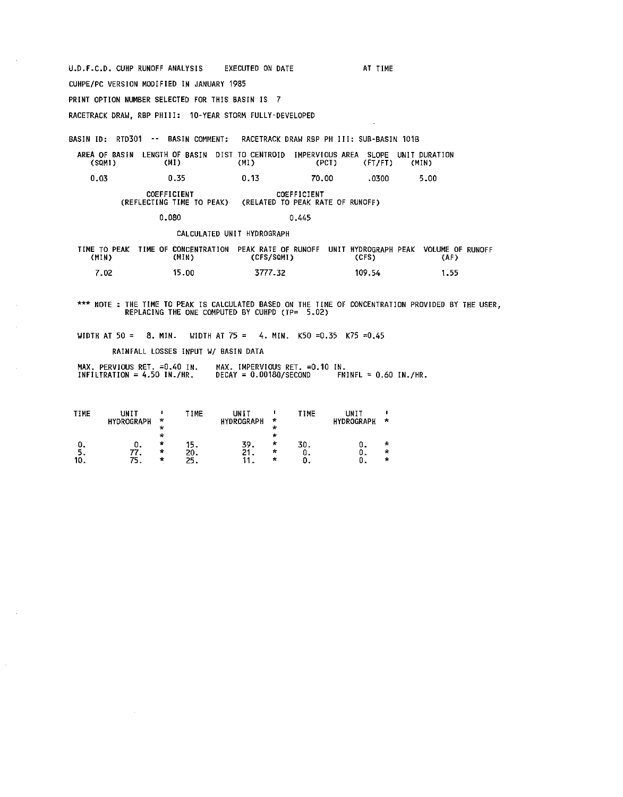U.O.F.C.D. CUHP RUNOFF ANALYSIS EXECUTED ON DATE CUHPE/PC VERSION MODIFIED IN JANUARY 1985 PRINT OPTION NUMBER SELECTED FOR THIS BASIN IS 7 RACETRACK DRAW, RBP PHIII: 10-YEAR STORM FULLY-DEVELOPED AT TIME BASIN ID: RTD301 -- BASIN COMMENT: RACETRACK DRAW RBP PH Ill: SUB·BASIN 101B AREA OF BASIN LENGTH OF BASIN DIST TO CENTROID IMPERVIOUS AREA SLOPE UNIT DURATION<br>(SQMI) (MI) (MI) (MI) (PCT) (FT/FT) (MIN) (SQM!) (Ml) (Ml) (PCT) (FT/FT) (MIN) 0.03 0.35 0.13 70.00 .0300 5.00 COEFFICIENT COEFFICIENT COEFFICIENT<br>CREFLECTING TIME TO PEAK) (RELATED TO PEAK RAT) (RELATED TO PEAK RATE OF RUNOFF) 0.080 0.445 CALCULATED UNIT HYDROGRAPH TIME TO PEAK TIME OF CONCENTRATION PEAK RATE OF RUNOFF UNIT HYDROGRAPH PEAK VOLUME OF RUNOFF<br>(MIN) (CFS/SQMI) (CFS/S (CFS) (CFS) (CFS/SQMI) 7.02 15.00 3777.32 109.54 1.55

\*\*\* **NOTE THE TIME TO PEAK IS CALCULATED BASED ON THE TIME OF CONCENTRATION PROVIDED BY THE USER,**  REPLACING THE ONE COMPUTED BY CUHPD (TP= 5.02)

WIDTH AT  $50 = 8$ . MIN. WIDTH AT  $75 = 4$ . MIN. K50 =0.35 K75 =0.45

RAINFALL LOSSES INPUT W/ BASIN DATA

MAX. PERVIOUS RET. =0.40 IN. MAX. IMPERVIOUS RET. =0.10 IN.<br>INFILTRATION = 4.50 IN./HR. DECAY = 0.00180/SECOND FNINFL = 0.60 IN./HR.

| TIME      | UNIT<br><b>HYDROGRAPH</b> | $\ast$<br>*<br>×             | ⊺IME.            | UNIT<br><b>HYDROGRAPH</b> | $\star$<br>÷           | <b>TIME</b> | UNIT<br><b>HYDROGRAPH</b> | ÷      |
|-----------|---------------------------|------------------------------|------------------|---------------------------|------------------------|-------------|---------------------------|--------|
| О.<br>10. | о.<br>77.<br>75.          | $\star$<br>$\star$<br>$\ast$ | 5.<br>20.<br>25. | 39.<br>21.                | ×<br>$\ast$<br>$\star$ | 30.         | υ.<br>υ.                  | ж<br>÷ |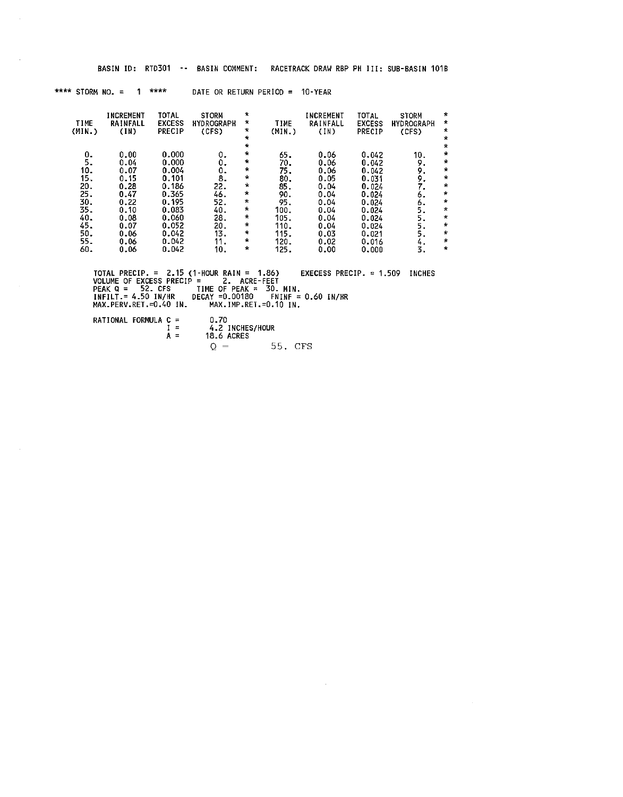|                                                                                                     | BASIN ID:    |                                                                                                      | <b>RTD301</b>                                    | - -                                                                                                               |                                                                                                                                |                                                                                     | BASIN COMMENT: RACETRACK DRAW RBP PH III: SUB-BASIN 101B                                                                                             |                                                                                               |                                                                                                      |  |                                                                                                                   |                                                                                           |                                                                                                                                            |
|-----------------------------------------------------------------------------------------------------|--------------|------------------------------------------------------------------------------------------------------|--------------------------------------------------|-------------------------------------------------------------------------------------------------------------------|--------------------------------------------------------------------------------------------------------------------------------|-------------------------------------------------------------------------------------|------------------------------------------------------------------------------------------------------------------------------------------------------|-----------------------------------------------------------------------------------------------|------------------------------------------------------------------------------------------------------|--|-------------------------------------------------------------------------------------------------------------------|-------------------------------------------------------------------------------------------|--------------------------------------------------------------------------------------------------------------------------------------------|
| **** STORM NO. =                                                                                    |              |                                                                                                      | ****                                             |                                                                                                                   |                                                                                                                                |                                                                                     | DATE OR RETURN PERIOD = $10 - YEAR$                                                                                                                  |                                                                                               |                                                                                                      |  |                                                                                                                   |                                                                                           |                                                                                                                                            |
| TIME<br>(MIN.)                                                                                      |              | <b>INCREMENT</b><br>RAINFALL<br>(IN)                                                                 |                                                  | TOTAL<br><b>EXCESS</b><br><b>PRECIP</b>                                                                           | <b>HYDROGRAPH</b>                                                                                                              | <b>STORM</b><br>(CFS)                                                               | $\star$<br>$\pmb{\pi}$<br>$\boldsymbol{\pi}$<br>÷<br>$\pm$                                                                                           | <b>TIME</b><br>(MIN <sub>n</sub> )                                                            | INCREMENT<br>RAINFALL<br>(1N)                                                                        |  | TOTAL<br><b>EXCESS</b><br>PRECIP                                                                                  | <b>STORM</b><br><b>HYDROGRAPH</b><br>(CFS)                                                | $\star$<br>∗<br>$\star$<br>$\star$<br>$\star$                                                                                              |
| $\overline{0}$ .<br>5.<br>10.<br>15.<br>20.<br>25.<br>30.<br>35.<br>40.<br>45.<br>50.<br>55.<br>60. |              | 0.00<br>0.04<br>0.07<br>0.15<br>0.28<br>0.47<br>0.22<br>0.10<br>0.08<br>0.07<br>0.06<br>0.06<br>0.06 |                                                  | 0.000<br>0.000<br>0.004<br>0.101<br>0.186<br>0.365<br>0.195<br>0.083<br>0.060<br>0.052<br>0.042<br>0.042<br>0.042 |                                                                                                                                | О.<br>0.<br>0.<br>8.<br>22.<br>46.<br>52.<br>40.<br>28.<br>20.<br>13.<br>11.<br>10. | $\star$<br>$\bullet$<br>$\star$<br>$\star$<br>$\star$<br>$\star$<br>$\star$<br>$\star$<br>$\star$<br>$\star$<br>$\star$<br>$\bullet$<br>$\mathbf{r}$ | 65.<br>70.<br>75.<br>80.<br>85.<br>90.<br>95.<br>100.<br>105.<br>110.<br>115.<br>120.<br>125. | 0.06<br>0.06<br>0.06<br>0.05<br>0.04<br>0.04<br>0.04<br>0.04<br>0.04<br>0.04<br>0.03<br>0.02<br>0.00 |  | 0.042<br>0.042<br>0.042<br>0.031<br>0.024<br>0.024<br>0.024<br>0.024<br>0.024<br>0.024<br>0.021<br>0.016<br>0.000 | 10.<br>9.<br>9.<br>9.<br>7.<br>6.<br>6.<br>5.<br>$\overline{5}$ .<br>5.<br>5.<br>4.<br>3. | $\ast$<br>$\star$<br>$\star$<br>$\star$<br>$\star$<br>$\star$<br>$\star$<br>$\star$<br>$\star$<br>$\star$<br>$\star$<br>$\star$<br>$\star$ |
|                                                                                                     | $PEAK$ $Q =$ |                                                                                                      | VOLUME OF EXCESS PRECIP =<br>INFILT.= 4.50 IN/HR |                                                                                                                   | TOTAL PRECIP. = $2.15$ (1-HOUR RAIN = 1.86) EXECESS PRECIP. = 1.509 INCHES<br>52. CFS TIME OF PEAK =<br>MAX.PERV.RET.=0.40 IN. |                                                                                     | 2. ACRE-FEET<br>DECAY = $0.00180$ FNINF = $0.60$ IN/HR<br>MAX.IMP.RET. = 0.10 IN.                                                                    | 30. MIN.                                                                                      |                                                                                                      |  |                                                                                                                   |                                                                                           |                                                                                                                                            |

RATIONAL FORMULA C =<br>
I =<br>
A = 0.70 4.2 INCHES/HOUR 18.6 ACRES

 $\hat{\boldsymbol{\beta}}$ 

 $\sim$ 

 $Q = 55. \text{ CFS}$ 

 $\sim 10^{-1}$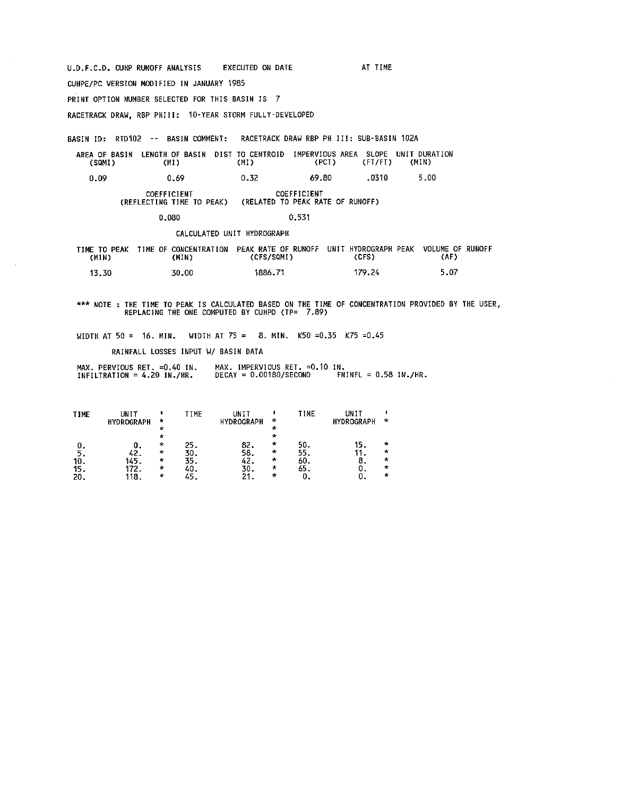U.D.F.C.D. CUHP RUNOFF ANALYSIS EXECUTED ON DATE CUHPE/PC VERSION MODIFIED IN JANUARY 1985 PRINT OPTION NUMBER SELECTED FOR THIS BASIN IS 7 RACETRACK DRAW, RBP PHIII: 10-YEAR STORM FULLY-DEVELOPED AT TIME

BASIN ID: RTD102 -- BASIN COMMENT: RACETRACK DRAW RBP PH III: SUB-BASIN 102A AREA OF BASIN LENGTH OF BASIN DIST TO CENTROID IMPERVIOUS AREA SLOPE UNIT DURATION<br>(SQMI) (MI) (MI) (MI) (MI) (SQM!) (Ml) (Ml) (PCT) (FT/FT) (MIN)

| 0.09 | 0.69 | 0.32 | 69.80 | .0310 | 5.00 |
|------|------|------|-------|-------|------|
|      |      |      |       |       |      |

COEFFICIENT COEFFICIENT (REFLECTING TIME TO PEAK) (RELATED TO PEAK RATE OF RUNOFF) 0.080 0.531

CALCULATED UNIT HYDROGRAPH

TIME TO PEAK TIME OF CONCENTRATION PEAK RATE OF RUNOFF UNIT HYDROGRAPH PEAK VOLUME OF RUNOFF (MIN) (MIN) (CFS/SQM!) (CFS) (AF) 13.30 30.00 1886.71 179.24 5.07

\*\*\* **NOTE THE TIME TO PEAK IS CALCULATED BASED ON THE TIME OF CONCENTRATION PROVIDED BY THE USER,**  REPLACING THE ONE COMPUTED BY CUHPO (TP= 7.89)

WIDTH AT  $50 = 16$ . MIN. WIDTH AT  $75 = 8$ . MIN. K50 =0.35 K75 =0.45

RAINFALL LOSSES INPUT W/ BASIN DATA

MAX. PERVIOUS RET. =0.40 IN. MAX. IMPERVIOUS RET. =0.10 IN. INFILTRATION = 4.20 IN./HR. DECAY = 0.00180/SECOND FNINFL = 0.58 IN./HR.

| <b>TIME</b>             | UNIT<br><b>HYDROGRAPH</b>   | $\ast$<br>$\ast$<br>$\star$                    | TIME                            | UNIT<br><b>HYDROGRAPH</b>        | $\star$<br>÷<br>÷           | <b>TIME</b>                    | UNIT<br><b>HYDROGRAPH</b> | ∗                           |
|-------------------------|-----------------------------|------------------------------------------------|---------------------------------|----------------------------------|-----------------------------|--------------------------------|---------------------------|-----------------------------|
| 0.<br>10.<br>15.<br>20. | 42.<br>145.<br>172.<br>118. | $\star$<br>$\star$<br>$^\star$<br>₩<br>$\star$ | 25.<br>30.<br>35.<br>40.<br>45. | 82.<br>-58.<br>42.<br>30.<br>21. | ÷<br>∗<br>₩<br>*<br>$\star$ | 50.<br>55.<br>60.<br>65.<br>О. | 8.<br>0.                  | ÷<br>÷<br>÷<br>$\star$<br>× |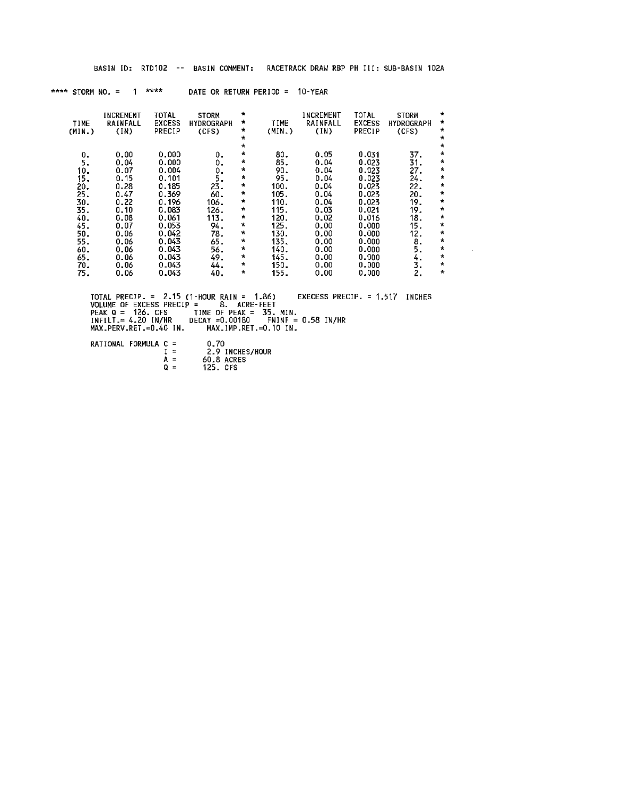|                                                                                              | BASIN ID:                                                                                                    | RTD102<br>$\overline{\phantom{m}}$ .                                                                                       | <b>BASIN COMMENT:</b>                                                                         |                                                                                                             |                                                                                                          | RACETRACK DRAW RBP PH III: SUB-BASIN 102A                                                                    |                                                                                                                            |                                                                                             |                                                                                                                                                              |
|----------------------------------------------------------------------------------------------|--------------------------------------------------------------------------------------------------------------|----------------------------------------------------------------------------------------------------------------------------|-----------------------------------------------------------------------------------------------|-------------------------------------------------------------------------------------------------------------|----------------------------------------------------------------------------------------------------------|--------------------------------------------------------------------------------------------------------------|----------------------------------------------------------------------------------------------------------------------------|---------------------------------------------------------------------------------------------|--------------------------------------------------------------------------------------------------------------------------------------------------------------|
|                                                                                              | **** STORM NO. =<br>1                                                                                        | ****                                                                                                                       | DATE OR RETURN PERIOD =                                                                       |                                                                                                             |                                                                                                          | 10-YEAR                                                                                                      |                                                                                                                            |                                                                                             |                                                                                                                                                              |
| TIME<br>(MIN.)                                                                               | <b>INCREMENT</b><br><b>RAINFALL</b><br>(1 <sub>k</sub> )                                                     | <b>TOTAL</b><br><b>EXCESS</b><br>PRECIP                                                                                    | <b>STORM</b><br><b>HYDROGRAPH</b><br>(CFS)                                                    | ÷<br>*<br>*<br>*<br>ж                                                                                       | TIME<br>(MIN.)                                                                                           | INCREMENT<br>RAINFALL<br>(1N)                                                                                | TOTAL<br><b>EXCESS</b><br>PRECIP                                                                                           | <b>STORM</b><br><b>HYDROGRAPH</b><br>(CFS)                                                  | $\star$<br>$\ast$<br>×<br>$\ast$<br>$\star$                                                                                                                  |
| 0.<br>5.<br>10.<br>15.<br>20.<br>25.<br>30.<br>35.<br>40.<br>45.<br>50.<br>55.<br>60.<br>65. | 0.00<br>0.04<br>0.07<br>0.15<br>0.28<br>0.47<br>0.22<br>0.10<br>0.08<br>0.07<br>0.06<br>0.06<br>0.06<br>0.06 | 0.000<br>0.000<br>0.004<br>0.101<br>0.185<br>0.369<br>0.196<br>0.083<br>0.061<br>0.053<br>0.042<br>0.043<br>0.043<br>0.043 | 0.<br>0.<br>О.<br>5.<br>23.<br>60.<br>106.<br>126.<br>113.<br>94.<br>78.<br>65.<br>56.<br>49. | *<br>*<br>÷,<br>÷.<br>÷<br>$\star$<br>*<br>*<br>*<br>$\star$<br>$\mathbf{r}$<br>$\star$<br>$\ast$<br>$\ast$ | 80.<br>85.<br>90.<br>95.<br>100.<br>105.<br>110.<br>115.<br>120.<br>125.<br>130.<br>135.<br>140.<br>145. | 0.05<br>0.04<br>0.04<br>0.04<br>0.04<br>0.04<br>0.04<br>0.03<br>0.02<br>0.00<br>0.00<br>0.00<br>0.00<br>0.00 | 0.031<br>0.023<br>0.023<br>0.023<br>0.023<br>0.023<br>0.023<br>0.021<br>0.016<br>0.000<br>0.000<br>0.000<br>0.000<br>0.000 | 37.<br>31.<br>27.<br>24.<br>22.<br>20.<br>19.<br>19.<br>18.<br>15.<br>12.<br>8.<br>5.<br>4. | $\star$<br>$\star$<br>$\boldsymbol{\kappa}$<br>$\star$<br>÷<br>$\star$<br>$\star$<br>$\ast$<br>$\star$<br>$\star$<br>$\ast$<br>$\star$<br>$\star$<br>$\star$ |
| 70.<br>75.                                                                                   | 0.06<br>0.06                                                                                                 | 0.043<br>0.043                                                                                                             | 44.<br>40.                                                                                    | $\ast$<br>*                                                                                                 | 150.<br>155.                                                                                             | 0.00<br>0.00                                                                                                 | 0.000<br>0.000                                                                                                             | 3.<br>2.                                                                                    | $\star$<br>$\star$                                                                                                                                           |

TOTAL PRECIP. = 2.15 (1-HOUR RAIN = 1.86) EXECESS PRECIP. = 1.517 INCHES<br>VOLUME OF EXCESS PRECIP = 8. ACRE-FEET<br>PEAK Q = 126. CFS = TIME OF PEAK = 35. MIN.<br>INFILT.= 4.20 IN/HR = DECAY =0.00180 = FNINF = 0.58 IN/HR<br>MAX.PERV

RATIONAL FORMULA C = 0.70<br>
I = 2.9 INCHES/HOUR<br>
A = 60.8 ACRES<br>
Q = 125. CFS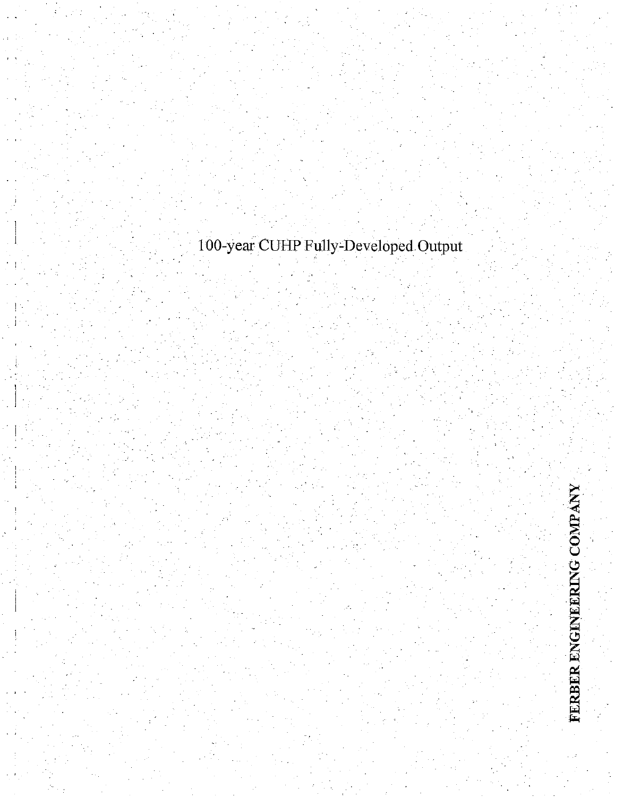100-year CUHP Fully-Developed Output

FERBER ENGINEERING COMPANY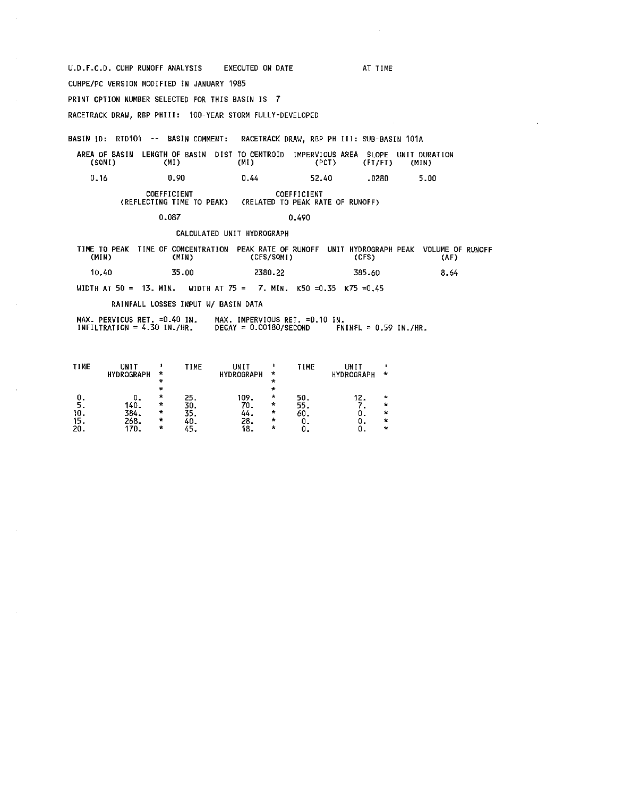U.D.F.C.D. CUHP RUNOFF ANALYSIS EXECUTED ON DATE CUHPE/PC VERSION MODIFIED IN JANUARY 1985 PRINT OPTION NUMBER SELECTED FOR THIS BASIN IS 7 RACETRACK DRAW, RBP PHIII: 100-YEAR STORM FULLY-DEVELOPED AT TIME BASIN ID: RTD101 -- BASIN COMMENT: RACETRACK DRAW, RBP PH III: SUB-BASIN 101A AREA OF BASIN LENGTH OF BASIN DIST TO CENTROID IMPERVIOUS AREA SLOPE UNIT DURATION (SQM!) (Ml) (Ml) (PCT) (FT/FT) (MIN) 0.16 0.90 0.44 52.40 .0280 5.00 COEFFICIENT COEFFICIENT (REFLECTING TIME TO PEAK) (RELATED TO PEAK RATE OF RUNOFF) 0.087 0.490 CALCULATED UNIT HYDROGRAPH TIME TO PEAK TIME OF CONCENTRATION PEAK RATE OF RUNOFF UNIT HYDROGRAPH PEAK VOLUME OF RUNOFF (MINI (MIN) (CFS/SQM!) (CFS) (AF) 10.40 35.00 2380.22 385.60 WIDTH AT 50 = 13. MIN. WIDTH AT 75 = 7. MIN. K50 =0.35 K75 =0.45 RAINFALL LOSSES INPUT W/ BASIN DATA MAX. PERVIOUS RET. =0.40 IN. MAX. IMPERVIOUS RET. =0.10 IN. INFILTRATION = 4.30 IN./HR. DECAY = 0.00180/SECOND FNINFL = 0.59 IN./HR. 8.64

| TIME | UN I T            |         | TIME | UNII              |         | TIME | UNIT              |              |
|------|-------------------|---------|------|-------------------|---------|------|-------------------|--------------|
|      | <b>HYDROGRAPH</b> | ÷       |      | <b>HYDROGRAPH</b> | *       |      | <b>HYDROGRAPH</b> | $\star$      |
|      |                   | ×       |      |                   | ₩       |      |                   |              |
|      |                   | $\star$ |      |                   | $\star$ |      |                   |              |
| 0.   | O.                | $\star$ | 25.  | 109.              | $\star$ | 50.  | 12.               | $\mathbf{x}$ |
|      | 140.              | ÷       | 30.  | 70.               | ₩       | 55.  |                   | $\star$      |
| 10.  | 384.              | $\star$ | 35.  | 44.               | ÷       | ьυ.  |                   | ₩            |
| 15.  | 268.              | ÷       | 40.  | 28.               | $\star$ |      |                   | ×            |
| 20.  | 170.              | ÷       | 45.  | 18.               | ×       |      | u.                | $\star$      |
|      |                   |         |      |                   |         |      |                   |              |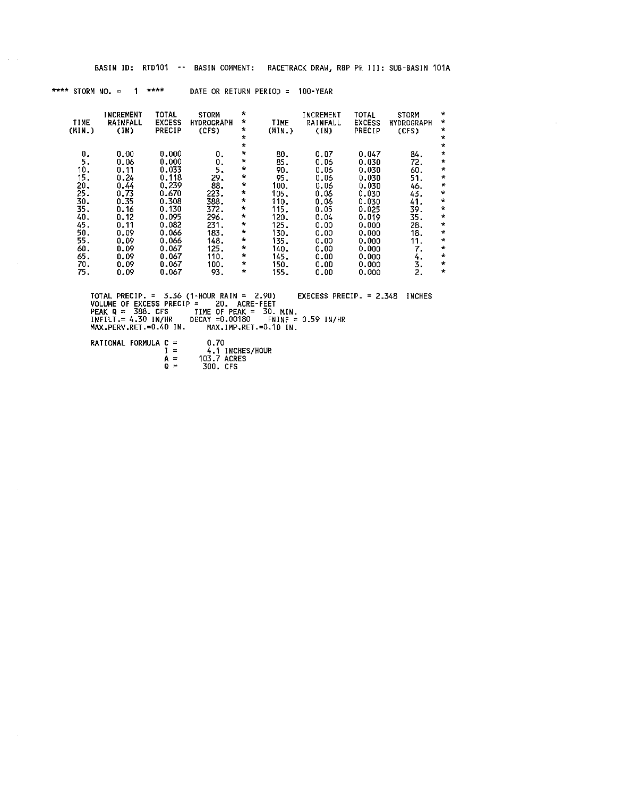BASIN ID: RTD101 -- BASIN COMMENT: RACETRACK DRAW, RBP PH III: SUB-BASIN 101A

 $\ddot{\phantom{a}}$ 

| **** STORM NO. = 1 **** |  |  |  |  | DATE OR RETURN PERIOD = $100 - YEAR$ |  |
|-------------------------|--|--|--|--|--------------------------------------|--|
|                         |  |  |  |  |                                      |  |

| TIME<br>(MIN.) | INCREMENT<br>RAINFALL<br>(1N) | TOTAL<br><b>EXCESS</b><br><b>PRECIP</b> | <b>STORM</b><br><b>HYDROGRAPH</b><br>(CFS) | $\star$<br>$\star$<br>*<br>$\star$<br>$\star$ | <b>TIME</b><br>(MIN.) | INCREMENT<br>RAINFALL<br>(1N) | <b>TOTAL</b><br><b>EXCESS</b><br>PRECIP | <b>STORM</b><br><b>HYDROGRAPH</b><br>(CFS) | $\mathcal{N}$<br>$\star$<br>$\star$<br>$\star$<br>$\star$ |
|----------------|-------------------------------|-----------------------------------------|--------------------------------------------|-----------------------------------------------|-----------------------|-------------------------------|-----------------------------------------|--------------------------------------------|-----------------------------------------------------------|
| 0.             | 0.00                          | 0.000                                   | О.                                         | $\ast$                                        | 80.                   | 0.07                          | 0.047                                   | 84.                                        | ÷                                                         |
| 5.             | 0.06                          | 0.000                                   | 0.                                         | *                                             | 85.                   | 0.06                          | 0.030                                   | 72.                                        | $\star$                                                   |
| 10.            | 0.11                          | 0.033                                   | 5.                                         | $\star$                                       | 90.                   | 0.06                          | 0.030                                   | 60.                                        | ₩                                                         |
| 15.            | 0.24                          | 0.118                                   | 29.                                        | $\star$                                       | 95.                   | 0.06                          | 0.030                                   | 51.                                        | $\star$                                                   |
| 20.            | 0.44                          | 0.239                                   | 88.                                        | $\star$                                       | 100.                  | 0.06                          | 0.030                                   | 46.                                        | $\star$                                                   |
| 25.            | 0.73                          | 0.670                                   | 223.                                       | $\star$                                       | 105.                  | 0.06                          | 0.030                                   | 43.                                        | $\ast$                                                    |
| 30.            | 0.35                          | 0.308                                   | 388.                                       | $\ast$                                        | 110.                  | 0.06                          | 0.030                                   | 41.                                        | $\star$                                                   |
| 35.            | 0.16                          | 0.130                                   | 372.                                       | $\star$                                       | 115.                  | 0.05                          | 0.025                                   | 39.                                        | $\ast$                                                    |
| 40.            | 0.12                          | 0.095                                   | 296.                                       | ₩                                             | 120.                  | 0.04                          | 0.019                                   | 35.                                        | $\star$                                                   |
| 45.            | 0.11                          | 0.082                                   | 231.                                       | $\star$                                       | 125.                  | 0.00                          | 0.000                                   | 28.                                        | $\star$                                                   |
| 50.            | 0.09                          | 0.066                                   | 183.                                       | $\star$                                       | 130.                  | 0.00                          | 0.000                                   | 18.                                        | $\star$                                                   |
| 55.            | 0.09                          | 0.066                                   | 148.                                       | $\star$                                       | 135.                  | 0.00                          | 0.000                                   | 11.                                        | $\star$                                                   |
| 60.            | 0.09                          | 0.067                                   | 125.                                       | $\star$                                       | 140.                  | 0.00                          | 0.000                                   | 7.                                         | $\star$                                                   |
| 65.            | 0.09                          | 0.067                                   | 110.                                       | $\star$                                       | 145.                  | 0.00                          | 0.000                                   | 4.                                         | $\star$                                                   |
| 70.            | 0.09                          | 0.067                                   | 100.                                       | *                                             | 150.                  | 0.00                          | 0.000                                   | 3.                                         | $\star$                                                   |
| 75.            | 0.09                          | 0.067                                   | 93.                                        | $\star$                                       | 155.                  | 0.00                          | 0.000                                   | 2.                                         | $\ast$                                                    |

TOTAL PRECIP. = 3.36 (1-HOUR RAIN = 2.90) EXECESS PRECIP. = 2.348 INCHES<br>VOLUME OF EXCESS PRECIP = 20. ACRE-FEET MIN.<br>PEAK Q = 388. CFS = TIME OF PEAK = 30. MIN.<br>INFILT.= 4.30 IN/HR = DECAY =0.00180 = FNINF = 0.59 IN/HR<br>MA

RATIONAL FORMULA  $C =$ <br> $I =$ I = 4.1 INCHES/HOUR<br>A = 103.7 ACRES<br>Q = 300. CFS

 $\bar{\gamma}$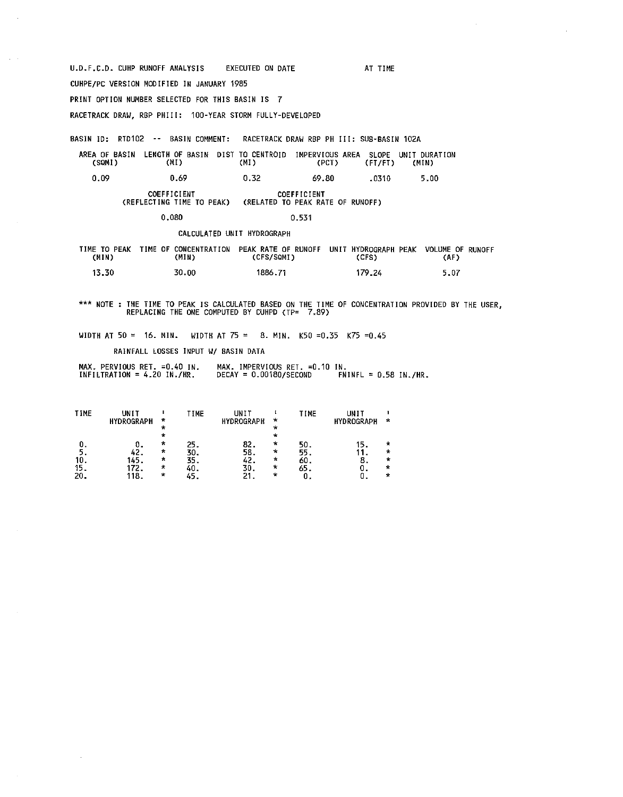U.D.F.C.D. CUHP RUNOFF ANALYSIS EXECUTED ON DATE CUHPE/PC VERSION MODIFIED IN JANUARY 1985 PRINT OPTION NUMBER SELECTED FOR THIS BASIN IS 7 RACETRACK DRAW, RBP PHlll: 100·YEAR STORM FULLY-DEVELOPED AT TIME

 $\Delta \sim 10^7$ 

BASIN ID: RTD102 ·- BASIN COMMENT: RACETRACK DRAW RBP PH Ill: SUB-BASIN 102A

| (SOMI) | (MI). | AREA OF BASIN LENGTH OF BASIN DIST TO CENTROID IMPERVIOUS AREA SLOPE UNIT DURATION<br>(MI) | (PCT) | (FT/FT) | (MIN) |
|--------|-------|--------------------------------------------------------------------------------------------|-------|---------|-------|
| 0.09   | 0.69  | 0.32                                                                                       | 69.80 | .0310   | 5.00  |

COEFFICIENT COEFFICIENT (REFLECTING TIME TO PEAK) (RELATED TO PEAK RATE OF RUNOFF)

### 0.080 0.531

CALCULATED UNIT HYDROGRAPH

| (MIN) | TIME TO PEAK TIME OF CONCENTRATION PEAK RATE OF RUNOFF UNIT HYDROGRAPH PEAK<br>(MIN) | (CFS/SQMI) | (CFS)  | VOLUME OF RUNOFF<br>(AF) |
|-------|--------------------------------------------------------------------------------------|------------|--------|--------------------------|
| 13.30 | 30.00                                                                                | 1886.71    | 179.24 | 5.07                     |

\*\*\* **NOTE THE TIME TO PEAK IS CALCULATED BASED ON THE TIME OF CONCENTRATION PROVIDED BY THE USER,**  REPLACING THE ONE COMPUTED BY CUHPD (TP= 7.89)

WIDTH AT  $50 = 16$ . MIN. WIDTH AT  $75 = 8$ . MIN. K50 =0.35 K75 =0.45

RAINFALL LOSSES INPUT W/ BASIN DATA

MAX. PERVIOUS RET. =0.40 IN. MAX. IMPERVIOUS RET. =0.10 IN.<br>INFILTRATION = 4.20 IN./HR. DECAY = 0.00180/SECOND FNINFL = 0.58 IN./HR.

| <b>TIME</b> | UNIT<br><b>HYDROGRAPH</b> | $\scriptstyle\star$<br>$\ast$<br>÷ | TIME | UNIT<br><b>HYDROGRAPH</b> | $\star$<br>$\star$<br>÷ | TIME | JNIT<br><b>HYDROGRAPH</b> | $\star$ |
|-------------|---------------------------|------------------------------------|------|---------------------------|-------------------------|------|---------------------------|---------|
|             |                           | $\mathbf{r}$                       | 25.  | 82.                       | $\star$                 | 50.  | 15.                       | ×       |
|             | 42.                       | $\star$                            | 30.  | 58.                       | $\star$                 | 55.  |                           | $\star$ |
| 10.         | 145.                      | $\star$                            | 35.  | 42.                       | $\ast$                  | 60.  |                           | ÷       |
| 15.         | 172.                      | $\star$                            | 40.  | 30.                       | ₩                       | 65.  |                           | ÷       |
| 20.         | 118.                      | $\star$                            | 45.  | 21.                       | $\star$                 |      |                           | $\star$ |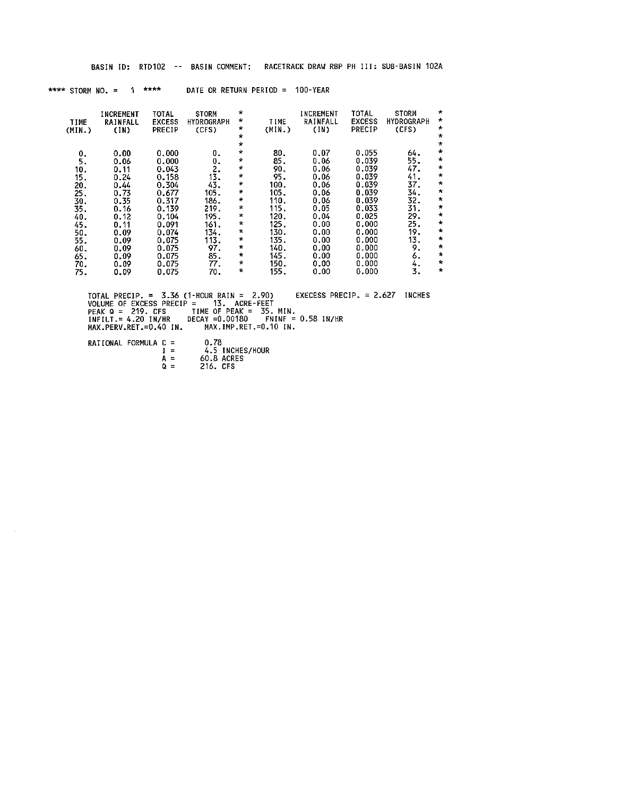|      |                                                                                                                              | BASIN ID:                                                                                                                                                     | <b>RTD102</b><br>$\sim$ $-$                                                                                                                                                      | <b>BASIN COMMENT:</b>                                                                                                                                   |                                                                                                                                                                                                                                                                   |                                                                                                                                            |                                                                                                                                                               |                                                                                                                                                                                  | RACETRACK DRAW RBP PH III: SUB-BASIN 102A                                                                                                       |                                                                                                                                                                                                          |
|------|------------------------------------------------------------------------------------------------------------------------------|---------------------------------------------------------------------------------------------------------------------------------------------------------------|----------------------------------------------------------------------------------------------------------------------------------------------------------------------------------|---------------------------------------------------------------------------------------------------------------------------------------------------------|-------------------------------------------------------------------------------------------------------------------------------------------------------------------------------------------------------------------------------------------------------------------|--------------------------------------------------------------------------------------------------------------------------------------------|---------------------------------------------------------------------------------------------------------------------------------------------------------------|----------------------------------------------------------------------------------------------------------------------------------------------------------------------------------|-------------------------------------------------------------------------------------------------------------------------------------------------|----------------------------------------------------------------------------------------------------------------------------------------------------------------------------------------------------------|
| **** |                                                                                                                              | STORM NO. $=$<br>1                                                                                                                                            | ****                                                                                                                                                                             | DATE OR RETURN PERIOD =                                                                                                                                 |                                                                                                                                                                                                                                                                   |                                                                                                                                            | 100-YEAR                                                                                                                                                      |                                                                                                                                                                                  |                                                                                                                                                 |                                                                                                                                                                                                          |
|      | TIME<br>(MIN.)<br>0.<br>5.<br>10.<br>15.<br>20.<br>25.<br>30.<br>35.<br>40.<br>45.<br>50.<br>55.<br>60.<br>65.<br>70.<br>75. | INCREMENT<br>RAINFALL<br>(1N)<br>0.00<br>0.06<br>0.11<br>0.24<br>0.44<br>0.73<br>0.35<br>0.16<br>0.12<br>0.11<br>0.09<br>0.09<br>0.09<br>0.09<br>0.09<br>0.09 | TOTAL<br><b>EXCESS</b><br>PRECIP<br>0.000<br>0.000<br>0.043<br>0.158<br>0.304<br>0.677<br>0.317<br>0.139<br>0.104<br>0.091<br>0.074<br>0.075<br>0.075<br>0.075<br>0.075<br>0.075 | <b>STORM</b><br>HYDROGRAPH<br>(CFS)<br>0.<br>0.<br>2.<br>13.<br>43.<br>105.<br>186.<br>219.<br>195.<br>161.<br>134.<br>113.<br>97.<br>85.<br>77.<br>70. | ÷.<br>*<br>*<br>$\star$<br>$\mathcal{H}$<br>÷<br>$\star$<br>₩<br>$\frac{d\mathbf{r}}{d\mathbf{r}}$<br>$\mathbf{r}$<br>$\mathcal{H}$<br>$\star$<br>$\star$<br>$\mathbf{r}$<br>$\star$<br>$\star$<br>$\mathbf{r}$<br>$\mathcal{H}$<br>$\star$<br>$\star$<br>$\star$ | TIME<br>(MIN.)<br>80.<br>85.<br>90.<br>95.<br>100.<br>105.<br>110.<br>115.<br>120.<br>125.<br>130.<br>135.<br>140.<br>145.<br>150.<br>155. | INCREMENT<br>RAINFALL<br>(1N)<br>0.07<br>0.06<br>0.06<br>0.06<br>0.06<br>0.06<br>0.06<br>0.05<br>0.04<br>0.00<br>0.00<br>0.00<br>0.00<br>0.00<br>0.00<br>0.00 | TOTAL<br><b>EXCESS</b><br>PRECIP<br>0.055<br>0.039<br>0.039<br>0.039<br>0.039<br>0.039<br>0.039<br>0.033<br>0.025<br>0.000<br>0.000<br>0.000<br>0.000<br>0.000<br>0.000<br>0.000 | <b>STORM</b><br>HYDROGRAPH<br>(CFS)<br>64.<br>55.<br>47.<br>41.<br>37.<br>34.<br>32.<br>31.<br>29.<br>25.<br>19.<br>13.<br>9.<br>6.<br>4.<br>3. | $\ast$<br>*<br>*<br>$\ast$<br>$\star$<br>$^\star$<br>$\star$<br>$\ast$<br>$\star$<br>$\star$<br>$\star$<br>$\star$<br>$\star$<br>*<br>$\star$<br>₩<br>$\star$<br>$\star$<br>*<br>$\mathbf{x}$<br>$\star$ |
|      |                                                                                                                              |                                                                                                                                                               |                                                                                                                                                                                  |                                                                                                                                                         |                                                                                                                                                                                                                                                                   |                                                                                                                                            |                                                                                                                                                               |                                                                                                                                                                                  |                                                                                                                                                 |                                                                                                                                                                                                          |

TOTAL PRECIP. = 3.36 (1-HOUR RAIN = 2.90) EXECESS PRECIP. = 2.627 INCHES<br>VOLUME OF EXCESS PRECIP = 13. ACRE-FEET<br>PEAK Q = 219. CFS = TIME OF PEAK = 35. MIN.<br>INFILT.= 4.20 IN/HR = DECAY =0.00180 = FNINF = 0.58 IN/HR<br>MAX.PER

RATIONAL FORMULA  $C =$ <br>  $I =$ <br>  $A =$ <br>  $Q =$ I = 4.5 INCHES/HOUR A = 60.8 ACRES Q = 216. CFS

 $\mathcal{A}^{\mathcal{A}}$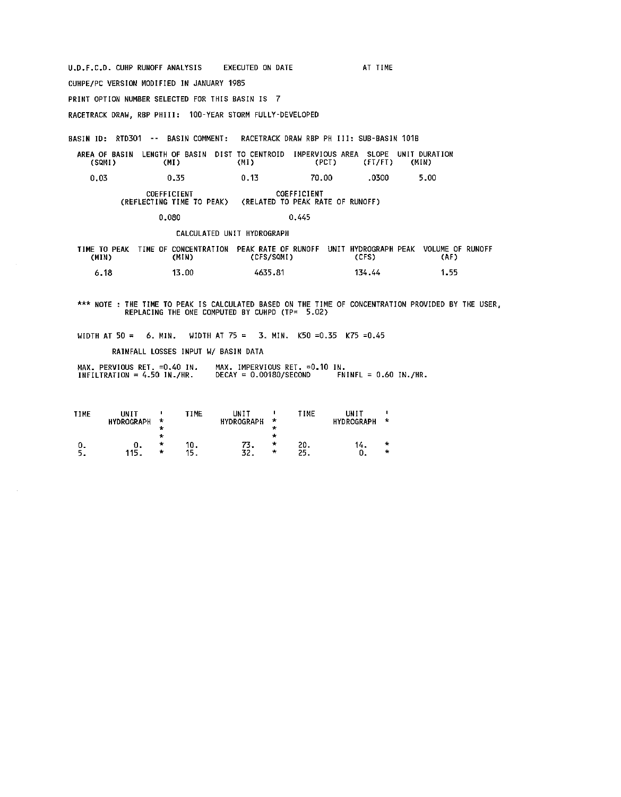U.D.F.C.D. CUHP RUNOFF ANALYSIS EXECUTED ON DATE CUHPE/PC VERSION MODIFIED IN JANUARY 1985 PRINT OPTION NUMBER SELECTED FOR THIS BASIN IS 7 RACETRACK DRAW, RBP PHIII: 100-YEAR STORM FULLY-DEVELOPED AT TIME BASIN ID: RTD301 ·· BASIN COMMENT: RACETRACK DRAW RBP PH III: SUB-BASIN 101B

AREA OF BASIN LENGTH OF BASIN DIST TO CENTROID IMPERVIOUS AREA SLOPE UNIT DURATION (SQM!) (Ml) (Ml) (PCT) (FT/FT) (MIN) 0.03 0.35 0.13 70.00 0.030 5.00

> COEFFICIENT COEFFICIENT (REFLECTING TIME TO PEAK) (RELATED TO PEAK RATE OF RUNOFF) 0.080 0.445

> > CALCULATED UNIT HYDROGRAPH

TIME TO PEAK TIME OF CONCENTRATION PEAK RATE OF RUNOFF UNIT HYDROGRAPH PEAK VOLUME OF RUNOFF (MIN) (MIN) (CFS/SQM!) (CFS) (AF) 6.18 13.00 4635.81 134.44 1.55

\*\*\* **NOTE THE TIME TO PEAK IS CALCULATED BASED ON THE TIME OF CONCENTRATION PROVIDED BY THE USER,** REPLACING THE ONE COMPUTED BY CUHPD (TP= 5.02)

WIDTH AT  $50 = 6$ . MIN. WIDTH AT  $75 = 3$ . MIN. K50 =0.35 K75 =0.45

RAINFALL LOSSES INPUT W/ BASIN DATA

MAX. PERVIOUS RET. =0.40 IN. MAX. IMPERVIOUS RET. =0.10 IN.<br>INFILTRATION = 4.50 IN./HR. DECAY = 0.00180/SECOND FNINFL = 0.60 IN./HR.

| <b>TIME</b> | UNIT<br><b>HYDROGRAPH</b> | $\star$<br>* | <b>TIME</b> | UNIT<br><b>HYDROGRAPH</b> | *<br>×           | TIME       | UNIT<br><b>HYDROGRAPH</b> | $\star$ |
|-------------|---------------------------|--------------|-------------|---------------------------|------------------|------------|---------------------------|---------|
|             | 0.<br>115.                | *<br>×<br>×  | 10.<br>15.  | 32.                       | ÷<br>÷<br>$\ast$ | 20.<br>25. | 14.                       | ∗<br>÷  |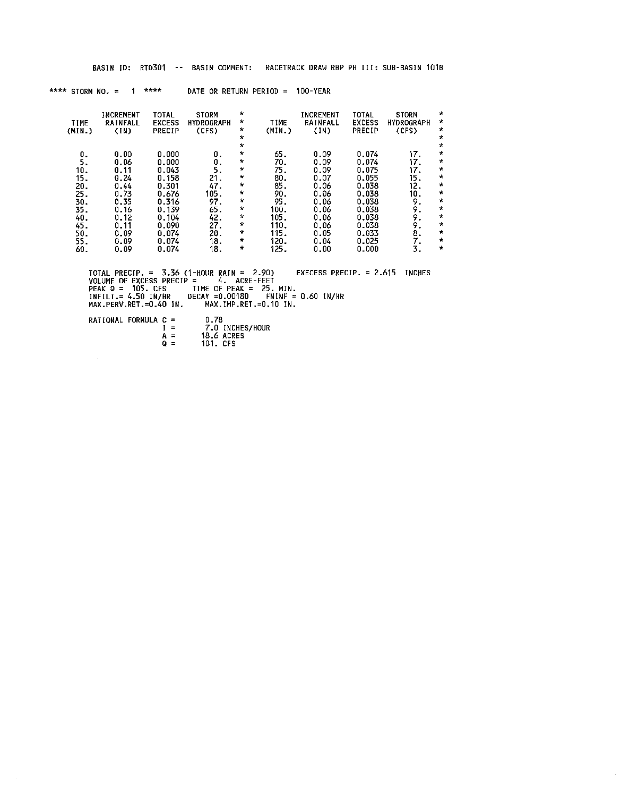| BASIN ID:                                                                                            | RTD301                                                                                                            |                                                                                       |                                                                                                                                                                                                                                                                                                                                                                                                                                                                                                       |                                                                         |                                                                                              |                                                                                                                                              |                                                                                  |                                                                                                                                                                |
|------------------------------------------------------------------------------------------------------|-------------------------------------------------------------------------------------------------------------------|---------------------------------------------------------------------------------------|-------------------------------------------------------------------------------------------------------------------------------------------------------------------------------------------------------------------------------------------------------------------------------------------------------------------------------------------------------------------------------------------------------------------------------------------------------------------------------------------------------|-------------------------------------------------------------------------|----------------------------------------------------------------------------------------------|----------------------------------------------------------------------------------------------------------------------------------------------|----------------------------------------------------------------------------------|----------------------------------------------------------------------------------------------------------------------------------------------------------------|
|                                                                                                      |                                                                                                                   |                                                                                       |                                                                                                                                                                                                                                                                                                                                                                                                                                                                                                       |                                                                         |                                                                                              |                                                                                                                                              |                                                                                  |                                                                                                                                                                |
| (1N)                                                                                                 | TOTAL<br><b>EXCESS</b><br><b>PRECIP</b>                                                                           | <b>STORM</b><br><b>HYDROGRAPH</b><br>(CFS)                                            | $\star$<br>$\pmb{\times}$<br>$\star$<br>$\mathbf{r}$                                                                                                                                                                                                                                                                                                                                                                                                                                                  | TIME                                                                    | INCREMENT<br>RAINFALL                                                                        | PRECIP                                                                                                                                       | STORM<br><b>HYDROGRAPH</b><br>(CFS)                                              | *<br>*<br>*<br>$\star$<br>*                                                                                                                                    |
| 0.00<br>0.06<br>0.11<br>0.24<br>0.44<br>0.73<br>0.35<br>0.16<br>0.12<br>0.11<br>0.09<br>0.09<br>0.09 | 0.000<br>0.000<br>0.043<br>0.158<br>0.301<br>0.676<br>0.316<br>0.139<br>0.104<br>0.090<br>0.074<br>0.074<br>0.074 | Ο.<br>О.<br>5.<br>21.<br>47.<br>105.<br>97.<br>65.<br>42.<br>27.<br>20.<br>18.<br>18. | $\star$<br>$\star$<br>$\star$<br>$\mathbf{r}$<br>$\star$<br>$\star$<br>$\mathcal{H}$<br>$\star$<br>$\star$<br>$\star$<br>$\mathcal{R}^{\prime}$<br>$\star$<br>$\star$                                                                                                                                                                                                                                                                                                                                 | 65.<br>80.<br>85.<br>90.<br>95.<br>100.<br>105.<br>110.<br>115.<br>125. | 0.09<br>0.09<br>0.09<br>0.07<br>0.06<br>0.06<br>0.06<br>0.06<br>0.06<br>0.06<br>0.05<br>0.00 | 0.074<br>0.074<br>0.075<br>0.055<br>0.038<br>0.038<br>0.038<br>0.038<br>0.038<br>0.038<br>0.033<br>0.025<br>0.000                            | 17.<br>17.<br>17.<br>15.<br>12.<br>10.<br>9.<br>9.<br>9.<br>9.<br>8.<br>7.<br>3. | *<br>$\star$<br>$\pmb{\ast}$<br>$\star$<br>$\star$<br>$\star$<br>$\star$<br>$\star$<br>$\star$<br>$\star$<br>$\star$<br>$\star$<br>$\star$                     |
|                                                                                                      |                                                                                                                   |                                                                                       |                                                                                                                                                                                                                                                                                                                                                                                                                                                                                                       |                                                                         |                                                                                              |                                                                                                                                              |                                                                                  |                                                                                                                                                                |
| О.<br>5.<br>15.<br>20.<br>25.<br>30.                                                                 | <b>TIME</b><br>(MIN.)<br>10.<br>35.<br>40.<br>45.<br>50.<br>55.<br>60.                                            | **** STORM NO. = 1 ****<br>INCREMENT<br>RAINFALL                                      | $\frac{1}{2} \frac{1}{2} \left( \frac{1}{2} \right) + \frac{1}{2} \left( \frac{1}{2} \right) + \frac{1}{2} \left( \frac{1}{2} \right) + \frac{1}{2} \left( \frac{1}{2} \right) + \frac{1}{2} \left( \frac{1}{2} \right) + \frac{1}{2} \left( \frac{1}{2} \right) + \frac{1}{2} \left( \frac{1}{2} \right) + \frac{1}{2} \left( \frac{1}{2} \right) + \frac{1}{2} \left( \frac{1}{2} \right) + \frac{1}{2} \left( \frac{1}{2} \right) + \frac{$<br>VOLUME OF EXCESS PRECIP =<br>MAX.PERV.RET.=0.40 IN. | $\star$                                                                 | 4. ACRE-FEET                                                                                 | DATE OR RETURN PERIOD = 100-YEAR<br>(MIN.)<br>70.<br>75.<br>120.<br>PEAK $Q = 105$ . CFS TIME OF PEAK = 25. MIN.<br>MAX. IMP.RET. = 0.10 IN. | (1N)<br>0.04<br>INFILT.= 4.50 IN/HR  DECAY =0.00180  FNINF = 0.60 IN/HR          | BASIN COMMENT: RACETRACK DRAW RBP PH III: SUB-BASIN 101B<br>TOTAL<br><b>EXCESS</b><br>TOTAL PRECIP. = 3.36 (1-HOUR RAIN = 2.90) EXECESS PRECIP. = 2.615 INCHES |

 $\bar{z}$ 

RATIONAL FORMULA C = 0.78<br>
I = 7.0 INCHES/HOUR<br>
A = 18.6 ACRES<br>
Q = 101. CFS

 $\mathcal{L}_{\text{max}}$ 

 $\sim 10$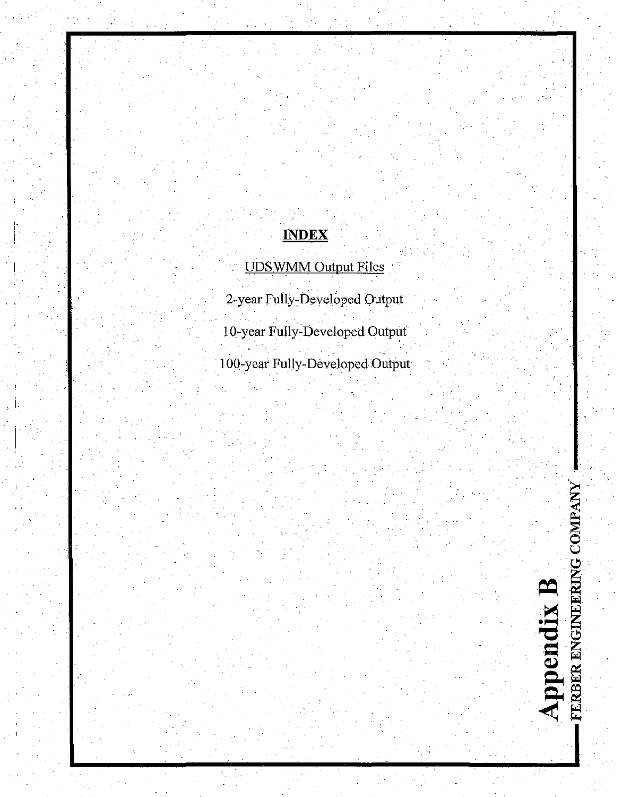# **INDEX**

UDSWMM Output Files

 $\cdot$  |

I

2-year Fully-Developed Output 10-year Fully-Developed Output 100-year Fully-Developed Output

Appendix B<br>FERBER ENGINEERING COMPANY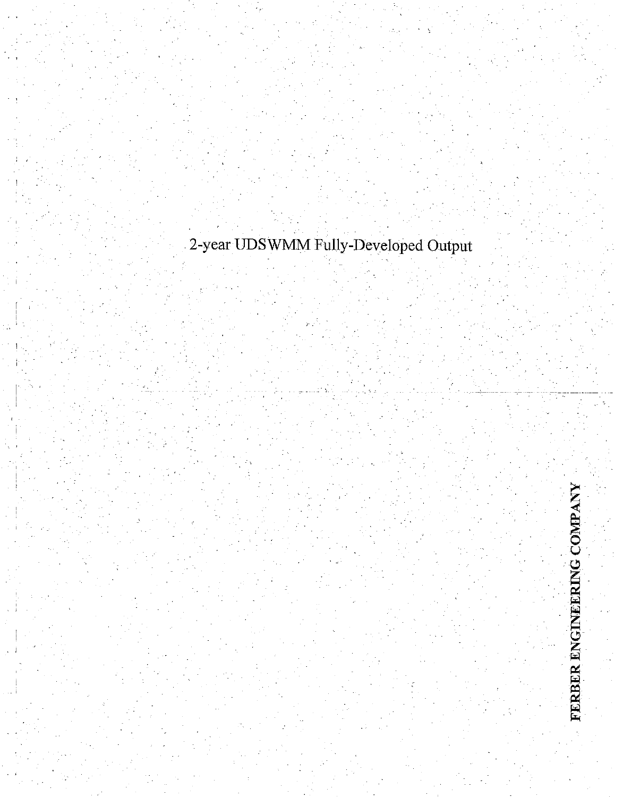# . 2-year UDSWMM Fully-Developed Output

FERBER ENGINEERING COMPANY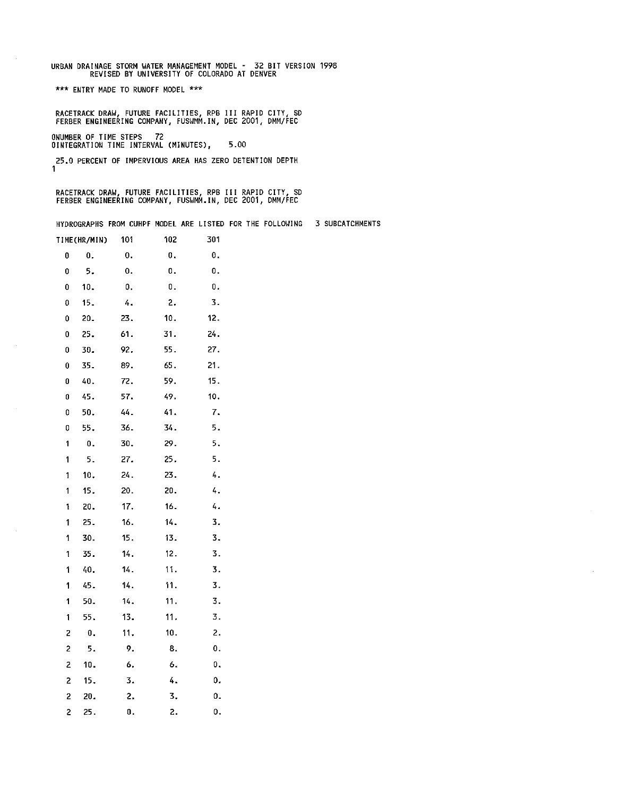URBAN DRAINAGE STORM WATER MANAGEMENT MODEL - 32 BIT VERSION 1998 REVISED BY UNIVERSITY OF COLORADO AT DENVER

\*\*\* **ENTRY MADE TO RUNOFF MODEL** \*\*\*

1

 $\sim$ 

RACETRACK DRAW, FUTURE FACILITIES, RPB III RAPID CITY, SD<br>FERBER ENGINEERING COMPANY, FUSWMM.IN, DEC 2001, DMM/FEC

ONUMBER OF TIME STEPS 72 OINTEGRATION TIME INTERVAL (MINUTES), 5.00

25.0 PERCENT OF IMPERVIOUS AREA HAS ZERO DETENTION DEPTH

RACETRACK DRAW, FUTURE FACILITIES, RPB Ill RAPID CITY, SD FERBER ENGINEERING COMPANY, FUSWMM.IN, DEC 2001, DMM/FEC

|                         |                 |     |                    | HYDROGRAPHS FROM CUHPF MODEL ARE LISTED FOR THE FOLLOWING |  | 3 SUBCATCHMENTS |
|-------------------------|-----------------|-----|--------------------|-----------------------------------------------------------|--|-----------------|
|                         | TIME(HR/MIN)    | 101 | 102                | 301                                                       |  |                 |
| 0                       | $\mathbf{0}$ .  | 0.  | $\mathbf{0}$ .     | О.                                                        |  |                 |
| 0                       | 5.              | 0.  | $\boldsymbol{0}$ . | 0.                                                        |  |                 |
| 0                       | 10.             | О.  | О.                 | О.                                                        |  |                 |
| 0                       | 15 <sub>1</sub> | 4.  | 2.                 | $\overline{\mathbf{3}}$ .                                 |  |                 |
| 0                       | 20.             | 23. | 10.                | 12.                                                       |  |                 |
| 0                       | 25.             | 61. | 31.                | 24.                                                       |  |                 |
| 0                       | 30.             | 92. | 55.                | 27.                                                       |  |                 |
| 0                       | 35.             | 89. | 65.                | 21.                                                       |  |                 |
| $\pmb{0}$               | 40.             | 72. | 59.                | 15.                                                       |  |                 |
| 0                       | 45.             | 57. | 49.                | 10.                                                       |  |                 |
| 0                       | 50.             | 44. | 41.                | 7.                                                        |  |                 |
| 0                       | 55.             | 36. | 34.                | 5.                                                        |  |                 |
| 1                       | $\mathbf 0$ .   | 30. | 29.                | 5.                                                        |  |                 |
| 1                       | 5.              | 27. | 25.                | 5.                                                        |  |                 |
| $\mathbf{1}$            | 10.             | 24. | 23.                | 4.                                                        |  |                 |
| 1                       | 15.             | 20. | 20.                | 4.                                                        |  |                 |
| 1                       | 20.             | 17. | 16.                | 4.                                                        |  |                 |
| 1                       | 25.             | 16. | 14.                | 3.                                                        |  |                 |
| 1                       | 30.             | 15. | 13.                | 3.                                                        |  |                 |
| $\mathbf 1$             | 35.             | 14. | 12.                | 3.                                                        |  |                 |
| 1                       | 40.             | 14. | 11.                | 3.                                                        |  |                 |
| 1                       | 45.             | 14. | 11.                | 3.                                                        |  |                 |
| 1                       | 50.             | 14. | 11.                | 3.                                                        |  |                 |
| 1                       | 55.             | 13. | 11.                | 3.                                                        |  |                 |
| 2                       | $\pmb{0}$ .     | 11. | 10.                | 2.                                                        |  |                 |
| $\overline{\mathbf{c}}$ | 5.              | 9.  | 8.                 | О.                                                        |  |                 |
| 2                       | 10.             | 6.  | 6.                 | О.                                                        |  |                 |
| 2                       | 15.             | 3.  | 4.                 | Ο.                                                        |  |                 |
| 2                       | 20.             | 2.  | 3.                 | О.                                                        |  |                 |
| $\overline{\mathbf{c}}$ | 25.             | 0.  | 2.                 | 0.                                                        |  |                 |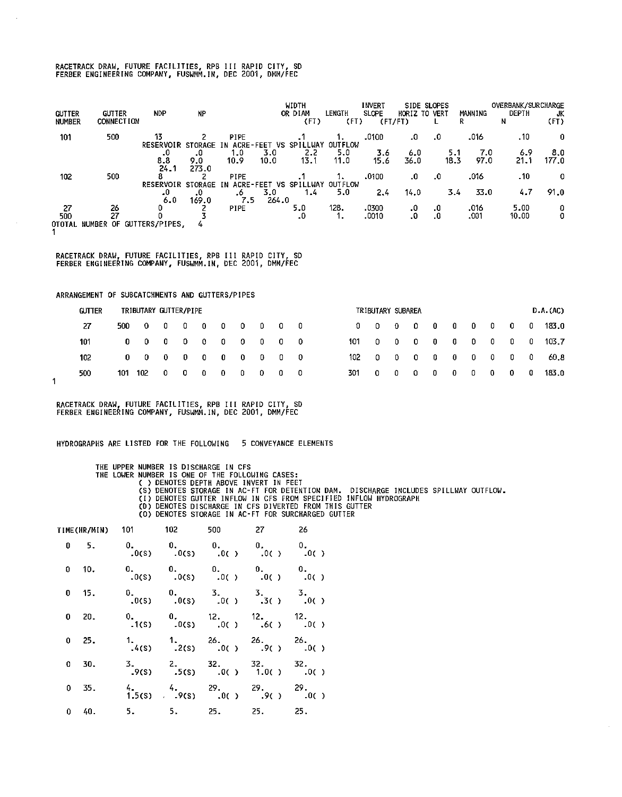# RACETRACK DRAW, FUTURE FACILITIES, RPB III RAPID CITY, SD<br>FERBER ENGINEERING COMPANY, FUSWMM.IN, DEC 2001, DMM/FEC

| <b>GUTTER</b><br>NUMBER | <b>GUTTER</b><br><b>CONNECTION</b> | <b>NDP</b>               | NР             |                  |       | WIDTH<br>OR DIAM<br>(FT) | LENGTH<br>(FT) | <b>INVERT</b><br><b>SLOPE</b> | HORIZ TO VERT<br>(FT/FT) | SIDE SLOPES | R    | MANNING. | OVERBANK/SURCHARGE<br>DEPTH<br>N | JК<br>(FT) |
|-------------------------|------------------------------------|--------------------------|----------------|------------------|-------|--------------------------|----------------|-------------------------------|--------------------------|-------------|------|----------|----------------------------------|------------|
| 101                     | 500                                | 13                       |                | <b>PIPE</b>      |       |                          |                | .0100                         | .0                       | $\cdot$ 0   |      | 016ء     | .10                              | 0          |
|                         |                                    | <b>RESERVOIR STORAGE</b> |                | IN ACRE-FEET     | VS.   | SPILLWAY                 | OUTFLOW        |                               |                          |             |      |          |                                  |            |
|                         |                                    | $\cdot$                  | .0             | 1.0              | 3.0   | 2.2                      | 5.0            | 3.6                           | 6.0                      |             | 5.1  | 7.0      | 6.9                              | 8.0        |
|                         |                                    | 8.8                      | 9.0            | 10.9             | 10.0  | 13.1                     | 11.0           | 15.6                          | 36.0                     |             | 18.3 | 97.0     | 21.1                             | 177.0      |
|                         |                                    | 24.1                     | 273.0          |                  |       |                          |                |                               |                          |             |      |          |                                  |            |
| 102                     | 500                                |                          |                | <b>PIPE</b>      |       |                          |                | .0100                         | -0                       | .0          |      | .016     | - 10                             | 0          |
|                         |                                    | RESERVOIR                | <b>STORAGE</b> | ACRE-FEET<br>IN. | ٧s    | <b>SPILLWAY</b>          | OUTFLOW        |                               |                          |             |      |          |                                  |            |
|                         |                                    | .0                       | .0             | .6               | 3.0   | 1.4                      | 5.0            | 2.4                           | 14.0                     |             | 3.4  | 33.0     | 4.7                              | 91.0       |
|                         |                                    | 6.0                      | 169.0          | 7.5              | 264.0 |                          |                |                               |                          |             |      |          |                                  |            |
| 27                      | 26                                 | 0                        |                | <b>PIPE</b>      |       | 5.0                      | 128.           | .0300                         | .0                       | .0          |      | .016     | 5.00                             | 0          |
| 500                     | 27                                 |                          |                |                  |       | .0                       | 1.             | .0010                         | $\cdot$                  | .0          |      | .001     | 10,00                            | 0          |
| <b>OTOTAL</b>           | <b>NUMBER OF</b>                   | GUTTERS/PIPES.           |                |                  |       |                          |                |                               |                          |             |      |          |                                  |            |
|                         |                                    |                          |                |                  |       |                          |                |                               |                          |             |      |          |                                  |            |

**RACETRACK DRAW, FUTURE FACILITIES, RPB Ill RAPID CITY, SD**  FERBER ENGINEERING COMPANY, FUSWMM.IN, DEC 2001, DMM/FEC

### ARRANGEMENT OF SUBCATCHMENTS AND GUTTERS/PIPES

| <b>GUTTER</b> |       | TRIBUTARY CUTTER/PIPE                                       |       |       | TRIBUTARY SUBAREA |  |  |     |     |      |     |                                 | D.A.(AC) |     |                         |     |  |                          |  |       |
|---------------|-------|-------------------------------------------------------------|-------|-------|-------------------|--|--|-----|-----|------|-----|---------------------------------|----------|-----|-------------------------|-----|--|--------------------------|--|-------|
| 27            | 500 - |                                                             |       |       |                   |  |  |     |     |      |     | $0\quad 0\quad 0\quad 0\quad 0$ |          |     | $\overline{\mathbf{0}}$ |     |  | $0\quad 0\quad 0\quad 0$ |  | 183.0 |
| 101           |       | $0\quad 0\quad 0\quad 0\quad 0\quad 0\quad 0\quad 0\quad 0$ |       |       |                   |  |  |     | - 0 | 101  |     |                                 |          |     |                         |     |  |                          |  | 103.7 |
| 102.          |       | $0\quad 0\quad 0\quad 0\quad 0\quad 0\quad 0\quad 0\quad 0$ |       |       |                   |  |  |     | - 0 |      |     | $102$ 0 0 0 0 0 0 0 0 0         |          |     |                         |     |  |                          |  | -60.8 |
| 500           | 101   | - 102                                                       | - 0 - | - 0 - |                   |  |  | - 0 |     | 301. | - 0 | $\mathbf{0}$                    | - 0      | - 0 | - 0                     | - 0 |  | $0\quad 0\quad 0$        |  | 183.0 |

 $\mathbf{1}$ 

**RACETRACK DRAW, FUTURE FACILITIES, RPB III RAPID CITY, SD**  FERBER ENGINEERING COMPANY, FUSWMM.IN, DEC 2001, DMM/FEC

### HYDROGRAPHS ARE LISTED FOR THE FOLLOWING 5 CONVEYANCE ELEMENTS

THE UPPER NUMBER IS DISCHARGE IN CFS<br>THE LOWER NUMBER IS ONE OF THE FOLLOWING CASES:<br>() DENOTES DEPTH ABOVE INVERT IN FEET<br>(S) DENOTES STORAGE IN AC-FT FOR DETENTION DAM. DISCHARGE INCLUDES SPILLWAY OUTFLOW.<br>(I) DENOTES GU

|              | TIME(HR/MIN) 101 102 500 27 |                                                                  | 26 |
|--------------|-----------------------------|------------------------------------------------------------------|----|
| $0$ 5.       |                             | $0.$ 0. 0. 0. 0. 0.<br>0.0(s) 0.0(s) 0.0(c) 0.0(c)               |    |
| $0 - 10.$    |                             | $0.$ 0. 0. 0. 0. 0.<br>$.0(5)$ $.0(5)$ $.0(6)$ $.0(7)$ $.0(7)$   |    |
| $0$ 15.      |                             | 0. 0. 3. 3. 3.<br>$.0(5)$ $.0(5)$ $.0(5)$ $.0(5)$ $.0(5)$        |    |
| $0\quad 20.$ |                             | 0. 0, 12. 12. 12.<br>-1(S) $.0(5)$ $.0(5)$ $.6(5)$ $.0(5)$       |    |
| $0$ 25.      |                             | 1. 1. 26. 26. 26. 26.<br>$.4(s)$ $.2(s)$ $.0( )$ $.9( )$ $.0( )$ |    |
| 0 30.        |                             | 3. 2. 32. 32. 32.<br>(9(S) .5(S) .0( ) 1.0( ) .0( )              |    |
| 0 35.        |                             | 4. 4. 29. 29. 29. 29.<br>1.5(s) $.9(5)$ $.0(6)$ $.9(7)$ $.0(7)$  |    |
| $0 - 40.$    |                             | 5. 5, 25. 25. 25.                                                |    |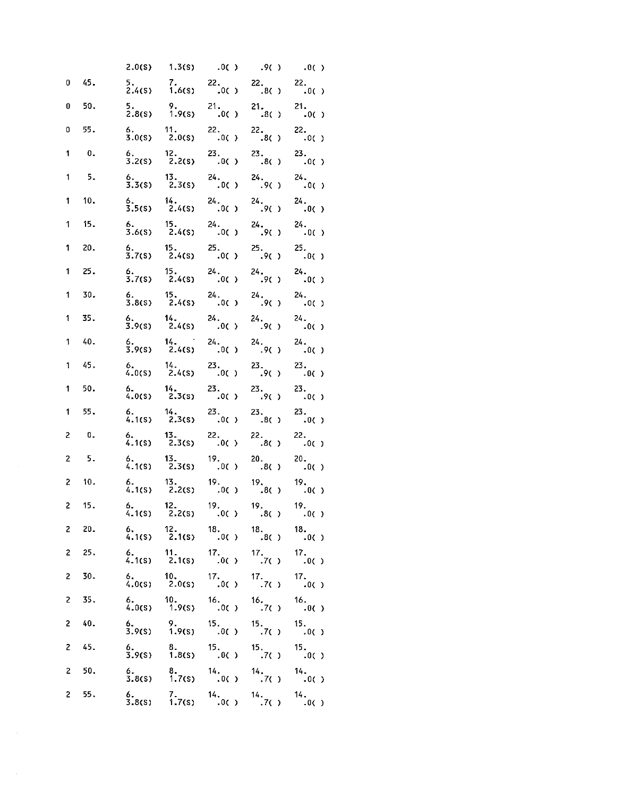|                                 |                           |              |                                    | 2.0(s) 1.3(s) $.0( )$ $.9( )$ $.0( )$                     |                    |                   |
|---------------------------------|---------------------------|--------------|------------------------------------|-----------------------------------------------------------|--------------------|-------------------|
|                                 | 0, 45.                    |              |                                    | 5. 7. 22. 22.<br>2.4(S) 1.6(S) .0( ) .8( )                |                    | $22.$<br>$.0()$   |
| 0                               | 50.                       |              |                                    | 5. 9. 21. 21.<br>2.8(s) 1.9(s) .0( ) .8( )                |                    | $21.$<br>$.0()$   |
| 0                               | 55.                       |              |                                    | 6. 11. 22.<br>3.0(s) 2.0(s) .0( )                         | $^{22}:$ 8()       | $22.$<br>.0( )    |
|                                 | $1 \quad 0.$              |              | 6. 12. 23.<br>3.2(s) 2.2(s) .0()   |                                                           | $^{23}$ . $^{8}$ . | $^{23}$ :0( )     |
|                                 | $1 \quad 5.$              |              | 6. 13. 24.<br>3.3(s) 2.3(s) .0()   |                                                           | 24.9( )            | 24:0( )           |
|                                 | $1 - 10.$                 |              | 6. $14.$ 24.<br>3.5(s) 2.4(s) .0() |                                                           | $\frac{24}{9}$     | $^{24}$ : 0()     |
|                                 | 1 15.                     |              | 6. 15. 24.<br>3.6(s) 2.4(s) .0()   |                                                           | 24:9()             | $24.$<br>$.0()$   |
| 1                               | 20.                       |              |                                    | 6. 15. 25. 25.<br>3.7(s) 2.4(s) .0( ) .9( )               |                    | $25.$<br>.0( )    |
| 1                               | 25.                       |              | 6. 15. 24.<br>3.7(s) 2.4(s) .0()   |                                                           | $^{24}$ : 9( )     | $24.$<br>.0( )    |
| 1                               | 30.                       |              |                                    | 6. 15. 24.<br>3.8(s) 2.4(s) .0()                          | $^{24}$ : 9( )     | $^{24}$ :0()      |
| 1                               | 35.                       |              | 6. $14.$<br>3.9(s) 2.4(s)          | $^{24}$ : 0( )                                            | $^{24}$ : 9( )     | 24.0()            |
| 1                               | 40.                       |              |                                    | 6. 14. 24. 24.<br>3.9(s) 2.4(s) .0() .9()                 |                    | 24:0( )           |
| 1                               | 45.                       |              |                                    | 6. 14. 23. 23.<br>4.0(s) 2.4(s) .0( ) .9( )               |                    | $^{23}$ .0( )     |
| 1                               | 50.                       |              |                                    | 6. 14. 23.<br>4.0(s) 2.3(s) .0()                          | $^{23}$ : $9()$    | $23.$<br>$.0( )$  |
| 1                               | 55.                       |              |                                    | 6. $14.$ 23.<br>4.1(s) 2.3(s) 0()                         | $^{23}$ : 8( )     | $^{23}$ :0()      |
| 2                               | $\overline{\mathbf{0}}$ . |              |                                    | 6. 13. 22. 22.<br>4.1(s) 2.3(s) .0( ) .8( )               |                    | $^{22}$ .0( )     |
| $\mathbf{Z}$                    | 5.                        |              |                                    | 6. 13. 19. 20. 20.<br>4.1(s) 2.3(s) .0() .8() .0()        |                    |                   |
|                                 | $2 - 10.$                 |              |                                    | 6. 13. 19. 19. 19. 19.<br>4.1(s) 2.2(s) .0( ) .8( ) .0( ) |                    |                   |
| $\overline{c}$                  | 15.                       |              | 6. 12.<br>4.1(s) 2.2(s)            | $^{19}$ . 0( )                                            | $\frac{19}{18}$ .  | $\frac{19}{10}$ . |
| 2                               | 20.                       | 6.4.1(s)     | 12.<br>2.1(s)                      | $18.$<br>$.0( )$                                          | $18.$<br>.8( )     | 18.0()            |
| 2                               | 25.                       |              | 6. 11.<br>4.1(s) 2.1(s)            | $\frac{17}{10}$ .                                         | $^{17}:$ 7( )      | $^{17}$ :0( )     |
| 2                               | 30.                       | 6.<br>4.0(S) | $\frac{10}{2.0}$ (s)               | $17_{0( )}$                                               | $^{17}$ : 7( )     | $\frac{17}{10}$   |
| 2                               | 35.                       | 6.<br>4.0(S) | 10.19(s)                           | $^{16}$ .0( )                                             | $^{16}$ : 7( )     | $^{16}$ :0( )     |
| 2                               | 40.                       | 6.<br>3.9(s) | 9.<br>1.9(S)                       | $15.$ 0( )                                                | $^{15}$ :7( )      | 15.0()            |
| 2                               | 45.                       | 6.<br>3.9(s) | 8.<br>1.8(s)                       | 15.0( )                                                   | 15.7()             | $^{15}$ .0( )     |
| $\mathsf{2}\!\!\!\!\phantom{1}$ | 50.                       | 6.<br>3.8(S) | 8.<br>1.7(s)                       | 14.0()                                                    | 14:7()             | $\frac{14}{10}$   |
| $\overline{\mathbf{c}}$         | 55.                       | 6.<br>3.8(S) | 7<br>1.7(s)                        | 14.0()                                                    | 14.7()             | 14.0()            |

 $\label{eq:2.1} \frac{1}{\sqrt{2}}\sum_{i=1}^n\frac{1}{\sqrt{2}}\sum_{i=1}^n\frac{1}{\sqrt{2}}\sum_{i=1}^n\frac{1}{\sqrt{2}}\sum_{i=1}^n\frac{1}{\sqrt{2}}\sum_{i=1}^n\frac{1}{\sqrt{2}}\sum_{i=1}^n\frac{1}{\sqrt{2}}\sum_{i=1}^n\frac{1}{\sqrt{2}}\sum_{i=1}^n\frac{1}{\sqrt{2}}\sum_{i=1}^n\frac{1}{\sqrt{2}}\sum_{i=1}^n\frac{1}{\sqrt{2}}\sum_{i=1}^n\frac$ 

 $\sim$   $\sim$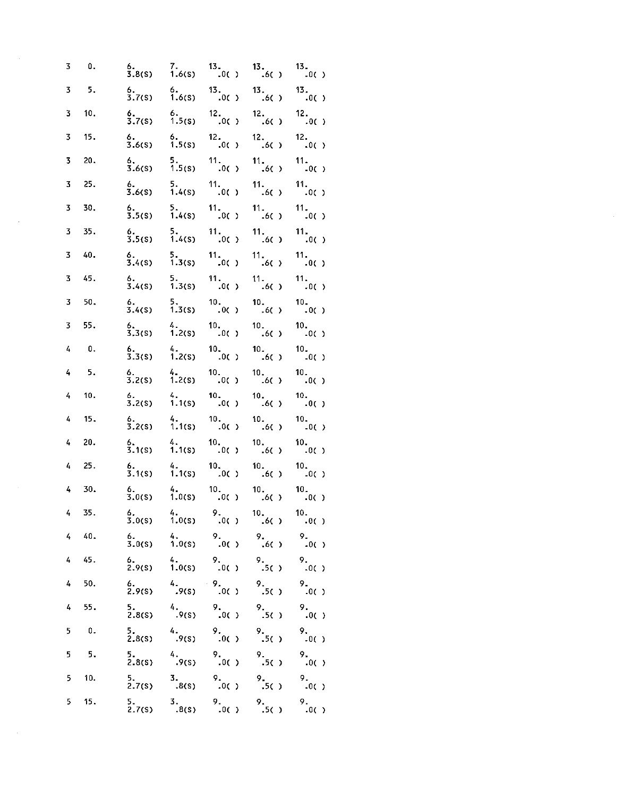| 3 | О.            | 6.<br>3.8(S)     | 7.<br>1.6(S)         | $\frac{13}{10}$ .                     | 13.<br>6()            | 13.<br>.0( )   |
|---|---------------|------------------|----------------------|---------------------------------------|-----------------------|----------------|
| 3 | 5.            | $6.$<br>3.7(s)   | $6.$<br>1.6(s)       | $13_{0( )}$                           | $\frac{13}{16}$ .     | 13.<br>.0( )   |
| 3 | 10.           | $6.$<br>3.7(s)   | 6.<br>1.5(s)         | $12.$<br>$.0( )$                      | $^{12}$ :6( )         | 12.<br>.0()    |
| 3 | 15.           | $6.$ 3.6(s)      | 6.<br>1.5(s)         | 12.0()                                | 12.<br>.6( )          | 12.<br>.0()    |
| 3 | 20.           | 6.<br>3.6(S)     | 5.<br>1.5(S)         | $\frac{11}{0(1)}$                     | 11.<br>.6()           | 11.<br>.0()    |
| 3 | 25.           | 6.<br>3.6(S)     | 5.<br>1.4(S)         | $^{11}$ . 0( )                        | 11.<br>.6( )          | 11.<br>.0()    |
| 3 | 30.           | 6.<br>3.5(S)     | $5.$<br>1.4(s)       | $\frac{11}{10}$                       | $\frac{11}{6}$        | 11.<br>.0()    |
| 3 | 35.           | 6.<br>3.5(s)     | 5.<br>1.4(s)         | $\frac{11}{00}$                       | 11.<br>6()            | 11.<br>.0( )   |
| 3 | 40.           | $6.$<br>3.4(s)   | 5.<br>1.3(s)         | $\sum_{0}^{11}$                       | 11.6()                | 11.<br>.0()    |
| 3 | 45.           | $rac{6}{3}.4(5)$ | 5.<br>1.3(s)         | $\frac{11}{10}$                       | 11.<br>.6( )          | 11.<br>.0( )   |
| 3 | 50.           | 6.<br>5.4(s)     | 5.<br>1.3(s)         | 10 <sub>1</sub><br>$\bigcirc$ 0( )    | $10.$ . 6( )          | 10.<br>.0()    |
| 3 | 55.           | 6.<br>3.3(s)     | 4.<br>1.2(s)         | $10 -$<br>.0( )                       | 10.<br>.6( )          | 10.<br>.0()    |
| 4 | О.            | 6.<br>3.3(s)     | 4.<br>1.2(s)         | 10.<br>0()                            | 10.<br>.6()           | 10.<br>$-0( )$ |
| 4 | 5.            | 6.<br>3.2(s)     | 4.<br>1.2(s)         | 10 <sub>1</sub><br>.0()               | 10.<br>.6( )          | 10.<br>.0()    |
| 4 | 10.           | 6.<br>3.2(s)     | 4.<br>1.1(s)         | 10.<br>.0()                           | 10.<br>.6( )          | 10.<br>.0()    |
| 4 | 15.           | 6.<br>3.2(S)     | 4.<br>1.1(s)         | 10.<br>0()                            | 10.<br>.6()           | 10.<br>$-0( )$ |
| 4 | 20.           | 6.<br>3.1(s)     | 4.<br>1.1(s)         | $^{10}$ . 0( )                        | 10.<br>.6( )          | 10.<br>.0()    |
| 4 | 25.           | $6.$<br>3.1(s)   | $\frac{4}{1}$ . 1(s) | $\frac{10}{10}$                       | 10.1<br>.6( )         | 10.<br>.0( )   |
| 4 | 30.           | 6.<br>3.0(S)     | 4.<br>1.0(s)         | 10.<br>.0( )                          | $10.$                 | 10.<br>.0( )   |
| 4 | 35.           | 6.<br>3.0(S)     | 1.0(s)               | 9.0()                                 | $\frac{10}{6}$ . 6( ) | 10.<br>.0()    |
| 4 | 40.           | 6.<br>3.0(S)     | 4.<br>1.0(s)         | $9.0()$                               | 9.6()                 | 9.<br>.0()     |
| 4 | 45.           | 6.<br>2.9(s)     | $^{4}_{1.0(5)}$      | 9.0()                                 | 9.<br>- .5c >         | 9.<br>.0()     |
| 4 | 50.           | 6.<br>2.9(s)     | $^{4}$ .9(s)         | $\begin{array}{c} 9 \\ 0 \end{array}$ | 9.<br>.5( )           | 9.<br>.0()     |
| 4 | 55.           | 5.<br>2.8(S)     | 4.9(s)               | 9.0()                                 | $\frac{9}{15}$        | 9.<br>.0( )    |
| 5 | $\mathbf 0$ . | 5.<br>2.8(S)     | 4.9(s)               | $9.0()$                               | 9.5()                 | 9.<br>.0( )    |
| 5 | 5.            | 5.<br>2.8(S)     | 4.9(s)               | 9.0()                                 | 9.<br>- .5C >         | 9.<br>$.0($ )  |
| 5 | 10.           | 5.<br>2.7(S)     | 3.8(s)               | 9.0()                                 | 9.5()                 | 9.<br>.0( )    |
| 5 | 15.           | 5.<br>2.7(S)     | 3.8(s)               | 9.0()                                 | 9.<br>.5( )           | 9.<br>.0()     |

 $\frac{1}{2}$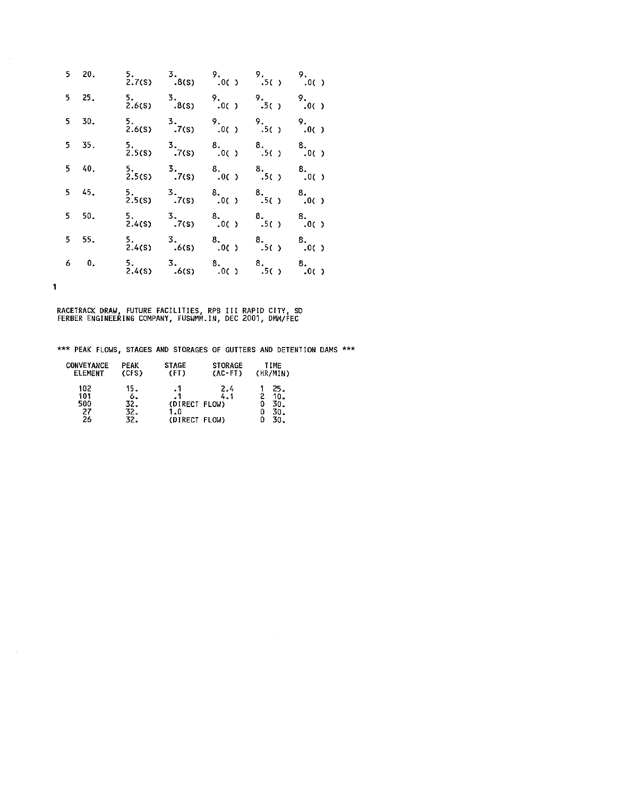| 5 20.        | 5. 3. 9. 9. 9.<br>2.7(S) .8(S) .0( ) .5( ) .0( )    |  |  |
|--------------|-----------------------------------------------------|--|--|
| $5$ 25       | 5. 3. 9. 9. 9.<br>2.6(s) 8(s) 0( ) 5( ) 0( )        |  |  |
| $5 - 30.$    | 5. 3. 9. 9. 9.<br>2.6(S) .7(S) .0( ) .5( ) .0( )    |  |  |
| $5\quad 35.$ | 5. 3. 8. 8. 8. 8.<br>2.5(S) .7(S) .0( ) .5( ) .0( ) |  |  |
| $5 - 40.$    | 5. 3. 8. 8. 8.<br>2.5(s) .7(s) .0( ) .5( ) .0( )    |  |  |
| $5 - 45$ .   | 5. 3. 8. 8. 8. 8.<br>2.5(S) .7(S) .0( ) .5( ) .0( ) |  |  |
| $5 - 50$ .   | 5. 3. 8. 8. 8. 8.<br>2.4(S) .7(S) .0( ) .5( ) .0( ) |  |  |
| $5 - 55$ .   | 5. 3. 8. 8. 8. 8.<br>2.4(s) .6(s) .0() .5() .0()    |  |  |
| 60.          | 5. 3. 8. 8. 8. 8.<br>2.4(S) .6(S) .0( ) .5( ) .0( ) |  |  |
|              |                                                     |  |  |

 $\mathbf{1}$ 

RACETRACK DRAW, FUTURE FACILITIES, RPB III RAPID CITY, SD<br>FERBER ENGINEERING COMPANY, FUSWMM.IN, DEC 2001, DMM/FEC

\*\*\* **PEAK FLOWS, STAGES AND STORAGES OF GUTTERS AND DETENTION DAMS** \*\*\*

| CONVEYANCE                    | <b>PEAK</b>                    | <b>STAGE</b>                          | <b>STORAGE</b> | TIME                            |
|-------------------------------|--------------------------------|---------------------------------------|----------------|---------------------------------|
| <b>ELEMENT</b>                | (CFS)                          | (FT)                                  | $(AC-FI)$      | (HR/MIN)                        |
| 102<br>101<br>500<br>27<br>26 | 15.<br>6.<br>32.<br>32.<br>32. | - 1<br>(DIRECT FLOW)<br>(DIRECT FLOW) | 2.4<br>4.1     | 25.<br>10.<br>30.<br>30.<br>30. |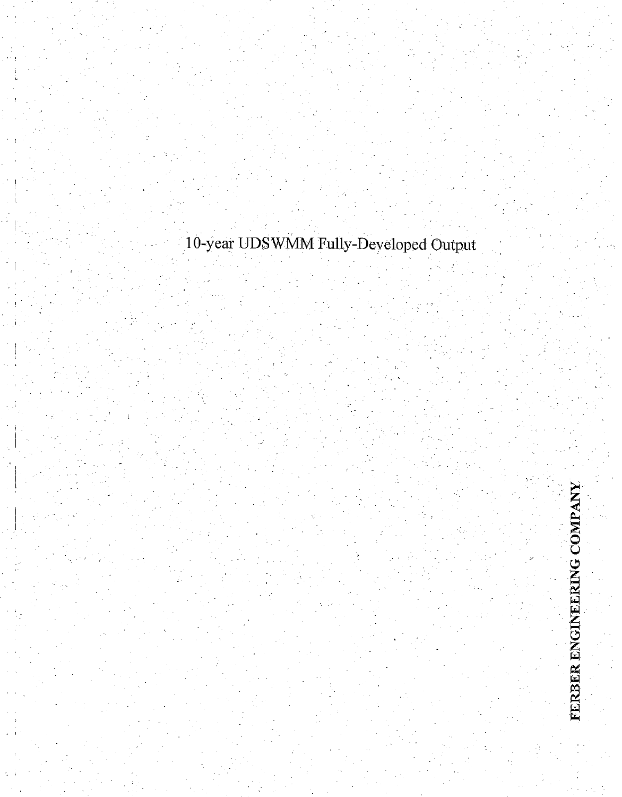# .10-year UDSWMM Fully-Developed Output

 $\cdot$  I .

FERBER ENGINEERING COMPANY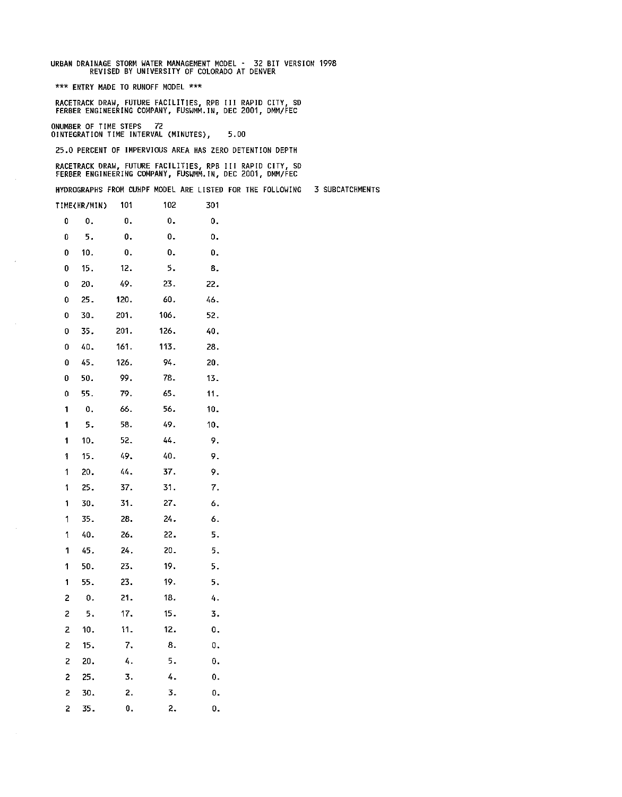URBAN DRAINAGE STORM WATER MANAGEMENT MODEL - 32 BIT VERSION 1998 REVISED BY UNIVERSITY OF COLORADO AT DENVER

\*\*\* **ENTRY MADE TO RUNOFF MODEL** \*\*\*

RACETRACK DRAW, FUTURE FACILITIES, RPB III RAPID CITY, SD<br>FERBER ENGINEERING COMPANY, FUSWMM.IN, DEC 2001, DMM/FEC

DNUMBER OF TIME STEPS 72 DINTEGRATION TIME INTERVAL (MINUTES), 5.DO

### 25.0 PERCENT OF IMPERVIOUS AREA HAS ZERO DETENTION DEPTH

RACETRACK DRAW, FUTURE FACILITIES, RPB III RAPID CITY, SD<br>FERBER ENGINEERING COMPANY, FUSWMM.IN, DEC 2001, DMM/FEC

HYDROGRAPHS FROM CUHPF MODEL ARE LISTED FOR THE FOLLOWING 3 SUBCATCHMENTS

|   | TIME(HR/MIN)  | 101  | 102  | 301 |
|---|---------------|------|------|-----|
| 0 | 0.            | О.   | 0.   | О.  |
| 0 | 5.            | 0.   | 0.   | О.  |
| 0 | 10.           | 0.   | 0.   | Ο.  |
| 0 | 15.           | 12.  | 5.   | 8.  |
| 0 | 20.           | 49.  | 23.  | 22. |
| 0 | 25.           | 120. | 60.  | 46. |
| 0 | 30.           | 201. | 106. | 52. |
| 0 | 35.           | 201. | 126. | 40. |
| 0 | 40.           | 161. | 113. | 28. |
| 0 | 45.           | 126. | 94.  | 20. |
| 0 | 50.           | 99.  | 78.  | 13. |
| 0 | 55.           | 79.  | 65.  | 11. |
| 1 | О.            | 66.  | 56.  | 10. |
| 1 | 5.            | 58.  | 49.  | 10. |
| 1 | 10.           | 52.  | 44.  | 9.  |
| 1 | 15.           | 49.  | 40.  | 9.  |
| 1 | 20.           | 44.  | 37.  | 9.  |
| 1 | 25.           | 37.  | 31.  | 7.  |
| 1 | 30.           | 31.  | 27.  | 6.  |
| 1 | 35.           | 28.  | 24.  | 6.  |
| 1 | 40.           | 26.  | 22.  | 5.  |
| 1 | 45.           | 24.  | 20.  | 5.  |
| 1 | 50.           | 23.  | 19.  | 5.  |
| 1 | 55.           | 23.  | 19.  | 5.  |
| 2 | $\mathbf 0$ , | 21.  | 18.  | 4.  |
| 2 | 5.            | 17.  | 15.  | 3.  |
| 2 | 10.           | 11.  | 12.  | О.  |
| 2 | 15.           | 7.   | 8.   | О.  |
| 2 | 20.           | 4.   | 5.   | 0.  |
| 2 | 25.           | 3.   | 4.   | 0.  |
| 2 | 30.           | 2.   | 3.   | О.  |
| 2 | 35.           | 0.   | 2.   | 0.  |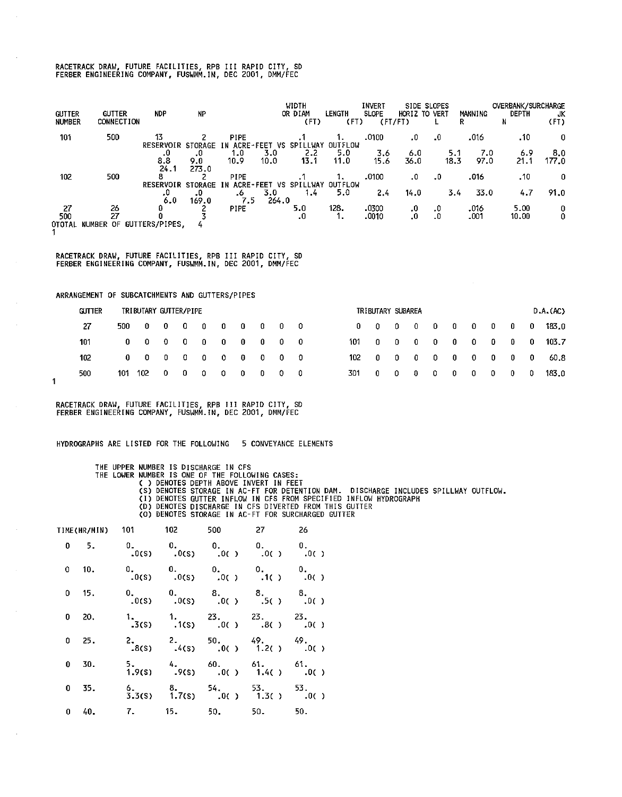# **RACETRACK DRAW, FUTURE FACILITIES, RPS III RAPID CITY, SD**  FERBER ENGINEERING COMPANY, FUSWMM.IN, DEC 2001, DMM/FEC

| <b>GUTTER</b><br><b>NUMBER</b> | <b>GUTTER</b><br><b>CONNECTION</b> | <b>NDP</b>     | NP             |                 |       | <b>WIDTH</b><br>OR DIAM<br>(FI) | LENGTH<br>(FT) | <b>INVERT</b><br><b>SLOPE</b> | HORIZ TO VERT<br>(FT/FT) | SIDE SLOPES | R    | MANNING | OVERBANK/SURCHARGE<br>DEPTH<br>N | ЧK<br>(FT) |
|--------------------------------|------------------------------------|----------------|----------------|-----------------|-------|---------------------------------|----------------|-------------------------------|--------------------------|-------------|------|---------|----------------------------------|------------|
| 101                            | 500                                | 13             |                | <b>PIPE</b>     |       |                                 |                | .0100                         | .0                       | $\cdot$ 0   |      | .016    | . 10                             | 0          |
|                                |                                    | RESERVOIR      | STORAGE        | IN ACRE-FEET    | VS.   | SPILLWAY                        | OUTFLOW        |                               |                          |             |      |         |                                  |            |
|                                |                                    | .0             | .0             | 1.0             | 3.0   | 2.2                             | 5.0            | 3.6                           | 6.0                      |             | 5.1  | 7.0     | 6.9                              | 8.0        |
|                                |                                    | 8.8            | 9.0            | 10.9            | 10.0  | 13.1                            | 11.0           | 15.6                          | 36.0                     |             | 18.3 | 97.0    | 21.1                             | 177.0      |
|                                |                                    | 24.1           | 273.0          |                 |       |                                 |                |                               |                          |             |      |         |                                  |            |
| 102                            | 500                                | 8              |                | <b>PIPE</b>     |       |                                 |                | .0100                         | $\cdot$ 0                | $\cdot$ 0   |      | .016    | . 10                             | 0          |
|                                |                                    | RESERVOIR      | <b>STORAGE</b> | ACRE-FEET<br>ΙN | ٧s    | SPILLWAY                        | <b>OUTFLOW</b> |                               |                          |             |      |         |                                  |            |
|                                |                                    | .0             | $\cdot$ 0      | -6              | 3.0   | 1.4                             | 5.0            | 2.4                           | 14.0                     |             | 3.4  | 33.0    | 4.7                              | 91.0       |
|                                |                                    | 6.0            | 169.0          | 7.5             | 264.0 |                                 |                |                               |                          |             |      |         |                                  |            |
| 27                             | 26                                 |                |                | PIPE            |       | 5.0                             | 128.           | .0300                         | .0                       | .0          |      | 016.    | 5.00                             | 0          |
| 500                            | 27                                 |                |                |                 |       | .0                              |                | .0010                         | $\cdot$ 0                | -0          |      | .001    | 10.00                            | 0          |
| <b>OTOTAL</b>                  | <b>NUMBER OF</b>                   | GUTTERS/PIPES. |                |                 |       |                                 |                |                               |                          |             |      |         |                                  |            |

**RACETRACK DRAW, FUTURE FACILITIES, RPS III RAPID CITY, SD**  FERBER ENGINEERING COMPANY, FUSWMM.IN, DEC 2001, DMM/FEC

### ARRANGEMENT OF SUBCATCHMENTS AND GUTTERS/PIPES

 $\mathbf{1}$ 

| <b>CUTTER</b> |      | TRIBUTARY GUTTER/PIPE                                       |       |            |                          |     |     |                                          |     |       |            | TRIBUTARY SUBAREA                                                                    |                                          |                |                                 |                                                                      |     |     | D.A.(AC)        |
|---------------|------|-------------------------------------------------------------|-------|------------|--------------------------|-----|-----|------------------------------------------|-----|-------|------------|--------------------------------------------------------------------------------------|------------------------------------------|----------------|---------------------------------|----------------------------------------------------------------------|-----|-----|-----------------|
| 27            | 500  |                                                             |       |            | $0$ 0 0 0 0 0 0          |     |     | $\begin{array}{ccc} & & 0 & \end{array}$ |     |       | $0\quad 0$ | $\overline{\mathbf{0}}$                                                              | $\begin{array}{ccc} & & 0 & \end{array}$ |                |                                 |                                                                      |     |     | 0 0 0 0 0 183.0 |
| 101           |      | $0\quad 0\quad 0\quad 0\quad 0\quad 0\quad 0\quad 0\quad 0$ |       |            |                          |     |     |                                          |     | 101 - |            | $\begin{array}{ccccccccccccccccccccc} 0 & 0 & 0 & 0 & 0 & 0 & 0 & 0 & 0 \end{array}$ |                                          |                |                                 |                                                                      |     |     | 103.7           |
| 102           |      | $0$ 0 0 0 0 0 0 0 0 0                                       |       |            |                          |     |     |                                          |     | 102   | - 0        | 0                                                                                    | $\begin{matrix} 0 & 0 \end{matrix}$      |                |                                 | $\begin{array}{ccccccccccccccccc} 0 & 0 & 0 & 0 & 0 & 0 \end{array}$ |     |     | 60.8            |
| 500           | 101. | 102                                                         | - 0 - | $0\quad 0$ | $\overline{\phantom{a}}$ | - 0 | - 0 | - 0 -                                    | - 0 | 301   | _ດ         | - 0                                                                                  | $\mathbf{0}$                             | $\overline{0}$ | $\begin{matrix}0&0\end{matrix}$ | - 0                                                                  | - 0 | - 0 | 183.0           |

RACETRACK DRAW, FUTURE FACILITIES, RPB III RAPID CITY, SD<br>FERBER ENGINEERING COMPANY, FUSWMM.IN, DEC 2001, DMM/FEC

### HYDROGRAPHS ARE LISTED FOR THE FOLLOWING 5 CONVEYANCE ELEMENTS

THE UPPER NUMBER IS DISCHARGE IN CFS<br>THE LOWER NUMBER IS ONE OF THE FOLLOWING CASES:<br>() DENOTES DERITH ABOVE INVERT IN FEET<br>(S) DENOTES STORAGE IN AC-FT FOR DETENTION DAM. DISCHARGE INCLUDES SPILLWAY OUTFLOW.<br>(I) DENOTES G

|              | TIME(HR/MIN) 101 102 500 |                                                                  | $27 \quad \bullet$ | 26 |
|--------------|--------------------------|------------------------------------------------------------------|--------------------|----|
| $0 \quad 5.$ |                          | $0.$ 0. 0. 0. 0. 0.<br>0. 0(S) 0. 0(C) 0. 0(C) 0. 0(C)           |                    |    |
| $0 - 10.$    |                          |                                                                  |                    |    |
| $0$ 15.      |                          | 0. 0. 8. 8. 8.<br>$.0(s)$ $.0(s)$ $.0(s)$ $.0(0)$ $.5()$ $.0()$  |                    |    |
| 0 20.        |                          | 1. 1. 23. 23. 23. 25.<br>$.3(s)$ $.1(s)$ $.0( )$ $.8( )$ $.0( )$ |                    |    |
| $0$ 25.      |                          | 2. 2. 50. 49. 49.<br>$.8(s)$ 4(s) 0() 1.2() 0()                  |                    |    |
| 0 30.        |                          | 5. 4. 60. 61. 61.<br>1.9(s) .9(s) .0() 1.4() .0()                |                    |    |
| 0, 35.       |                          | 6. 8. 54. 53. 53.<br>3.3(S) 1.7(S) .0( ) 1.3( ) .0( )            |                    |    |
| $0 - 40.$    | 7. 15. 50, 50. 50.       |                                                                  |                    |    |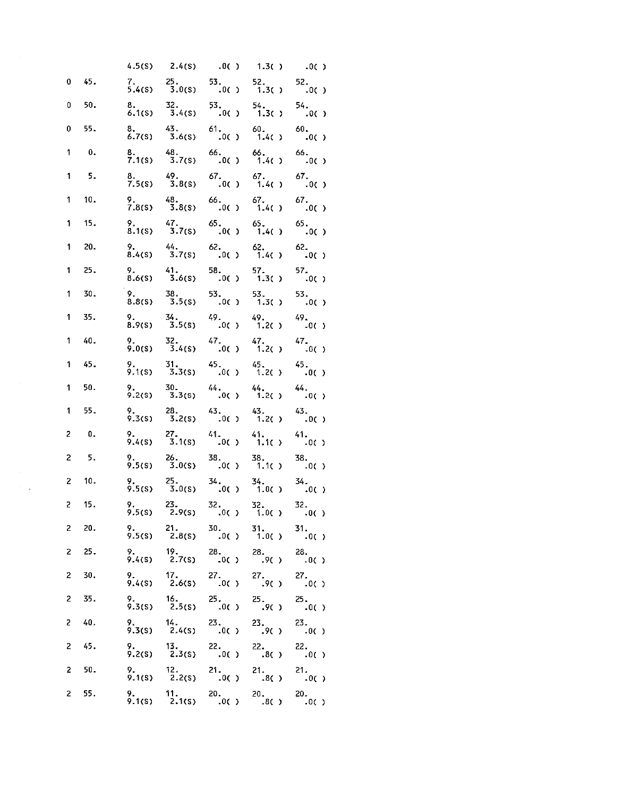|                |                |              |                            | 4.5(S) 2.4(S) .0( ) 1.3( ) .0( )                                            |                                   |                                 |
|----------------|----------------|--------------|----------------------------|-----------------------------------------------------------------------------|-----------------------------------|---------------------------------|
|                | 0 45.          |              | 7. 25.<br>5.4(S) 3.0(S)    | 53.<br>$0( )$                                                               | $52.$<br>1.3()                    | 52.0()                          |
| 0              | 50.            |              | 8. 32.<br>6.1(S) 3.4(S)    | 53.0()                                                                      | $\frac{54}{1.3}$ ()               | 54.0()                          |
| 0              | 55.            |              | 8. 43.<br>6.7(S) 3.6(S)    | $61$ .<br>0( )                                                              | 60.14()                           | $60.$<br>$.0()$                 |
| 1              | $\mathbf{0}$ . |              | 8. 48.<br>7.1(s) 3.7(s)    | $66$ $0()$                                                                  | $66$<br>1.4()                     | $66.$ .0()                      |
| 1              | $-5.$          |              | 8. 49.<br>7.5(s) 3.8(s)    | $67.$<br>$,0()$                                                             | $67.$<br>1.4( )                   | $67.$<br>$.0()$                 |
| $1 -$          | 10.            |              | 9, 48.<br>7.8(s) 3.8(s)    | $66$ $0()$                                                                  | 67.14()                           | $67.$<br>$.0()$                 |
| 1              | 15.            |              | 9. $47.$<br>8.1(s) 3.7(s)  | 65. 65.<br>$0()$ 65.                                                        |                                   | $65.$<br>$.0()$                 |
| 1              | 20.            |              | 9. $44.$<br>8.4(S) 3.7(S)  | $62$<br>$0( )$                                                              | $^{62}_{1.4( )}$                  | $62.$<br>$.0()$                 |
| 1              | 25.            |              | 9. $41.$<br>8.6(S) 3.6(S)  | 58.0()                                                                      | $57.$<br>1.3()                    | 57.                             |
| 1              | 30.            |              | 9, 38,<br>8.8(S) 3.5(S)    | $53$<br>$0()$                                                               | 53.1.3()                          | $53.$<br>.0( )                  |
| 1              | 35.            |              | 9. 34.<br>8.9(S) 3.5(S)    | 49.<br>.0(  )                                                               | $^{49}$ .<br>1.2( )               | 49.0()                          |
| 1              | 40.            |              | 9. $32.$<br>9.0(s) 3.4(s)  | 47. $47.$<br>$0()$ $1.2()$                                                  |                                   | 47.0()                          |
| 1              | 45.            |              | 9. $31$ .<br>9.1(s) 3.3(s) | 45. $45.$<br>$0()$ $1.2()$                                                  |                                   | $^{45}$ :0( )                   |
| 1              | 50.            |              | 9. $30.$<br>9.2(s) 3.3(s)  | $\frac{44}{0}$ $\left(\begin{array}{cc} & 44 \\ 0 & 1.2 \end{array}\right)$ |                                   | 44.000                          |
| 1              | 55.            |              | 9. 28.<br>9.3(S) 3.2(S)    | 43. $43.$<br>$0()$ $1.2()$                                                  |                                   | 43.0()                          |
| 2              | 0.             |              | 9. 27.<br>9.4(S) 3.1(S)    | 41.0() 41.1()                                                               |                                   | 41.0()                          |
| $\overline{c}$ | 5.             |              | 9. 26.<br>9.5(S) 3.0(S)    |                                                                             | $38.$ 38.<br>0( ) 1.1( )          | $38.$<br>.0( )                  |
| 2              | 10.            |              |                            | 9. 25. 34. 34.<br>9.5(s) 3.0(s) .0( ) 1.0( )                                |                                   | $34.$<br>.0( )                  |
| $\overline{c}$ | 15.            | 9.<br>9.5(S) | 23.<br>2.9(s)              |                                                                             | 32.<br>$32.$<br>$32.$<br>$1.0($ ) | $\overset{32.}{_{\cdot}}$ .0( ) |
| 2              | 20.            | 9.<br>9.5(s) | 21.<br>2.8(S)              | 30.0()                                                                      | 31.0()                            | 31.<br>$.0($ )                  |
| 2              | 25.            | 9.<br>9.4(S) | 19.<br>2.7(s)              | $28.$<br>$.0( )$                                                            | $^{28}$ . $9()$                   | $28.$<br>.0( )                  |
| 2              | 30.            | 9.<br>9.4(S) | $^{17}_{2.6(5)}$           | $^{27}$ .0( )                                                               | $^{27}$ .9( )                     | $27.$<br>$.0( )$                |
| 2              | 35.            | 9.<br>9.3(s) | $16.$<br>2.5(s)            | $^{25}$ :0( )                                                               | $^{25}$ . $9()$                   | $^{25}$ :0( )                   |
| 2              | 40.            | 9.<br>9.3(s) | $\frac{14}{2.4(s)}$        | $\overset{23}{\rule{0pt}{6pt}}.0 \langle$ )                                 | $^{23}$ . $9()$                   | $23.$<br>.0( )                  |
| 2              | 45.            | 9.<br>9.2(s) | $\frac{13}{2.3}$ (s)       | $^{22}$ . 0( )                                                              | $^{22}$ : 8( )                    | $^{22}$ :0( )                   |
| 2              | 50.            | 9.<br>9.1(s) | 12.<br>2.2(s)              | $21_{0( )}$                                                                 | $^{21}$ . 8( )                    | $21.$<br>$.0()$                 |
| 2              | 55.            | 9.<br>9.1(S) | 11.2.1(s)                  | 20 <sub>1</sub><br>.0()                                                     | $^{20}$ . $^{8}$ ( )              | 20.<br>.0()                     |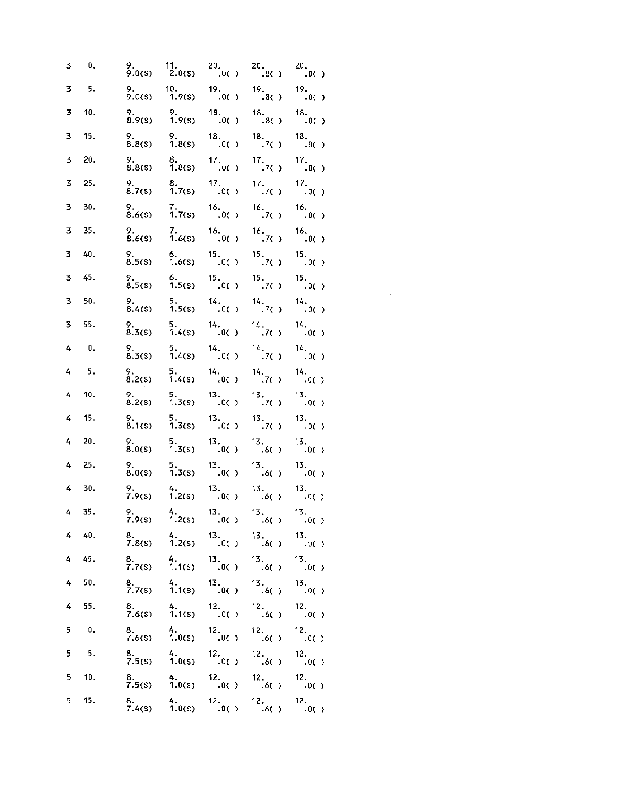| 3                       | 0.             |                              | 9.<br>9.0(S) 2.0(S)               | $^{20}$ .0( )                                     | $20.$<br>$.8()$        | $20.$<br>$.0()$   |
|-------------------------|----------------|------------------------------|-----------------------------------|---------------------------------------------------|------------------------|-------------------|
| $\overline{\mathbf{3}}$ | 5.             |                              | 9. 10. 19.<br>9.0(s) 1.9(s) .0( ) |                                                   | 19.8()                 | 19.0()            |
| 3                       | 10.            |                              |                                   | 18.0()                                            | $^{18}$ . $^{8}$ .     | $18.$<br>.0()     |
| 3                       | 15.            |                              |                                   | $18.$ 0( )                                        | 18.7()                 | $^{18}$ .0( )     |
| 3                       | 20.            | 9.<br>8.8(S)                 | 8.<br>1.8(s)                      | $\frac{17}{10}$ .                                 | $\frac{17}{17}$        | $17.$<br>$.0()$   |
| 3                       | 25.            |                              | 9. 8.<br>8.7(S) 1.7(S)            | $17_{0( )}$                                       | $^{17}$ . 7( )         | $17.$<br>$.0()$   |
| 3                       | 30.            | 9.<br>8.6(S)                 | 7.7(5)                            | $^{16}$ .0( )                                     | $^{16}$ . 7( )         | $16.$<br>$.0()$   |
| 3                       | 35.            |                              |                                   | $^{16}$ . 0( )                                    | 16.7()                 | $16.$<br>$.0()$   |
| 3                       | 40.            |                              | 9. 6.<br>8.5(S) 1.6(S)            | 15.0( )                                           | 15.7()                 | $\sum_{0}^{15}$   |
| 3                       | 45.            |                              | 9. 6.<br>8.5(S) 1.5(S)            | $\frac{15}{10}$ .                                 | 15.7()                 | $\sum_{0}^{15}$   |
| 3                       | 50.            |                              | 9. 5.<br>8.4(s) 1.5(s)            | $\frac{14}{10}$                                   | 14.7()                 | $\frac{14}{10}$ . |
| 3                       | 55.            |                              | 9. 5.<br>8.3(S) 1.4(S)            | $14 \cdot 0()$                                    | 14:7()                 | 14:0()            |
| 4                       | $\mathbf{0}$ . |                              | 9. 5.<br>8.3(S) 1.4(S)            | 14.0()                                            | 14.7()                 | 14.0()            |
| 4                       | 5.             |                              | 9. 5.<br>8.2(S) 1.4(S)            | 14.0()                                            | 14.7()                 | 14.<br>$.0($ )    |
| 4                       | 10.            |                              | 9. 5.<br>8.2(s) 1.3(s)            | $\sum_{0}^{13}$ .                                 | $\frac{13}{7}$ ( )     | 13.<br>$-0( )$    |
| 4                       | 15.            |                              | 9. 5.<br>8.1(s) 1.3(s)            | $\frac{13}{10}$                                   | 13.7()                 | 13.0()            |
| 4                       | 20.            |                              |                                   | $\frac{13}{10}$ .                                 | 13.6()                 | $\sum_{0}^{13}$ . |
| 4                       | 25.            | 9.<br>8.0(S)                 | 5. $13.$ $0()$                    |                                                   | $\frac{13}{16}$        | 13.0()            |
| 4                       | 30.            |                              |                                   | 9. 4. 13. 13. 13.<br>7.9(s) 1.2(s) .0() .6() .0() |                        |                   |
| 4                       | 35.            | 9. $4.2(s)$<br>7.9(s) 1.2(s) |                                   | 13.0( )                                           | 13.6()                 | 13.<br>.0()       |
| 4                       | 40.            | 8.<br>7.8(s)                 | $\frac{4}{1.2(s)}$                | $\frac{13}{10}$ .                                 | 13.6()                 | 13.<br>.0( )      |
| 4                       | 45.            | 8.<br>7.7(S)                 | $\frac{4}{1}$ . 1(s)              | $\frac{13}{10}$                                   | $\frac{13}{16}$ .      | 13.<br>.0()       |
| 4                       | 50.            | $\frac{8}{7}$ .7(s)          | $\frac{4}{1.1(5)}$                | $\frac{13}{10}$ .                                 | $\frac{13}{16}$ . 6( ) | 13.<br>.0()       |
| 4                       | 55.            | 8.<br>7.6(s)                 | $\frac{4}{1.1(5)}$                | 12, 0()                                           | $^{12}$ :6( )          | 12.<br>.0( )      |
| 5                       | 0.             | 8.<br>7.6(S)                 | $\frac{4}{1.0(s)}$                | 12.0()                                            | 12.6()                 | $12.$<br>.0( )    |
| 5                       | 5.             | 8.<br>7.5(S)                 | 4.<br>1.0(s)                      | $12.$<br>$.0()$                                   | $^{12}$ :6( )          | 12.<br>.0( )      |
| 5                       | 10.            | 8.<br>7.5(s)                 | 4.<br>1.0(s)                      | $12$ 0( )                                         | 12.6()                 | 12.<br>.0( )      |
| 5                       | 15.            | 8.<br>7.4(s)                 | 4.<br>1.0(s)                      | $^{12}$ .0( )                                     | 12.6()                 | 12.<br>.0( )      |

 $\label{eq:2.1} \frac{1}{\sqrt{2}}\int_{\mathbb{R}^3}\frac{1}{\sqrt{2}}\left(\frac{1}{\sqrt{2}}\right)^2\frac{1}{\sqrt{2}}\left(\frac{1}{\sqrt{2}}\right)^2\frac{1}{\sqrt{2}}\left(\frac{1}{\sqrt{2}}\right)^2\frac{1}{\sqrt{2}}\left(\frac{1}{\sqrt{2}}\right)^2.$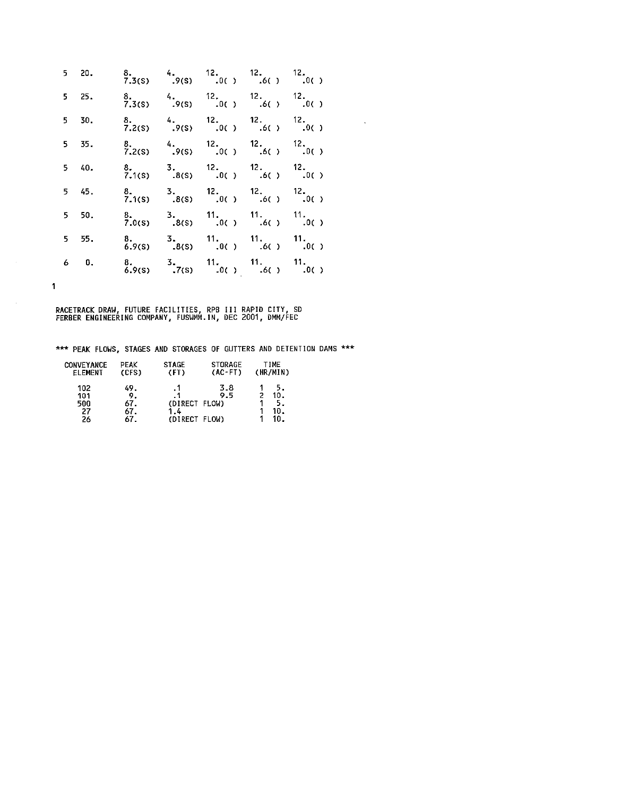| $5 - 20.$  |  | 8. 4. 12. 12. 12. 12.<br>7.3(s) .9(s) .0() .6() .0()            |  |
|------------|--|-----------------------------------------------------------------|--|
| $5$ 25.    |  | 8. 4. 12. 12. 12.<br>7.3(s) .9(s) .0() .6() .0()                |  |
| $5 - 30$ . |  | 8. 4. 12. 12. 12. 12.<br>7.2(s) .9(s) .0() .6() .0()            |  |
| $5 - 35$ . |  | 8. 4. 12. 12. 12. 12.<br>7.2(s) .9(s) .0() .6() .0()            |  |
| $5 - 40.$  |  | 8. 3. 12. 12. 12. 12.<br>7.1(s) .8(s) .0() .6() .0()            |  |
| $5 - 45$   |  | 8. 3. 12. 12. 12.<br>7.1(s) .8(s) .0() .6() .0()                |  |
| $5 - 50.$  |  | 8. 3. 11. 11. 11.<br>7.0(s) .8(s) .0() .6() .0()                |  |
| $5 - 55$   |  | 8. 3. 11. 11. 11. 10.<br>6.9(s) $.8(5)$ $.0(5)$ $.6(5)$ $.0(5)$ |  |
| 60.        |  | 8. 3. 11. 11. 11.<br>6.9(s) $(7(5)$ $(0)$ $(6)$ $(0)$           |  |
|            |  |                                                                 |  |

 $\mathcal{L}(\mathcal{L}^{\mathcal{L}}(\mathcal{L}^{\mathcal{L}}(\mathcal{L}^{\mathcal{L}}(\mathcal{L}^{\mathcal{L}}(\mathcal{L}^{\mathcal{L}}(\mathcal{L}^{\mathcal{L}}(\mathcal{L}^{\mathcal{L}}(\mathcal{L}^{\mathcal{L}}(\mathcal{L}^{\mathcal{L}}(\mathcal{L}^{\mathcal{L}}(\mathcal{L}^{\mathcal{L}}(\mathcal{L}^{\mathcal{L}}(\mathcal{L}^{\mathcal{L}}(\mathcal{L}^{\mathcal{L}}(\mathcal{L}^{\mathcal{L}}(\mathcal{L}^{\mathcal{L}}(\mathcal{L}$ 

RACETRACK DRAW, FUTURE FACILITIES, RPB III RAPID CITY, SD FERBER ENGINEERING COMPANY, FUSWMM.IN, DEC 2001, DMM/FEC

 $\sim$ 

 $\mathbf{1}$ 

\*\*\* **PEAK FLOWS, STAGES AND STORAGES OF GUTTERS AND DETENTION DAMS** \*\*\*

| CONVEYANCE                    | PEAK                           | <b>STAGE</b>                          | <b>STORAGE</b> | TIME                          |
|-------------------------------|--------------------------------|---------------------------------------|----------------|-------------------------------|
| ELEMENT                       | (CFS)                          | (FT)                                  | $(AC-FI)$      | (HR/MIN)                      |
| 102<br>101<br>500<br>27<br>26 | 49.<br>9.<br>67.<br>67.<br>67. | (DIRECT FLOW)<br>1.4<br>(DIRECT FLOW) | 3.8<br>9.5     | 5.<br>10.<br>5.<br>10.<br>10. |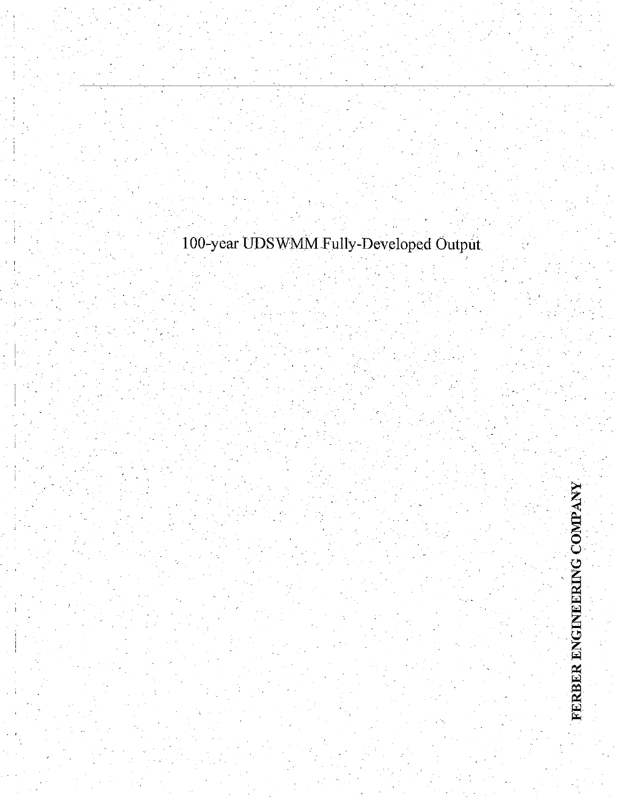# 100-year UDS WMM Fully-Developed Output

FERBER ENGINEERING COMPANY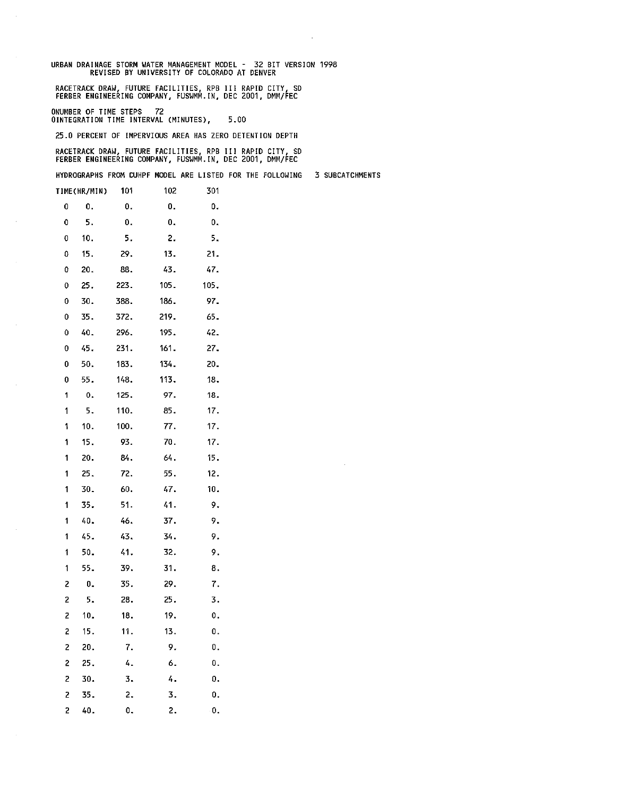URBAN DRAINAGE STORM WATER MANAGEMENT MODEL - 32 BIT VERSION 1998 REVISED BY UNIVERSITY OF COLORADO AT DENVER

RACETRACK DRAW, FUTURE FACILITIES, RPB III RAPID CITY, SD<br>FERBER ENGINEERING COMPANY, FUSWMM.IN, DEC 2001, DMM/FEC

DNUMBER OF TIME STEPS 72 OINTEGRATIDN TIME INTERVAL (MINUTES), 5.00

 $\bar{z}$ 

 $\alpha$ 

 $\mathcal{A}$ 

25.D PERCENT OF IMPERVIOUS AREA HAS ZERO DETENTION DEPTH

RACETRACK DRAW, FUTURE FACILITIES, RPB III RAPID CITY, SD<br>FERBER ENGINEERING COMPANY, FUSWMM.IN, DEC 2001, DMM/FEC

HYDROGRAPHS FROM CUHPF MODEL ARE LISTED FOR THE FOLLOWING 3 SUBCATCHMENTS

 $\ddot{\phantom{a}}$ 

 $\ddot{\phantom{a}}$ 

|   | TIME(HR/MIN) | 101  | 102  | 301  |
|---|--------------|------|------|------|
| 0 | О.           | 0.   | 0.   | о.   |
| 0 | 5.           | 0.   | 0.   | О.   |
| 0 | 10.          | 5.   | 2.   | 5.   |
| 0 | 15.          | 29.  | 13.  | 21.  |
| 0 | 20.          | 88.  | 43.  | 47.  |
| 0 | 25.          | 223. | 105. | 105. |
| 0 | 30.          | 388. | 186. | 97.  |
| 0 | 35.          | 372. | 219. | 65.  |
| 0 | 40.          | 296. | 195. | 42.  |
| 0 | 45.          | 231. | 161. | 27.  |
| 0 | 50.          | 183. | 134. | 20.  |
| 0 | 55.          | 148. | 113. | 18.  |
| 1 | О.           | 125. | 97.  | 18.  |
| 1 | 5.           | 110. | 85.  | 17.  |
| 1 | 10.          | 100. | 77.  | 17.  |
| 1 | 15.          | 93.  | 70.  | 17.  |
| 1 | 20.          | 84.  | 64.  | 15.  |
| 1 | 25.          | 72.  | 55.  | 12.  |
| 1 | 30.          | 60.  | 47.  | 10.  |
| 1 | 35.          | 51.  | 41.  | 9.   |
| 1 | 40.          | 46.  | 37.  | 9.   |
| 1 | 45.          | 43.  | 34.  | 9.   |
| 1 | 50.          | 41.  | 32.  | 9.   |
| 1 | 55.          | 39.  | 31.  | 8.   |
| 2 | О.           | 35.  | 29.  | 7.   |
| 2 | 5.           | 28.  | 25.  | 3.   |
| 2 | 10.          | 18.  | 19.  | О.   |
| 2 | 15.          | 11.  | 13.  | О.   |
| 2 | 20.          | 7.   | 9.   | О.   |
| 2 | 25.          | 4.   | 6.   | О.   |
| 2 | 30.          | 3.   | 4.   | О.   |
| 2 | 35.          | 2.   | 3.   | 0.   |
| 2 | 40.          | 0.   | 2.   | 0.   |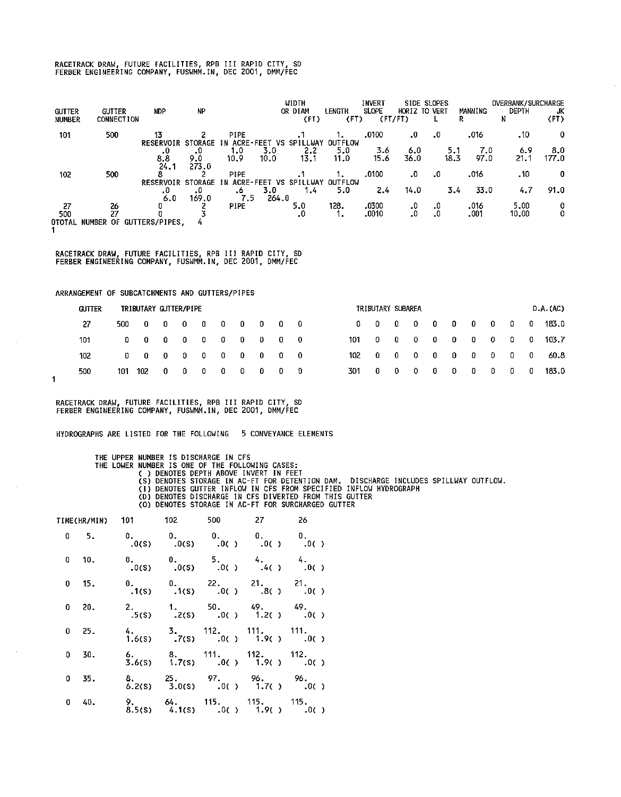# RACETRACK DRAW, FUTURE FACILITIES, RPB III RAPID CITY, SD<br>FERBER ENGINEERING COMPANY, FUSWMM.IN, DEC 2001, DMM/FEC

| <b>GUTTER</b><br><b>NUMBER</b> | <b>GUTTER</b><br><b>CONNECTION</b> | NDP.             | <b>NP</b>      |                  |       | <b>WIDTH</b><br>OR DIAM<br>(FT) | <b>LENGTH</b><br>(TT) | <b>INVERT</b><br><b>SLOPE</b> | SIDE SLOPES<br>HORIZ TO VERT<br>(FT/FT) |           | R    | MANNING | OVERBANK/SURCHARGE<br>DEPTH<br>N | JK<br>(FT) |
|--------------------------------|------------------------------------|------------------|----------------|------------------|-------|---------------------------------|-----------------------|-------------------------------|-----------------------------------------|-----------|------|---------|----------------------------------|------------|
| 101                            | 500                                | 13               |                | PIPE             |       |                                 |                       | .0100                         | .0                                      | $\cdot$ 0 |      | .016    | -10                              | 0          |
|                                |                                    | <b>RESERVOIR</b> | STORAGE        | ACRE-FEET<br>IN. |       | LA۱                             | OUTFLOW               |                               |                                         |           |      |         |                                  |            |
|                                |                                    | .0               | .0             | 1.0              | 3.0   | 2.2                             | 5.0                   | 3.6                           | 6.0                                     |           | 5.1  | 7.0     | 6.9                              | 8.0        |
|                                |                                    | 8.8              | 9.0            | 10.9             | 10.0  | 13.1                            | 11.0                  | 15.6                          | 36.0                                    |           | 18.3 | 97.0    | 21.1                             | 177.0      |
|                                |                                    | 24.1             | 273.0          |                  |       |                                 |                       |                               |                                         |           |      |         |                                  |            |
| 102                            | 500                                |                  |                | <b>PIPE</b>      |       |                                 |                       | .0100                         | .0                                      | .0        |      | .016    | . 10                             | 0          |
|                                |                                    | <b>RESERVOIR</b> | <b>STORAGE</b> | N                |       | IJA.                            | OUTFLOW               |                               |                                         |           |      |         |                                  |            |
|                                |                                    | $\cdot$ 0        | .0             | .6               | 3.0   | 1.4                             | 5.0                   | 2.4                           | 14.0                                    |           | 3.4  | 33.0    | 4.7                              | 91.0       |
|                                |                                    | 6.0              | 169.0          | 7.5              | 264.0 |                                 |                       |                               |                                         |           |      |         |                                  |            |
| 27                             | 26                                 |                  |                | <b>PIPE</b>      |       | 5.0                             | 128.                  | .0300                         | .0                                      | .0        |      | .016    | 5.00                             | 0          |
| 500                            | 27                                 |                  |                |                  |       | .0                              |                       | .0010                         | ٥.                                      |           |      | .001    | 10.00                            | 0          |
|                                | OTOTAL NUMBER OF GUTTERS/PIPES.    |                  | 4              |                  |       |                                 |                       |                               |                                         |           |      |         |                                  |            |

**RACETRACK DRAW, FUTURE FACILITIES, RPB III RAPID CITY, SD**  FERBER ENGINEERING COMPANY, FUSWMM.IN, DEC 2001, OMM/FEC

### ARRANGEMENT OF SUBCATCHMENTS AND GUTTERS/PIPES

 $\mathbf{1}$ 

| <b>GUTTER</b> |      | TRIBUTARY GUTTER/PIPE    |                                                   |     |                                          |     |              |     |                                        |      | TRIBUTARY SUBAREA |                          |                            |                            |                 |     |                 |     |     | D.A. (AC) |
|---------------|------|--------------------------|---------------------------------------------------|-----|------------------------------------------|-----|--------------|-----|----------------------------------------|------|-------------------|--------------------------|----------------------------|----------------------------|-----------------|-----|-----------------|-----|-----|-----------|
| 27            | 500  |                          | $\begin{array}{cccccccc}\n0 & 0 & 0\n\end{array}$ |     | - 0                                      | - 0 | - 0 -        |     | $0\quad 0\quad 0$                      |      | 00                | $\overline{\phantom{a}}$ | - 0                        | $\overline{\phantom{a}}$ 0 | - 0             | - 0 | - 0             | - 0 | - 0 | 183.0     |
| 101           |      | $0\quad 0\quad 0\quad 0$ |                                                   |     | $\begin{array}{ccc} & 0 & 0 \end{array}$ |     | $\mathbf{0}$ |     | $0\quad 0\quad 0$                      | 101  | 0                 | - 0                      | - 0 -                      | $\sim$ 0 $\sim$            | $\sim$ 0 $\sim$ | - 0 | $\sim$ 0 $\sim$ | - 0 | - 0 | 103.7     |
| 102           |      | $0\quad 0\quad 0\quad 0$ |                                                   |     | $\begin{array}{ccc} & 0 & 0 \end{array}$ |     |              |     |                                        | 102. | -0                | - 0                      | $\overline{\phantom{a}}$ 0 | $\sim$ 0 $\sim$            | $\mathbf{0}$    |     | $0\quad 0$      | - 0 | - 0 | 60.8      |
| 500           | 101. | 102                      | - 0                                               | - 0 | - 0                                      | - 0 | - 0          | - 0 | $\begin{array}{ccc} 0 & 0 \end{array}$ | 301  | 0                 | -0                       | - 0                        | - 0                        | - 0             | - 0 | 0               | - 0 | - 0 | 183.0     |

RACETRACK DRAW, FUTURE FACILITIES, RPB Ill RAPID **CITY I SD**  FERBER ENGINEERING COMPANY, FUSWMM.IN, DEC 2001, DMM/FEC

HYDROGRAPHS ARE LISTED FOR THE FOLLOWING 5 CONVEYANCE ELEMENTS

THE UPPER NUMBER IS DISCHARGE IN CFS<br>THE LOWER NUMBER IS ONE OF THE FOLLOWING CASES:<br>() DENOTES DEPTH ABOVE INVERT IN FEET<br>(S) DENOTES STORAGE IN AC-FT FOR DETENTION DAM. DISCHARGE INCLUDES SPILLWAY OUTFLOW.<br>(I) DENOTES GU

|              | TIME(HR/MIN) 101 102 500 27 |                                                                   |  | 26 |  |
|--------------|-----------------------------|-------------------------------------------------------------------|--|----|--|
| $0\qquad 5.$ |                             |                                                                   |  |    |  |
| $0$ 10.      |                             |                                                                   |  |    |  |
| $0$ 15.      |                             | 0. 0. 22. 21. 21.<br>1(s) $.1(s)$ $.0(s)$ $.0(s)$ $.8(s)$ $.0(s)$ |  |    |  |
| $0$ 20       |                             | 2. 1. 50. 49. 49.<br>.5(s) .2(s) .0() 1.2() .0()                  |  |    |  |
| $0$ 25.      |                             | 4. 3. 112. 111. 111.<br>1.6(s) 7(s) 0() 1.9() 0()                 |  |    |  |
| $0\,30$      |                             | 6. 8. 111. 112. 112.<br>3.6(s) 1.7(s) .0( ) 1.9( ) .0( )          |  |    |  |
| 0, 35.       |                             | 8. 25. 97. 96. 96.<br>6.2(s) 3.0(s) .0() 1.7() .0()               |  |    |  |
| $0 - 40$     |                             | 9. 64. 115. 115. 115.<br>8.5(s) 4.1(s) .0() 1.9() .0()            |  |    |  |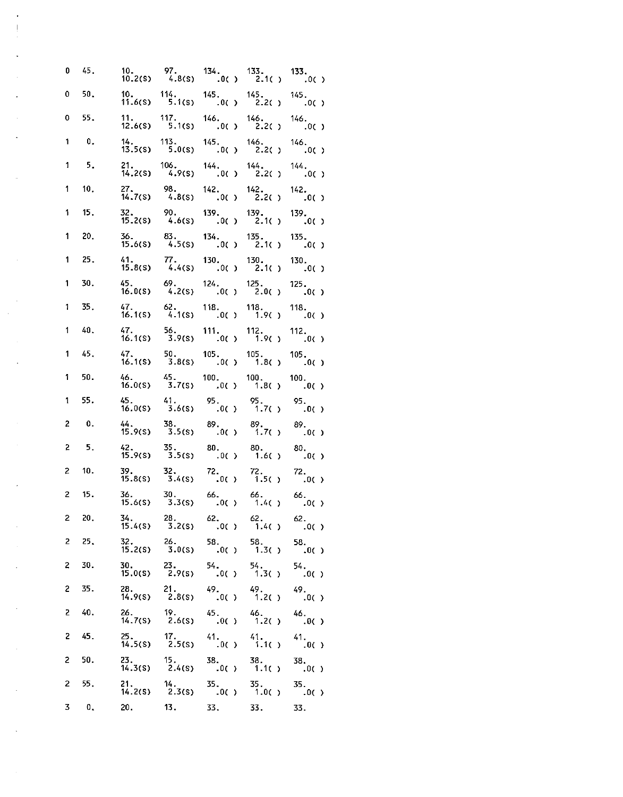| 0            | 45.         |                | 10. 97.<br>10.2(s) 4.8(s) | 134<br>$\begin{pmatrix} 0 & 0 \\ 0 & 0 \end{pmatrix}$ | 133.<br>2.1( )      | 133.<br>.0()        |
|--------------|-------------|----------------|---------------------------|-------------------------------------------------------|---------------------|---------------------|
| 0            | 50.         | 10.<br>11.6(S) | 114.<br>5.1(s)            | 145 <sub>1</sub><br>.0( )                             | 145.<br>2.2()       | 145.<br>.0()        |
| 0            | 55.         | 11.<br>12.6(S) | 117.<br>5.1(s)            | 146<br>0()                                            | 146.<br>2.2()       | 146.<br>$\left( 0($ |
| 1            | 0.          | 14.<br>13.5(S) | 113.<br>5.0(S)            | $145.$ .0()                                           | 146.<br>2.2()       | 146.<br>0()         |
| 1            | 5.          | 21.<br>14.2(S) | $\frac{106}{4.9(5)}$      | 144.0()                                               | 144.<br>2.2()       | 144.<br>.0()        |
| 1            | 10.         | 27.<br>14.7(S) | 98.<br>4.8(s)             | 142.<br>0()                                           | 142.<br>2.2()       | 142.<br>.0()        |
| 1            | 15,         | 32.<br>15.2(S) | 90.<br>4.6(S)             | .0()                                                  | 139.<br>2.1()       | 139.<br>.0()        |
| 1            | 20.         | 36.            | 83.<br>$15.6(S)$ 4.5(s)   | 134<br>.0()                                           | 135.<br>2.1()       | 135.<br>.0()        |
| 1            | 25.         | 41.<br>15.8(s) | 77.<br>4.4(S)             | 130.<br>.0( )                                         | 130.<br>2.1( )      | 130.<br>.0( )       |
| 1            | 30.         | 45.<br>16.0(5) | 69.<br>4.2(s)             | 124.<br>.0( )                                         | 125.<br>2.0( )      | 125.<br>$.0($ )     |
| 1            | 35.         | 47.<br>16.1(S) | 62.<br>4.1(s)             | 118.<br>.0( )                                         | 118.<br>1.9( )      | 118.<br>.0( )       |
| 1            | 40.         | 47.<br>16.1(S) | 56.<br>3.9(s)             | 111.<br>.0()                                          | 112.<br>1.9( )      | 112. .<br>.0()      |
| 1            | 45.         | 47.<br>16.1(S) | 50.<br>3.8(s)             | 105.<br>0()                                           | 105.<br>$1.8($ )    | 105.<br>.0()        |
| 1            | 50.         | 46.<br>16.0(S) | 45.<br>3.7(S)             | $100 -$<br>.0( )                                      | $100 -$<br>1.8()    | 100.<br>$.0($ )     |
| 1            | 55.         | 45.<br>16.0(S) | 41.<br>3.6(S)             | 95.<br>.0( )                                          | 95.<br>$1.7($ )     | 95.<br>.0()         |
| 2            | 0.          | 44.<br>15.9(s) | 38.<br>3.5(s)             | 89.0()                                                | $\frac{89}{1.7(1)}$ | 89.<br>.0()         |
| 2            | 5.          | 42.<br>15.9(S) | 35.<br>3.5(S)             | 80.<br>$\bigcup_{i=1}^{n} 0(i)$                       | 80.<br>$1.6($ )     | 80.<br>.0()         |
| 2            | 10.         | 39.<br>15.8(S) | 32.<br>3.4(S)             | $72.$<br>$.0()$                                       | $^{72}_{1.5( )}$    | 72.<br>.0()         |
| 2            | 15.         | 36.<br>15.6(S) | 30.<br>3.3(s)             | 66.                                                   | 66.<br>.0() 1.4()   | 66.<br>.O( )        |
| $\mathbf{2}$ | 20.         |                | $15.4(S)$ $3.2(S)$        | 34. 28. 62. 62.<br>.0()                               | 1.4( )              | 62.<br>.0()         |
| 2            | 25.         | 32.<br>15.2(S) | $26 -$<br>3.0(s)          | 58.<br>.0( )                                          | 58.<br>1.3( )       | 58.<br>.0()         |
| 2            | 30.         | 30.<br>15.0(s) | 23.<br>2.9(s)             | 54 <sub>1</sub><br>.0()                               | 54.<br>1.3( )       | 54.<br>.0()         |
| 2            | 35.         | 28.<br>14.9(s) | $^{21}$ . 8(s)            | 49.<br>.0( )                                          | 49.12()             | 49.<br>.0( )        |
| 2            | 40.         | 26.<br>14.7(S) | 19.<br>2.6(s)             | 45.<br>.0( )                                          | $\frac{46}{1.2()}$  | 46.<br>.0( )        |
| 2            | 45.         | 25.<br>14.5(S) | $\frac{17}{2.5(s)}$       | $^{41}$ : 0( )                                        | 41.<br>1.1()        | 41.<br>.0()         |
| 2            | 50.         | 23.<br>14.3(S) | $\frac{15}{2}.4(s)$       | $38.$ 0( )                                            | 38.<br>1.1( )       | 38.<br>.0( )        |
| 2            | 55.         | 21.<br>14.2(S) | 14.<br>2.3(s)             | 35.<br>.0()                                           | 35.<br>1.0( )       | 35.<br>.0()         |
| 3            | $\pmb{0}$ . | 20.            | 13.                       | 33.                                                   | 33.                 | 33.                 |

 $\sim 10^{-10}$